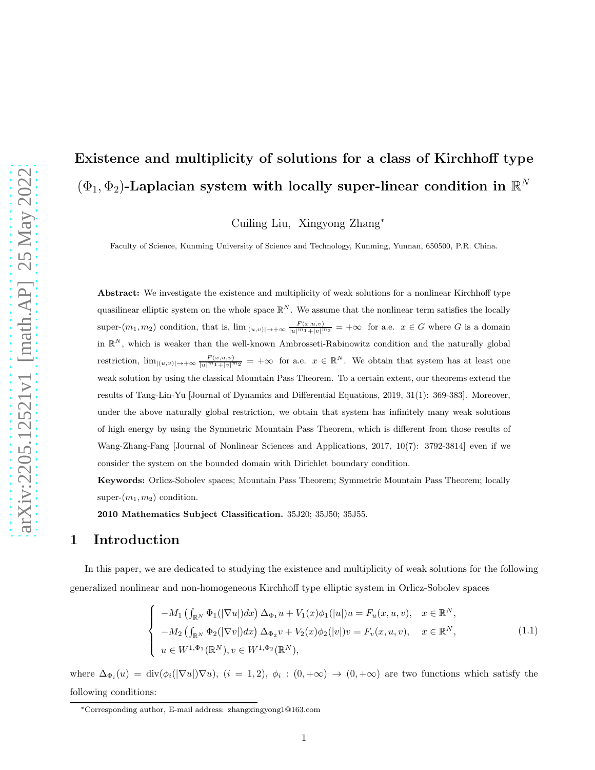# Existence and multiplicity of solutions for a class of Kirchhoff type  $(\Phi_1, \Phi_2)$ -Laplacian system with locally super-linear condition in  $\mathbb{R}^N$

Cuiling Liu, Xingyong Zhang<sup>∗</sup>

Faculty of Science, Kunming University of Science and Technology, Kunming, Yunnan, 650500, P.R. China.

Abstract: We investigate the existence and multiplicity of weak solutions for a nonlinear Kirchhoff type quasilinear elliptic system on the whole space  $\mathbb{R}^N$ . We assume that the nonlinear term satisfies the locally super- $(m_1, m_2)$  condition, that is,  $\lim_{|(u,v)| \to +\infty} \frac{F(x,u,v)}{|u|^{m_1}+|v|^{m_2}} = +\infty$  for a.e.  $x \in G$  where G is a domain in  $\mathbb{R}^N$ , which is weaker than the well-known Ambrosseti-Rabinowitz condition and the naturally global restriction,  $\lim_{|(u,v)|\to+\infty} \frac{F(x,u,v)}{|u|^m+|v|^m^2} = +\infty$  for a.e.  $x \in \mathbb{R}^N$ . We obtain that system has at least one weak solution by using the classical Mountain Pass Theorem. To a certain extent, our theorems extend the results of Tang-Lin-Yu [Journal of Dynamics and Differential Equations, 2019, 31(1): 369-383]. Moreover, under the above naturally global restriction, we obtain that system has infinitely many weak solutions of high energy by using the Symmetric Mountain Pass Theorem, which is different from those results of Wang-Zhang-Fang [Journal of Nonlinear Sciences and Applications, 2017, 10(7): 3792-3814] even if we consider the system on the bounded domain with Dirichlet boundary condition.

Keywords: Orlicz-Sobolev spaces; Mountain Pass Theorem; Symmetric Mountain Pass Theorem; locally super- $(m_1, m_2)$  condition.

2010 Mathematics Subject Classification. 35J20; 35J50; 35J55.

### 1 Introduction

In this paper, we are dedicated to studying the existence and multiplicity of weak solutions for the following generalized nonlinear and non-homogeneous Kirchhoff type elliptic system in Orlicz-Sobolev spaces

<span id="page-0-0"></span>
$$
\begin{cases}\n-M_1\left(\int_{\mathbb{R}^N} \Phi_1(|\nabla u|)dx\right) \Delta_{\Phi_1} u + V_1(x)\phi_1(|u|)u = F_u(x, u, v), & x \in \mathbb{R}^N, \\
-M_2\left(\int_{\mathbb{R}^N} \Phi_2(|\nabla v|)dx\right) \Delta_{\Phi_2} v + V_2(x)\phi_2(|v|)v = F_v(x, u, v), & x \in \mathbb{R}^N, \\
u \in W^{1, \Phi_1}(\mathbb{R}^N), v \in W^{1, \Phi_2}(\mathbb{R}^N),\n\end{cases}
$$
\n(1.1)

where  $\Delta_{\Phi_i}(u) = \text{div}(\phi_i(|\nabla u|)\nabla u)$ ,  $(i = 1, 2)$ ,  $\phi_i : (0, +\infty) \to (0, +\infty)$  are two functions which satisfy the following conditions:

<sup>∗</sup>Corresponding author, E-mail address: zhangxingyong1@163.com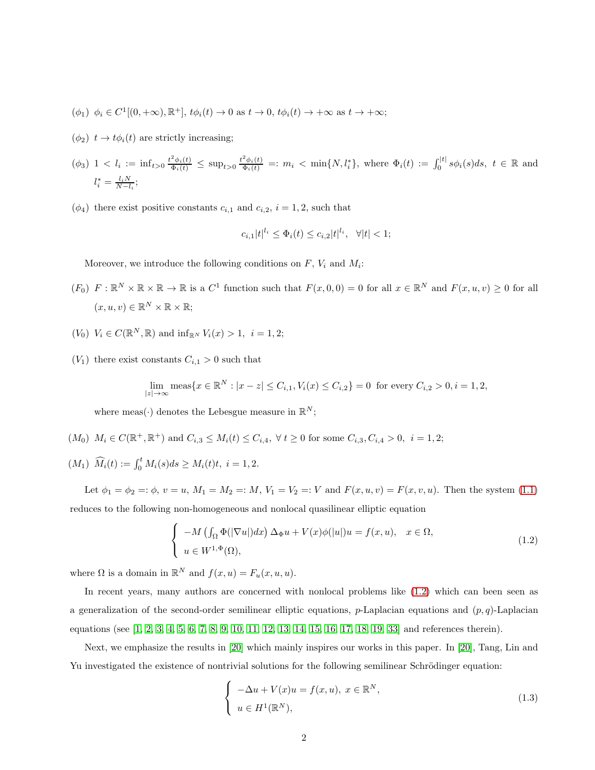- $(\phi_1)$   $\phi_i \in C^1[(0, +\infty), \mathbb{R}^+]$ ,  $t\phi_i(t) \to 0$  as  $t \to 0$ ,  $t\phi_i(t) \to +\infty$  as  $t \to +\infty$ ;
- $(\phi_2)$   $t \rightarrow t\phi_i(t)$  are strictly increasing;
- $(\phi_3)$   $1 < l_i := \inf_{t>0} \frac{t^2 \phi_i(t)}{\Phi_i(t)} \leq \sup_{t>0} \frac{t^2 \phi_i(t)}{\Phi_i(t)} =: m_i < \min\{N, l_i^*\}$ , where  $\Phi_i(t) := \int_0^{|t|} s \phi_i(s) ds, t \in \mathbb{R}$  and  $l_i^* = \frac{l_i N}{N - l_i};$
- $(\phi_4)$  there exist positive constants  $c_{i,1}$  and  $c_{i,2}$ ,  $i = 1, 2$ , such that

$$
c_{i,1}|t|^{l_i} \leq \Phi_i(t) \leq c_{i,2}|t|^{l_i}, \ \ \forall |t| < 1;
$$

Moreover, we introduce the following conditions on  $F$ ,  $V_i$  and  $M_i$ :

- $(F_0)$   $F: \mathbb{R}^N \times \mathbb{R} \times \mathbb{R} \to \mathbb{R}$  is a  $C^1$  function such that  $F(x, 0, 0) = 0$  for all  $x \in \mathbb{R}^N$  and  $F(x, u, v) \ge 0$  for all  $(x, u, v) \in \mathbb{R}^N \times \mathbb{R} \times \mathbb{R};$
- $(V_0)$   $V_i \in C(\mathbb{R}^N, \mathbb{R})$  and  $\inf_{\mathbb{R}^N} V_i(x) > 1, i = 1, 2;$
- $(V_1)$  there exist constants  $C_{i,1} > 0$  such that

$$
\lim_{|z| \to \infty} \text{meas}\{x \in \mathbb{R}^N : |x - z| \le C_{i,1}, V_i(x) \le C_{i,2}\} = 0 \text{ for every } C_{i,2} > 0, i = 1, 2,
$$

where meas( $\cdot$ ) denotes the Lebesgue measure in  $\mathbb{R}^N$ ;

- $(M_0)$   $M_i \in C(\mathbb{R}^+, \mathbb{R}^+)$  and  $C_{i,3} \leq M_i(t) \leq C_{i,4}$ ,  $\forall t \geq 0$  for some  $C_{i,3}$ ,  $C_{i,4} > 0$ ,  $i = 1,2$ ;
- $(M_1)$   $\widehat{M}_i(t) := \int_0^t M_i(s)ds \geq M_i(t)t, i = 1, 2.$

Let  $\phi_1 = \phi_2 =: \phi, v = u, M_1 = M_2 =: M, V_1 = V_2 =: V$  and  $F(x, u, v) = F(x, v, u)$ . Then the system [\(1.1\)](#page-0-0) reduces to the following non-homogeneous and nonlocal quasilinear elliptic equation

<span id="page-1-0"></span>
$$
\begin{cases}\n-M\left(\int_{\Omega} \Phi(|\nabla u|) dx\right) \Delta_{\Phi} u + V(x) \phi(|u|) u = f(x, u), & x \in \Omega, \\
u \in W^{1, \Phi}(\Omega),\n\end{cases}
$$
\n(1.2)

where  $\Omega$  is a domain in  $\mathbb{R}^N$  and  $f(x, u) = F_u(x, u, u)$ .

In recent years, many authors are concerned with nonlocal problems like [\(1.2\)](#page-1-0) which can been seen as a generalization of the second-order semilinear elliptic equations, p-Laplacian equations and  $(p, q)$ -Laplacian equations (see [\[1,](#page-32-0) [2,](#page-32-1) [3,](#page-32-2) [4,](#page-32-3) [5,](#page-32-4) [6,](#page-32-5) [7,](#page-32-6) [8,](#page-32-7) [9,](#page-32-8) [10,](#page-32-9) [11,](#page-33-0) [12,](#page-33-1) [13,](#page-33-2) [14,](#page-33-3) [15,](#page-33-4) [16,](#page-33-5) [17,](#page-33-6) [18,](#page-33-7) [19,](#page-33-8) [33\]](#page-34-0) and references therein).

Next, we emphasize the results in [\[20\]](#page-33-9) which mainly inspires our works in this paper. In [\[20\]](#page-33-9), Tang, Lin and Yu investigated the existence of nontrivial solutions for the following semilinear Schrödinger equation:

<span id="page-1-1"></span>
$$
\begin{cases}\n-\Delta u + V(x)u = f(x, u), \ x \in \mathbb{R}^N, \\
 u \in H^1(\mathbb{R}^N),\n\end{cases}
$$
\n(1.3)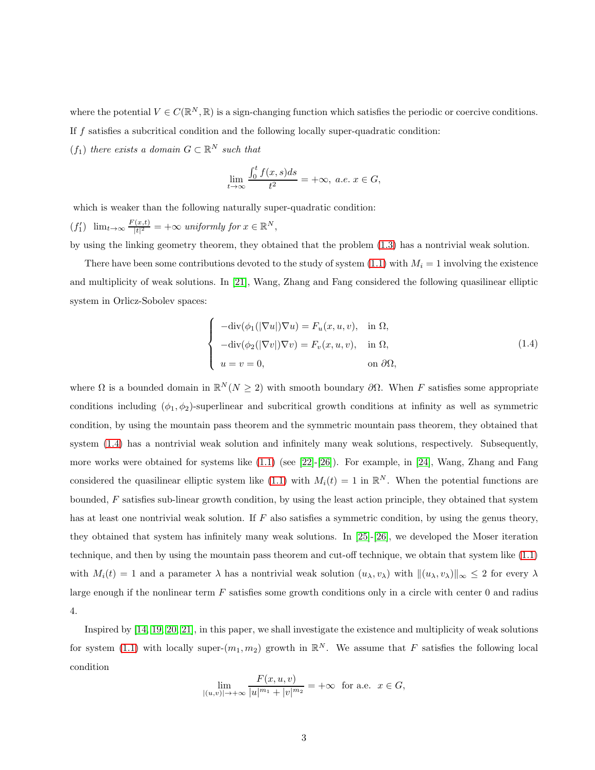where the potential  $V \in C(\mathbb{R}^N, \mathbb{R})$  is a sign-changing function which satisfies the periodic or coercive conditions.

If f satisfies a subcritical condition and the following locally super-quadratic condition:

 $(f_1)$  there exists a domain  $G \subset \mathbb{R}^N$  such that

$$
\lim_{t \to \infty} \frac{\int_0^t f(x, s)ds}{t^2} = +\infty, \ a.e. \ x \in G,
$$

which is weaker than the following naturally super-quadratic condition:

 $(f'_1)$   $\lim_{t\to\infty}\frac{F(x,t)}{|t|^2}$  $\frac{f(x,t)}{|t|^2} = +\infty$  uniformly for  $x \in \mathbb{R}^N$ ,

by using the linking geometry theorem, they obtained that the problem [\(1.3\)](#page-1-1) has a nontrivial weak solution.

There have been some contributions devoted to the study of system  $(1.1)$  with  $M_i = 1$  involving the existence and multiplicity of weak solutions. In [\[21\]](#page-33-10), Wang, Zhang and Fang considered the following quasilinear elliptic system in Orlicz-Sobolev spaces:

<span id="page-2-0"></span>
$$
\begin{cases}\n-\text{div}(\phi_1(|\nabla u|)\nabla u) = F_u(x, u, v), & \text{in } \Omega, \\
-\text{div}(\phi_2(|\nabla v|)\nabla v) = F_v(x, u, v), & \text{in } \Omega, \\
u = v = 0, & \text{on } \partial\Omega,\n\end{cases}
$$
\n(1.4)

where  $\Omega$  is a bounded domain in  $\mathbb{R}^N(N \geq 2)$  with smooth boundary  $\partial \Omega$ . When F satisfies some appropriate conditions including  $(\phi_1, \phi_2)$ -superlinear and subcritical growth conditions at infinity as well as symmetric condition, by using the mountain pass theorem and the symmetric mountain pass theorem, they obtained that system  $(1.4)$  has a nontrivial weak solution and infinitely many weak solutions, respectively. Subsequently, more works were obtained for systems like  $(1.1)$  (see [\[22\]](#page-33-11)-[\[26\]](#page-34-1)). For example, in [\[24\]](#page-33-12), Wang, Zhang and Fang considered the quasilinear elliptic system like [\(1.1\)](#page-0-0) with  $M_i(t) = 1$  in  $\mathbb{R}^N$ . When the potential functions are bounded, F satisfies sub-linear growth condition, by using the least action principle, they obtained that system has at least one nontrivial weak solution. If  $F$  also satisfies a symmetric condition, by using the genus theory, they obtained that system has infinitely many weak solutions. In [\[25\]](#page-34-2)-[\[26\]](#page-34-1), we developed the Moser iteration technique, and then by using the mountain pass theorem and cut-off technique, we obtain that system like [\(1.1\)](#page-0-0) with  $M_i(t) = 1$  and a parameter  $\lambda$  has a nontrivial weak solution  $(u_\lambda, v_\lambda)$  with  $\|(u_\lambda, v_\lambda)\|_{\infty} \leq 2$  for every  $\lambda$ large enough if the nonlinear term  $F$  satisfies some growth conditions only in a circle with center 0 and radius 4.

Inspired by [\[14,](#page-33-3) [19,](#page-33-8) [20,](#page-33-9) [21\]](#page-33-10), in this paper, we shall investigate the existence and multiplicity of weak solutions for system [\(1.1\)](#page-0-0) with locally super- $(m_1, m_2)$  growth in  $\mathbb{R}^N$ . We assume that F satisfies the following local condition

$$
\lim_{|(u,v)| \to +\infty} \frac{F(x,u,v)}{|u|^{m_1} + |v|^{m_2}} = +\infty \text{ for a.e. } x \in G,
$$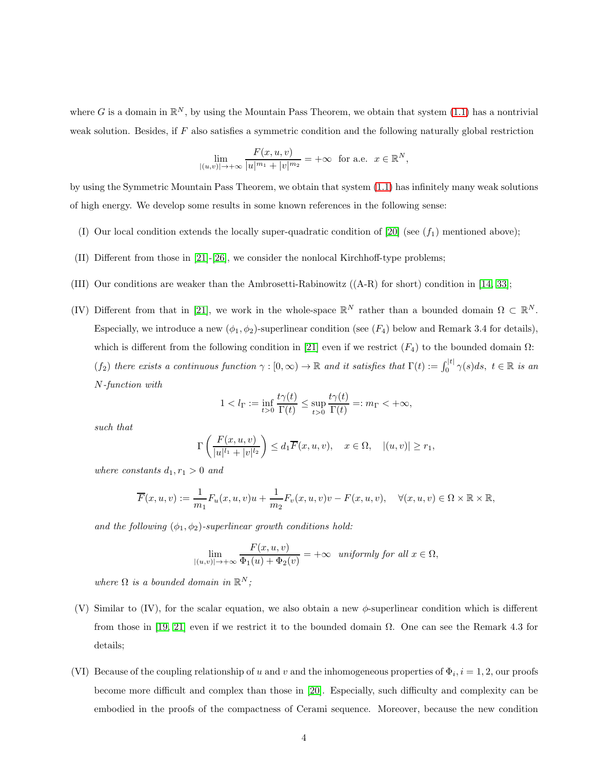where G is a domain in  $\mathbb{R}^N$ , by using the Mountain Pass Theorem, we obtain that system [\(1.1\)](#page-0-0) has a nontrivial weak solution. Besides, if  $F$  also satisfies a symmetric condition and the following naturally global restriction

$$
\lim_{|(u,v)| \to +\infty} \frac{F(x,u,v)}{|u|^{m_1} + |v|^{m_2}} = +\infty \text{ for a.e. } x \in \mathbb{R}^N,
$$

by using the Symmetric Mountain Pass Theorem, we obtain that system [\(1.1\)](#page-0-0) has infinitely many weak solutions of high energy. We develop some results in some known references in the following sense:

- (I) Our local condition extends the locally super-quadratic condition of  $[20]$  (see  $(f_1)$  mentioned above);
- (II) Different from those in [\[21\]](#page-33-10)-[\[26\]](#page-34-1), we consider the nonlocal Kirchhoff-type problems;
- (III) Our conditions are weaker than the Ambrosetti-Rabinowitz ((A-R) for short) condition in [\[14,](#page-33-3) [33\]](#page-34-0);
- (IV) Different from that in [\[21\]](#page-33-10), we work in the whole-space  $\mathbb{R}^N$  rather than a bounded domain  $\Omega \subset \mathbb{R}^N$ . Especially, we introduce a new  $(\phi_1, \phi_2)$ -superlinear condition (see  $(F_4)$ ) below and Remark 3.4 for details), which is different from the following condition in [\[21\]](#page-33-10) even if we restrict  $(F_4)$  to the bounded domain  $\Omega$ :  $(f_2)$  there exists a continuous function  $\gamma : [0, \infty) \to \mathbb{R}$  and it satisfies that  $\Gamma(t) := \int_0^{|t|} \gamma(s) ds$ ,  $t \in \mathbb{R}$  is an N-function with

$$
1 < l_{\Gamma} := \inf_{t > 0} \frac{t \gamma(t)}{\Gamma(t)} \leq \sup_{t > 0} \frac{t \gamma(t)}{\Gamma(t)} =: m_{\Gamma} < +\infty,
$$

such that

$$
\Gamma\left(\frac{F(x,u,v)}{|u|^{l_1}+|v|^{l_2}}\right)\leq d_1\overline{F}(x,u,v),\quad x\in\Omega,\quad |(u,v)|\geq r_1,
$$

where constants  $d_1, r_1 > 0$  and

$$
\overline{F}(x, u, v) := \frac{1}{m_1} F_u(x, u, v)u + \frac{1}{m_2} F_v(x, u, v)v - F(x, u, v), \quad \forall (x, u, v) \in \Omega \times \mathbb{R} \times \mathbb{R},
$$

and the following  $(\phi_1, \phi_2)$ -superlinear growth conditions hold:

$$
\lim_{|(u,v)| \to +\infty} \frac{F(x,u,v)}{\Phi_1(u) + \Phi_2(v)} = +\infty \quad \text{uniformly for all } x \in \Omega,
$$

where  $\Omega$  is a bounded domain in  $\mathbb{R}^N$ ;

- (V) Similar to (IV), for the scalar equation, we also obtain a new  $\phi$ -superlinear condition which is different from those in [\[19,](#page-33-8) [21\]](#page-33-10) even if we restrict it to the bounded domain  $\Omega$ . One can see the Remark 4.3 for details;
- (VI) Because of the coupling relationship of u and v and the inhomogeneous properties of  $\Phi_i$ ,  $i = 1, 2$ , our proofs become more difficult and complex than those in [\[20\]](#page-33-9). Especially, such difficulty and complexity can be embodied in the proofs of the compactness of Cerami sequence. Moreover, because the new condition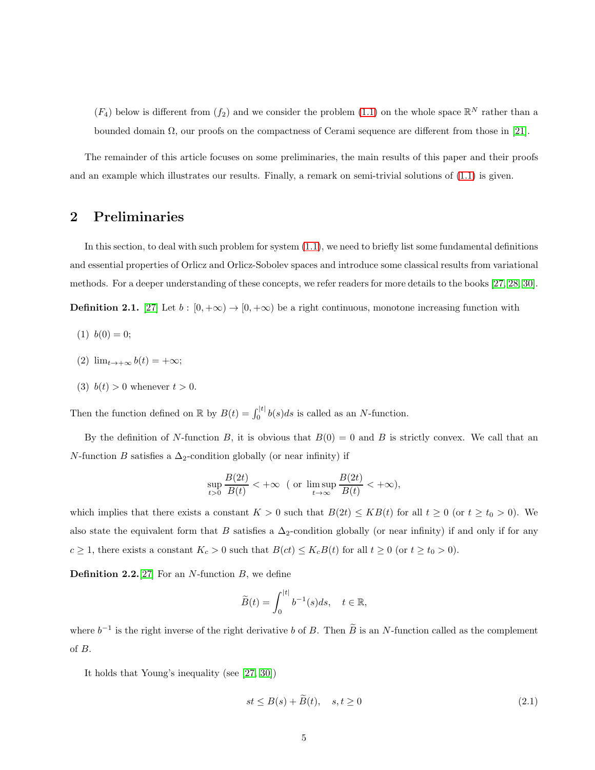$(F_4)$  below is different from  $(f_2)$  and we consider the problem  $(1.1)$  on the whole space  $\mathbb{R}^N$  rather than a bounded domain  $\Omega$ , our proofs on the compactness of Cerami sequence are different from those in [\[21\]](#page-33-10).

The remainder of this article focuses on some preliminaries, the main results of this paper and their proofs and an example which illustrates our results. Finally, a remark on semi-trivial solutions of [\(1.1\)](#page-0-0) is given.

## 2 Preliminaries

In this section, to deal with such problem for system  $(1.1)$ , we need to briefly list some fundamental definitions and essential properties of Orlicz and Orlicz-Sobolev spaces and introduce some classical results from variational methods. For a deeper understanding of these concepts, we refer readers for more details to the books [\[27,](#page-34-3) [28,](#page-34-4) 30].

**Definition 2.1.** [\[27\]](#page-34-3) Let  $b : [0, +\infty) \to [0, +\infty)$  be a right continuous, monotone increasing function with

- $(1)$   $b(0) = 0;$
- (2)  $\lim_{t\to+\infty} b(t) = +\infty;$
- (3)  $b(t) > 0$  whenever  $t > 0$ .

Then the function defined on  $\mathbb R$  by  $B(t) = \int_0^{|t|} b(s)ds$  is called as an N-function.

By the definition of N-function B, it is obvious that  $B(0) = 0$  and B is strictly convex. We call that an N-function B satisfies a  $\Delta_2$ -condition globally (or near infinity) if

$$
\sup_{t>0} \frac{B(2t)}{B(t)} < +\infty \quad (\text{or } \limsup_{t \to \infty} \frac{B(2t)}{B(t)} < +\infty),
$$

which implies that there exists a constant  $K > 0$  such that  $B(2t) \le KB(t)$  for all  $t \ge 0$  (or  $t \ge t_0 > 0$ ). We also state the equivalent form that B satisfies a  $\Delta_2$ -condition globally (or near infinity) if and only if for any  $c \ge 1$ , there exists a constant  $K_c > 0$  such that  $B(ct) \le K_c B(t)$  for all  $t \ge 0$  (or  $t \ge t_0 > 0$ ).

**Definition 2.2.**[\[27\]](#page-34-3) For an N-function  $B$ , we define

$$
\widetilde{B}(t) = \int_0^{|t|} b^{-1}(s)ds, \quad t \in \mathbb{R},
$$

where  $b^{-1}$  is the right inverse of the right derivative b of B. Then  $\tilde{B}$  is an N-function called as the complement of B.

It holds that Young's inequality (see [\[27,](#page-34-3) 30])

<span id="page-4-0"></span>
$$
st \leq B(s) + \widetilde{B}(t), \quad s, t \geq 0 \tag{2.1}
$$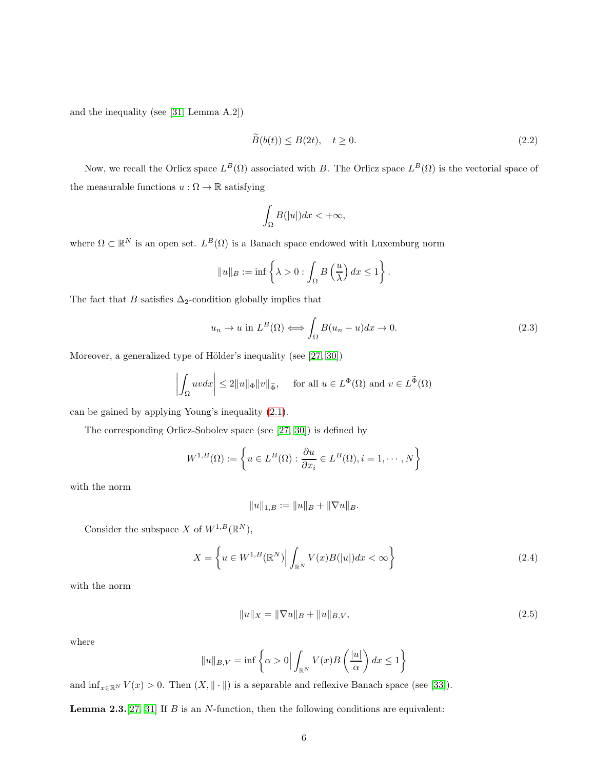and the inequality (see [\[31,](#page-34-5) Lemma A.2])

<span id="page-5-1"></span>
$$
\widetilde{B}(b(t)) \le B(2t), \quad t \ge 0. \tag{2.2}
$$

Now, we recall the Orlicz space  $L^B(\Omega)$  associated with B. The Orlicz space  $L^B(\Omega)$  is the vectorial space of the measurable functions  $u:\Omega\to\mathbb{R}$  satisfying

$$
\int_{\Omega} B(|u|)dx < +\infty,
$$

where  $\Omega \subset \mathbb{R}^N$  is an open set.  $L^B(\Omega)$  is a Banach space endowed with Luxemburg norm

$$
||u||_B := \inf \left\{ \lambda > 0 : \int_{\Omega} B\left(\frac{u}{\lambda}\right) dx \le 1 \right\}.
$$

The fact that  $B$  satisfies  $\Delta_2\text{-condition globally implies that}$ 

$$
u_n \to u \text{ in } L^B(\Omega) \Longleftrightarrow \int_{\Omega} B(u_n - u) dx \to 0. \tag{2.3}
$$

Moreover, a generalized type of Hölder's inequality (see  $[27, 30]$ )

$$
\left| \int_{\Omega} uv \, dx \right| \le 2||u||_{\Phi} ||v||_{\widetilde{\Phi}}, \quad \text{ for all } u \in L^{\Phi}(\Omega) \text{ and } v \in L^{\widetilde{\Phi}}(\Omega)
$$

can be gained by applying Young's inequality [\(2.1\)](#page-4-0).

The corresponding Orlicz-Sobolev space (see [\[27,](#page-34-3) 30]) is defined by

$$
W^{1,B}(\Omega) := \left\{ u \in L^B(\Omega) : \frac{\partial u}{\partial x_i} \in L^B(\Omega), i = 1, \cdots, N \right\}
$$

with the norm

$$
||u||_{1,B} := ||u||_B + ||\nabla u||_B.
$$

Consider the subspace X of  $W^{1,B}(\mathbb{R}^N)$ ,

<span id="page-5-0"></span>
$$
X = \left\{ u \in W^{1,B}(\mathbb{R}^N) \Big| \int_{\mathbb{R}^N} V(x)B(|u|)dx < \infty \right\} \tag{2.4}
$$

with the norm

$$
||u||_X = ||\nabla u||_B + ||u||_{B,V},
$$
\n(2.5)

where

$$
||u||_{B,V} = \inf \left\{ \alpha > 0 \Big| \int_{\mathbb{R}^N} V(x)B\left(\frac{|u|}{\alpha}\right) dx \le 1 \right\}
$$

and  $\inf_{x\in\mathbb{R}^N}V(x) > 0$ . Then  $(X, \|\cdot\|)$  is a separable and reflexive Banach space (see [\[33\]](#page-34-0)).

**Lemma 2.3.** [\[27,](#page-34-3) [31\]](#page-34-5) If B is an N-function, then the following conditions are equivalent: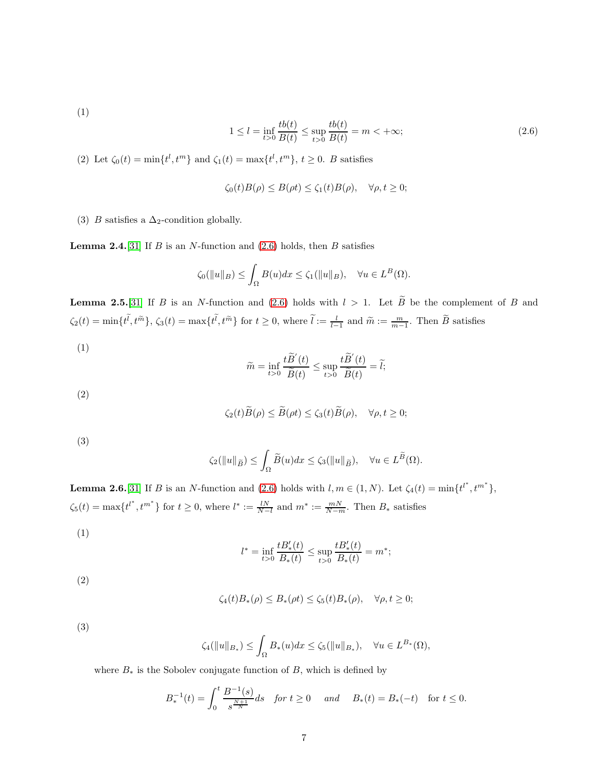(1)

<span id="page-6-0"></span>
$$
1 \le l = \inf_{t>0} \frac{tb(t)}{B(t)} \le \sup_{t>0} \frac{tb(t)}{B(t)} = m < +\infty;
$$
 (2.6)

(2) Let  $\zeta_0(t) = \min\{t^l, t^m\}$  and  $\zeta_1(t) = \max\{t^l, t^m\}, t \ge 0$ . B satisfies

$$
\zeta_0(t)B(\rho)\leq B(\rho t)\leq \zeta_1(t)B(\rho),\quad \forall \rho,t\geq 0;
$$

(3) *B* satisfies a  $\Delta_2$ -condition globally.

**Lemma 2.4.**[\[31\]](#page-34-5) If B is an N-function and  $(2.6)$  holds, then B satisfies

$$
\zeta_0(\|u\|_B) \le \int_{\Omega} B(u)dx \le \zeta_1(\|u\|_B), \quad \forall u \in L^B(\Omega).
$$

**Lemma 2.5.**[\[31\]](#page-34-5) If B is an N-function and [\(2.6\)](#page-6-0) holds with  $l > 1$ . Let  $\widetilde{B}$  be the complement of B and  $\zeta_2(t) = \min\{t^l, t^{\tilde{m}}\}, \, \zeta_3(t) = \max\{t^l, t^{\tilde{m}}\}$  for  $t \geq 0$ , where  $\tilde{l} := \frac{l}{l-1}$  and  $\tilde{m} := \frac{m}{m-1}$ . Then  $\tilde{B}$  satisfies

(1)

$$
\widetilde{m} = \inf_{t>0} \frac{t \widetilde{B}'(t)}{\widetilde{B}(t)} \le \sup_{t>0} \frac{t \widetilde{B}'(t)}{\widetilde{B}(t)} = \widetilde{l};
$$

(2)

$$
\zeta_2(t)\widetilde{B}(\rho) \leq \widetilde{B}(\rho t) \leq \zeta_3(t)\widetilde{B}(\rho), \quad \forall \rho, t \geq 0;
$$

(3)

$$
\zeta_2(\|u\|_{\widetilde{B}}) \le \int_{\Omega} \widetilde{B}(u)dx \le \zeta_3(\|u\|_{\widetilde{B}}), \quad \forall u \in L^{\widetilde{B}}(\Omega).
$$

**Lemma 2.6.**[\[31\]](#page-34-5) If B is an N-function and [\(2.6\)](#page-6-0) holds with  $l, m \in (1, N)$ . Let  $\zeta_4(t) = \min\{t^{l^*}, t^{m^*}\},$  $\zeta_5(t) = \max\{t^{l^*}, t^{m^*}\}\$ for  $t \geq 0$ , where  $l^* := \frac{lN}{N-l}$  and  $m^* := \frac{mN}{N-m}$ . Then  $B_*$  satisfies

(1)

$$
l^* = \inf_{t>0} \frac{tB'_*(t)}{B_*(t)} \le \sup_{t>0} \frac{tB'_*(t)}{B_*(t)} = m^*;
$$

(2)

$$
\zeta_4(t)B_*(\rho) \leq B_*(\rho t) \leq \zeta_5(t)B_*(\rho), \quad \forall \rho, t \geq 0;
$$

(3)

$$
\zeta_4(\|u\|_{B_*}) \le \int_{\Omega} B_*(u)dx \le \zeta_5(\|u\|_{B_*}), \quad \forall u \in L^{B_*}(\Omega),
$$

where  $B_*$  is the Sobolev conjugate function of  $B$ , which is defined by

$$
B_*^{-1}(t) = \int_0^t \frac{B^{-1}(s)}{s^{\frac{N+1}{N}}} ds \quad \text{for } t \ge 0 \quad \text{and} \quad B_*(t) = B_*(-t) \quad \text{for } t \le 0.
$$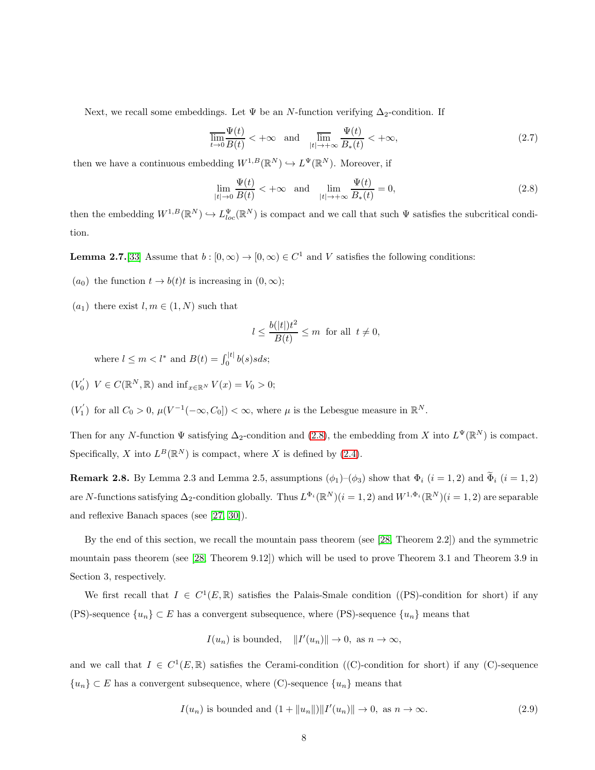Next, we recall some embeddings. Let  $\Psi$  be an N-function verifying  $\Delta_2$ -condition. If

$$
\overline{\lim_{t \to 0}} \frac{\Psi(t)}{B(t)} < +\infty \quad \text{and} \quad \overline{\lim_{|t| \to +\infty}} \frac{\Psi(t)}{B_*(t)} < +\infty,
$$
\n(2.7)

then we have a continuous embedding  $W^{1,B}(\mathbb{R}^N) \hookrightarrow L^{\Psi}(\mathbb{R}^N)$ . Moreover, if

<span id="page-7-0"></span>
$$
\lim_{|t| \to 0} \frac{\Psi(t)}{B(t)} < +\infty \quad \text{and} \quad \lim_{|t| \to +\infty} \frac{\Psi(t)}{B_*(t)} = 0,\tag{2.8}
$$

then the embedding  $W^{1,B}(\mathbb{R}^N) \hookrightarrow L^{\Psi}_{loc}(\mathbb{R}^N)$  is compact and we call that such  $\Psi$  satisfies the subcritical condition.

**Lemma 2.7.**[\[33\]](#page-34-0) Assume that  $b : [0, \infty) \to [0, \infty) \in C^1$  and V satisfies the following conditions:

- (*a*<sub>0</sub>) the function  $t \to b(t)t$  is increasing in  $(0, \infty)$ ;
- $(a_1)$  there exist  $l, m \in (1, N)$  such that

$$
l \le \frac{b(|t|)t^2}{B(t)} \le m \text{ for all } t \ne 0,
$$

where  $l \leq m < l^*$  and  $B(t) = \int_0^{|t|} b(s)sds$ ;

- $(V_0')$   $V \in C(\mathbb{R}^N, \mathbb{R})$  and  $\inf_{x \in \mathbb{R}^N} V(x) = V_0 > 0;$
- $(V'_1)$  for all  $C_0 > 0$ ,  $\mu(V^{-1}(-\infty, C_0]) < \infty$ , where  $\mu$  is the Lebesgue measure in  $\mathbb{R}^N$ .

Then for any N-function  $\Psi$  satisfying  $\Delta_2$ -condition and [\(2.8\)](#page-7-0), the embedding from X into  $L^{\Psi}(\mathbb{R}^N)$  is compact. Specifically, X into  $L^B(\mathbb{R}^N)$  is compact, where X is defined by [\(2.4\)](#page-5-0).

**Remark 2.8.** By Lemma 2.3 and Lemma 2.5, assumptions  $(\phi_1)$ – $(\phi_3)$  show that  $\Phi_i$   $(i = 1, 2)$  and  $\widetilde{\Phi}_i$   $(i = 1, 2)$ are N-functions satisfying  $\Delta_2$ -condition globally. Thus  $L^{\Phi_i}(\mathbb{R}^N)(i=1,2)$  and  $W^{1,\Phi_i}(\mathbb{R}^N)(i=1,2)$  are separable and reflexive Banach spaces (see [\[27,](#page-34-3) 30]).

By the end of this section, we recall the mountain pass theorem (see [\[28,](#page-34-4) Theorem 2.2]) and the symmetric mountain pass theorem (see [\[28,](#page-34-4) Theorem 9.12]) which will be used to prove Theorem 3.1 and Theorem 3.9 in Section 3, respectively.

We first recall that  $I \in C^1(E, \mathbb{R})$  satisfies the Palais-Smale condition ((PS)-condition for short) if any (PS)-sequence  ${u_n} \subset E$  has a convergent subsequence, where (PS)-sequence  ${u_n}$  means that

$$
I(u_n)
$$
 is bounded,  $||I'(u_n)|| \to 0$ , as  $n \to \infty$ ,

and we call that  $I \in C^1(E, \mathbb{R})$  satisfies the Cerami-condition ((C)-condition for short) if any (C)-sequence  ${u_n} \subset E$  has a convergent subsequence, where (C)-sequence  ${u_n}$  means that

<span id="page-7-1"></span>
$$
I(u_n) \text{ is bounded and } (1 + ||u_n||) ||I'(u_n)|| \to 0, \text{ as } n \to \infty. \tag{2.9}
$$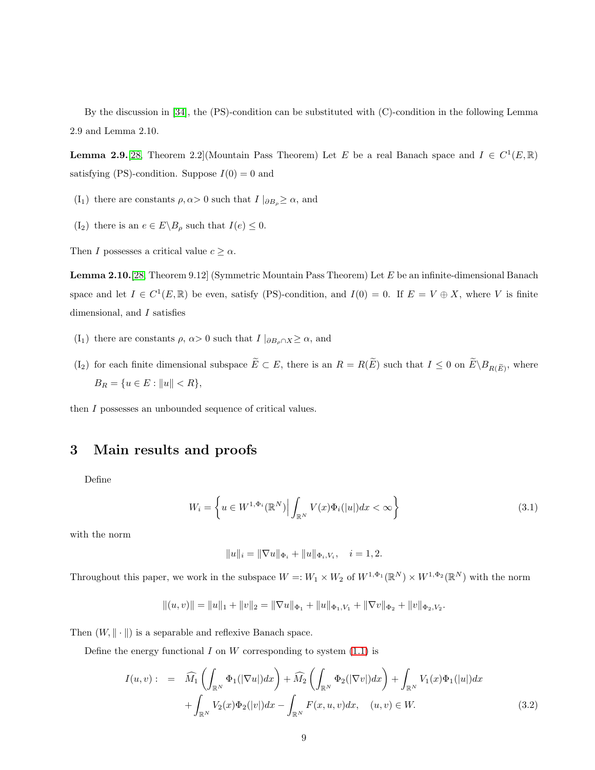By the discussion in [\[34\]](#page-34-6), the (PS)-condition can be substituted with (C)-condition in the following Lemma 2.9 and Lemma 2.10.

**Lemma 2.9.** [\[28,](#page-34-4) Theorem 2.2] (Mountain Pass Theorem) Let E be a real Banach space and  $I \in C^1(E, \mathbb{R})$ satisfying (PS)-condition. Suppose  $I(0) = 0$  and

- (I<sub>1</sub>) there are constants  $\rho, \alpha > 0$  such that  $I |_{\partial B_{\rho}} \geq \alpha$ , and
- $(I_2)$  there is an  $e \in E \backslash B_\rho$  such that  $I(e) \leq 0$ .

Then I possesses a critical value  $c \geq \alpha$ .

Lemma 2.10.[\[28,](#page-34-4) Theorem 9.12] (Symmetric Mountain Pass Theorem) Let E be an infinite-dimensional Banach space and let  $I \in C^1(E, \mathbb{R})$  be even, satisfy (PS)-condition, and  $I(0) = 0$ . If  $E = V \oplus X$ , where V is finite dimensional, and I satisfies

- (I<sub>1</sub>) there are constants  $\rho$ ,  $\alpha > 0$  such that  $I |_{\partial B_{\rho} \cap X} \geq \alpha$ , and
- (I<sub>2</sub>) for each finite dimensional subspace  $E \subset E$ , there is an  $R = R(E)$  such that  $I \leq 0$  on  $E \setminus B_{R(E)}$ , where  $\label{eq:BR} B_R = \{u \in E: \|u\| < R\},$

then I possesses an unbounded sequence of critical values.

# 3 Main results and proofs

Define

$$
W_i = \left\{ u \in W^{1,\Phi_i}(\mathbb{R}^N) \Big| \int_{\mathbb{R}^N} V(x) \Phi_i(|u|) dx < \infty \right\} \tag{3.1}
$$

with the norm

$$
||u||_i = ||\nabla u||_{\Phi_i} + ||u||_{\Phi_i, V_i}, \quad i = 1, 2.
$$

Throughout this paper, we work in the subspace  $W =: W_1 \times W_2$  of  $W^{1,\Phi_1}(\mathbb{R}^N) \times W^{1,\Phi_2}(\mathbb{R}^N)$  with the norm

$$
||(u, v)|| = ||u||_1 + ||v||_2 = ||\nabla u||_{\Phi_1} + ||u||_{\Phi_1, V_1} + ||\nabla v||_{\Phi_2} + ||v||_{\Phi_2, V_2}.
$$

Then  $(W, \|\cdot\|)$  is a separable and reflexive Banach space.

Define the energy functional  $I$  on  $W$  corresponding to system  $(1.1)$  is

$$
I(u,v): = \widehat{M}_1\left(\int_{\mathbb{R}^N}\Phi_1(|\nabla u|)dx\right) + \widehat{M}_2\left(\int_{\mathbb{R}^N}\Phi_2(|\nabla v|)dx\right) + \int_{\mathbb{R}^N}V_1(x)\Phi_1(|u|)dx
$$
  
+ 
$$
\int_{\mathbb{R}^N}V_2(x)\Phi_2(|v|)dx - \int_{\mathbb{R}^N}F(x,u,v)dx, \quad (u,v) \in W.
$$
 (3.2)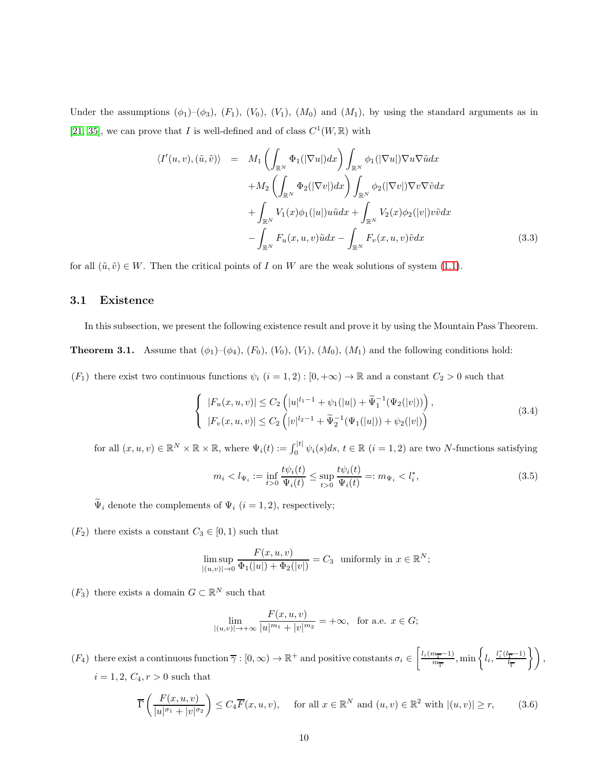Under the assumptions  $(\phi_1)$ – $(\phi_3)$ ,  $(F_1)$ ,  $(V_0)$ ,  $(V_1)$ ,  $(M_0)$  and  $(M_1)$ , by using the standard arguments as in [\[21,](#page-33-10) [35\]](#page-34-7), we can prove that I is well-defined and of class  $C^1(W, \mathbb{R})$  with

$$
\langle I'(u,v), (\tilde{u}, \tilde{v}) \rangle = M_1 \left( \int_{\mathbb{R}^N} \Phi_1(|\nabla u|) dx \right) \int_{\mathbb{R}^N} \phi_1(|\nabla u|) \nabla u \nabla \tilde{u} dx + M_2 \left( \int_{\mathbb{R}^N} \Phi_2(|\nabla v|) dx \right) \int_{\mathbb{R}^N} \phi_2(|\nabla v|) \nabla v \nabla \tilde{v} dx + \int_{\mathbb{R}^N} V_1(x) \phi_1(|u|) u \tilde{u} dx + \int_{\mathbb{R}^N} V_2(x) \phi_2(|v|) v \tilde{v} dx - \int_{\mathbb{R}^N} F_u(x, u, v) \tilde{u} dx - \int_{\mathbb{R}^N} F_v(x, u, v) \tilde{v} dx
$$
 (3.3)

for all  $(\tilde{u}, \tilde{v}) \in W$ . Then the critical points of I on W are the weak solutions of system [\(1.1\)](#page-0-0).

#### 3.1 Existence

In this subsection, we present the following existence result and prove it by using the Mountain Pass Theorem.

**Theorem 3.1.** Assume that  $(\phi_1)$ – $(\phi_4)$ ,  $(F_0)$ ,  $(V_0)$ ,  $(V_1)$ ,  $(M_0)$ ,  $(M_1)$  and the following conditions hold:

 $(F_1)$  there exist two continuous functions  $\psi_i$   $(i = 1, 2) : [0, +\infty) \to \mathbb{R}$  and a constant  $C_2 > 0$  such that

<span id="page-9-1"></span>
$$
\begin{cases} |F_u(x, u, v)| \le C_2 \left( |u|^{l_1 - 1} + \psi_1(|u|) + \widetilde{\Psi}_1^{-1}(\Psi_2(|v|)) \right), \\ |F_v(x, u, v)| \le C_2 \left( |v|^{l_2 - 1} + \widetilde{\Psi}_2^{-1}(\Psi_1(|u|)) + \psi_2(|v|) \right) \end{cases}
$$
(3.4)

for all  $(x, u, v) \in \mathbb{R}^N \times \mathbb{R} \times \mathbb{R}$ , where  $\Psi_i(t) := \int_0^{|t|} \psi_i(s) ds, t \in \mathbb{R}$   $(i = 1, 2)$  are two N-functions satisfying

<span id="page-9-0"></span>
$$
m_i < l_{\Psi_i} := \inf_{t > 0} \frac{t\psi_i(t)}{\Psi_i(t)} \le \sup_{t > 0} \frac{t\psi_i(t)}{\Psi_i(t)} =: m_{\Psi_i} < l_i^*,\tag{3.5}
$$

 $\widetilde{\Psi}_i$  denote the complements of  $\Psi_i$   $(i=1,2),$  respectively;

 $(F_2)$  there exists a constant  $C_3 \in [0,1)$  such that

$$
\limsup_{|(u,v)| \to 0} \frac{F(x,u,v)}{\Phi_1(|u|) + \Phi_2(|v|)} = C_3 \text{ uniformly in } x \in \mathbb{R}^N;
$$

 $(F_3)$  there exists a domain  $G \subset \mathbb{R}^N$  such that

$$
\lim_{|(u,v)| \to +\infty} \frac{F(x,u,v)}{|u|^{m_1} + |v|^{m_2}} = +\infty, \text{ for a.e. } x \in G;
$$

 $(F_4)$  there exist a continuous function  $\overline{\gamma}: [0, \infty) \to \mathbb{R}^+$  and positive constants  $\sigma_i \in \left[\frac{l_i(m_{\overline{\Gamma}}-1)}{m_{\overline{\Gamma}}} \right]$  $\frac{m_{\overline{\Gamma}}-1)}{m_{\overline{\Gamma}}}$ , min  $\left\{l_i, \frac{l_i^*(l_{\overline{\Gamma}}-1)}{l_{\overline{\Gamma}}} \right\}$  $\left\{\frac{\overline{\Gamma}^{-1}}{\overline{\Gamma}}\right\},\right\}$  $i = 1, 2, C_4, r > 0$  such that

$$
\overline{\Gamma}\left(\frac{F(x,u,v)}{|u|^{\sigma_1}+|v|^{\sigma_2}}\right) \le C_4 \overline{F}(x,u,v), \quad \text{ for all } x \in \mathbb{R}^N \text{ and } (u,v) \in \mathbb{R}^2 \text{ with } |(u,v)| \ge r,
$$
 (3.6)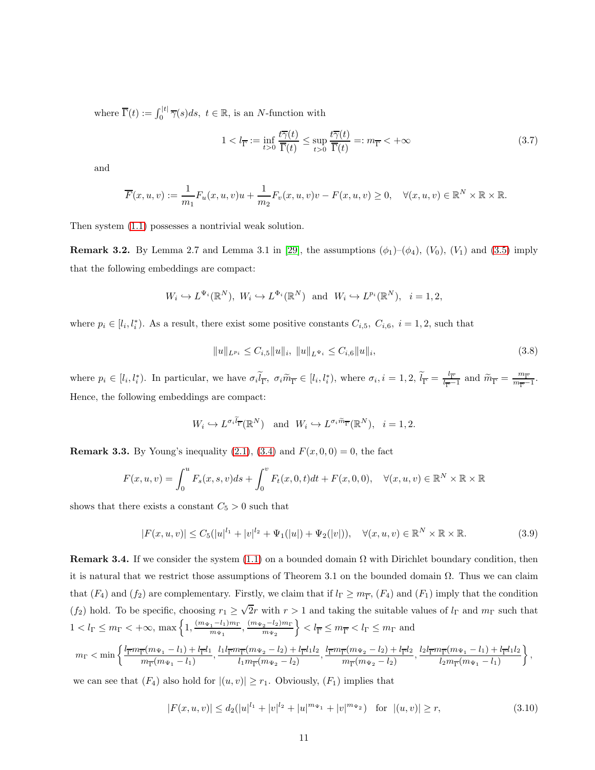where  $\overline{\Gamma}(t) := \int_0^{|t|} \overline{\gamma}(s) ds, t \in \mathbb{R}$ , is an *N*-function with

$$
1 < l_{\overline{\Gamma}} := \inf_{t > 0} \frac{t\overline{\gamma}(t)}{\overline{\Gamma}(t)} \le \sup_{t > 0} \frac{t\overline{\gamma}(t)}{\overline{\Gamma}(t)} =: m_{\overline{\Gamma}} < +\infty \tag{3.7}
$$

and

$$
\overline{F}(x, u, v) := \frac{1}{m_1} F_u(x, u, v)u + \frac{1}{m_2} F_v(x, u, v)v - F(x, u, v) \ge 0, \quad \forall (x, u, v) \in \mathbb{R}^N \times \mathbb{R} \times \mathbb{R}.
$$

Then system [\(1.1\)](#page-0-0) possesses a nontrivial weak solution.

**Remark 3.2.** By Lemma 2.7 and Lemma 3.1 in [\[29\]](#page-34-8), the assumptions  $(\phi_1)$ – $(\phi_4)$ ,  $(V_0)$ ,  $(V_1)$  and [\(3.5\)](#page-9-0) imply that the following embeddings are compact:

$$
W_i \hookrightarrow L^{\Psi_i}(\mathbb{R}^N), W_i \hookrightarrow L^{\Phi_i}(\mathbb{R}^N)
$$
 and  $W_i \hookrightarrow L^{p_i}(\mathbb{R}^N), i = 1, 2,$ 

where  $p_i \in [l_i, l_i^*]$ . As a result, there exist some positive constants  $C_{i,5}$ ,  $C_{i,6}$ ,  $i = 1, 2$ , such that

$$
||u||_{L^{p_i}} \leq C_{i,5}||u||_i, \ ||u||_{L^{\Psi_i}} \leq C_{i,6}||u||_i,
$$
\n(3.8)

where  $p_i \in [l_i, l_i^* )$ . In particular, we have  $\sigma_i \tilde{l}_{\overline{\Gamma}}, \sigma_i \tilde{m}_{\overline{\Gamma}} \in [l_i, l_i^* )$ , where  $\sigma_i, i = 1, 2, \tilde{l}_{\overline{\Gamma}} = \frac{l_{\overline{\Gamma}}}{l_{\overline{\Gamma}}}$  $\frac{l_{\overline{\Gamma}}}{l_{\overline{\Gamma}}-1}$  and  $\widetilde{m}_{\overline{\Gamma}} = \frac{m_{\overline{\Gamma}}}{m_{\overline{\Gamma}}-1}$  $\frac{m_{\overline{\Gamma}}}{m_{\overline{\Gamma}}-1}$ . Hence, the following embeddings are compact:

$$
W_i \hookrightarrow L^{\sigma_i \widetilde{l}_{\overline{\Gamma}}}(\mathbb{R}^N)
$$
 and  $W_i \hookrightarrow L^{\sigma_i \widetilde{m}_{\overline{\Gamma}}}(\mathbb{R}^N)$ ,  $i = 1, 2$ .

**Remark 3.3.** By Young's inequality [\(2.1\)](#page-4-0), [\(3.4\)](#page-9-1) and  $F(x, 0, 0) = 0$ , the fact

$$
F(x, u, v) = \int_0^u F_s(x, s, v)ds + \int_0^v F_t(x, 0, t)dt + F(x, 0, 0), \quad \forall (x, u, v) \in \mathbb{R}^N \times \mathbb{R} \times \mathbb{R}
$$

shows that there exists a constant  $C_5 > 0$  such that

<span id="page-10-1"></span>
$$
|F(x, u, v)| \le C_5(|u|^{l_1} + |v|^{l_2} + \Psi_1(|u|) + \Psi_2(|v|)), \quad \forall (x, u, v) \in \mathbb{R}^N \times \mathbb{R} \times \mathbb{R}.
$$
 (3.9)

**Remark 3.4.** If we consider the system [\(1.1\)](#page-0-0) on a bounded domain  $\Omega$  with Dirichlet boundary condition, then it is natural that we restrict those assumptions of Theorem 3.1 on the bounded domain Ω. Thus we can claim that  $(F_4)$  and  $(f_2)$  are complementary. Firstly, we claim that if  $l_{\Gamma} \geq m_{\overline{\Gamma}}, (F_4)$  and  $(F_1)$  imply that the condition  $(f_2)$  hold. To be specific, choosing  $r_1 \geq \sqrt{2}r$  with  $r > 1$  and taking the suitable values of  $l_{\Gamma}$  and  $m_{\Gamma}$  such that  $1 < l_{\Gamma} \leq m_{\Gamma} < +\infty$ , max $\left\{1, \frac{(m_{\Psi_1}-l_1)m_{\Gamma}}{m_{\Psi_1}}\right\}$  $\frac{(m_{\Psi_2}-l_2)m_{\Gamma}}{m_{\Psi_1}}, \frac{(m_{\Psi_2}-l_2)m_{\Gamma}}{m_{\Psi_2}}$  $m_{\Psi_2}$  $\Big\} < l_{\overline{\Gamma}} \leq m_{\overline{\Gamma}} < l_{\Gamma} \leq m_{\Gamma}$  and

$$
m_{\Gamma} < \min\left\{\frac{l_{\overline{\Gamma}}m_{\overline{\Gamma}}(m_{\Psi_1}-l_1)+l_{\overline{\Gamma}}l_1}{m_{\overline{\Gamma}}(m_{\Psi_1}-l_1)},\frac{l_1l_{\overline{\Gamma}}m_{\overline{\Gamma}}(m_{\Psi_2}-l_2)+l_{\overline{\Gamma}}l_1l_2}{l_1m_{\overline{\Gamma}}(m_{\Psi_2}-l_2)},\frac{l_{\overline{\Gamma}}m_{\overline{\Gamma}}(m_{\Psi_2}-l_2)+l_{\overline{\Gamma}}l_2}{m_{\overline{\Gamma}}(m_{\Psi_2}-l_2)},\frac{l_2l_{\overline{\Gamma}}m_{\overline{\Gamma}}(m_{\Psi_1}-l_1)+l_{\overline{\Gamma}}l_1l_2}{l_2m_{\overline{\Gamma}}(m_{\Psi_1}-l_1)}\right\},\frac{l_{\overline{\Gamma}}m_{\overline{\Gamma}}(m_{\Psi_2}-l_2)}{l_1m_{\overline{\Gamma}}(m_{\Psi_2}-l_2)},\frac{l_{\overline{\Gamma}}m_{\overline{\Gamma}}(m_{\Psi_1}-l_1)+l_{\overline{\Gamma}}l_1l_2}{l_2m_{\overline{\Gamma}}(m_{\Psi_1}-l_1)}\right\},\frac{l_{\overline{\Gamma}}m_{\overline{\Gamma}}(m_{\Psi_2}-l_2)}{l_1m_{\overline{\Gamma}}(m_{\Psi_2}-l_2)},\frac{l_{\overline{\Gamma}}m_{\overline{\Gamma}}(m_{\Psi_2}-l_1)+l_{\overline{\Gamma}}l_1l_2}{l_2m_{\overline{\Gamma}}(m_{\Psi_1}-l_1)}\right\}
$$

we can see that  $(F_4)$  also hold for  $|(u, v)| \ge r_1$ . Obviously,  $(F_1)$  implies that

<span id="page-10-0"></span>
$$
|F(x, u, v)| \le d_2(|u|^{l_1} + |v|^{l_2} + |u|^{m_{\Psi_1}} + |v|^{m_{\Psi_2}}) \quad \text{for } |(u, v)| \ge r,
$$
\n(3.10)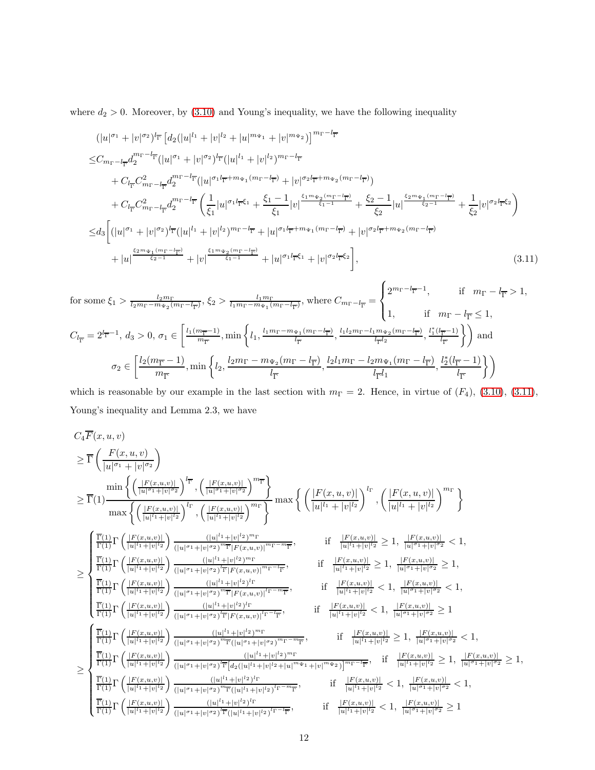where  $d_2 > 0$ . Moreover, by  $(3.10)$  and Young's inequality, we have the following inequality

<span id="page-11-0"></span>
$$
(|u|^{\sigma_1} + |v|^{\sigma_2})^{l_{\overline{\Gamma}}}\left[d_2(|u|^{l_1} + |v|^{l_2} + |u|^{m_{\Psi_1}} + |v|^{m_{\Psi_2}})\right]^{m_{\Gamma} - l_{\overline{\Gamma}}}
$$
\n
$$
\leq C_{m_{\Gamma} - l_{\overline{\Gamma}}} d_2^{m_{\Gamma} - l_{\overline{\Gamma}}} (|u|^{\sigma_1} + |v|^{\sigma_2})^{l_{\overline{\Gamma}}} (|u|^{l_1} + |v|^{l_2})^{m_{\Gamma} - l_{\overline{\Gamma}}} \n+ C_{l_{\overline{\Gamma}}} C_{m_{\Gamma} - l_{\overline{\Gamma}}}^2 d_2^{m_{\Gamma} - l_{\overline{\Gamma}}} (|u|^{\sigma_1 l_{\overline{\Gamma}} + m_{\Psi_1}(m_{\Gamma} - l_{\overline{\Gamma}})} + |v|^{\sigma_2 l_{\overline{\Gamma}} + m_{\Psi_2}(m_{\Gamma} - l_{\overline{\Gamma}})})
$$
\n
$$
+ C_{l_{\overline{\Gamma}}} C_{m_{\Gamma} - l_{\overline{\Gamma}}}^2 d_2^{m_{\Gamma} - l_{\overline{\Gamma}}} \left(\frac{1}{\xi_1} |u|^{\sigma_1 l_{\overline{\Gamma}} \xi_1} + \frac{\xi_1 - 1}{\xi_1} |v|^{\frac{\xi_1 m_{\Psi_2}(m_{\Gamma} - l_{\overline{\Gamma}})}{\xi_1 - 1}} + \frac{\xi_2 - 1}{\xi_2} |u|^{\frac{\xi_2 m_{\Psi_1}(m_{\Gamma} - l_{\overline{\Gamma}})}{\xi_2 - 1}} + \frac{1}{\xi_2} |v|^{\sigma_2 l_{\overline{\Gamma}} \xi_2}
$$
\n
$$
\leq d_3 \left[ (|u|^{\sigma_1} + |v|^{\sigma_2})^{l_{\overline{\Gamma}}} (|u|^{l_1} + |v|^{l_2})^{m_{\Gamma} - l_{\overline{\Gamma}}} + |u|^{\sigma_1 l_{\overline{\Gamma}} + m_{\Psi_1}(m_{\Gamma} - l_{\overline{\Gamma}})} + |v|^{\sigma_2 l_{\overline{\Gamma}} + m_{\Psi_2}(m_{\Gamma} - l_{\overline{\Gamma}})} \right]
$$
\n
$$
+ |u|^{\frac{\xi_2 m_{\Psi_1}(m_{\Gamma} - l_{\overline{\Gamma}})}{\xi_2 -
$$

$$
\begin{aligned} &\text{for some }\xi_{1}>\frac{l_{2}m_{\Gamma}}{l_{2}m_{\Gamma}-m_{\Psi_{2}}(m_{\Gamma}-l_{\overline{\Gamma}})},\ \xi_{2}>\frac{l_{1}m_{\Gamma}}{l_{1}m_{\Gamma}-m_{\Psi_{1}}(m_{\Gamma}-l_{\overline{\Gamma}})},\ \text{where } C_{m_{\Gamma}-l_{\overline{\Gamma}}}=\begin{cases} 2^{m_{\Gamma}-l_{\overline{\Gamma}}-1}, & \text{if} \quad m_{\Gamma}-l_{\overline{\Gamma}}>1, \\ 1, & \text{if} \quad m_{\Gamma}-l_{\overline{\Gamma}}\leq 1, \end{cases}\\ &\text{if} \quad c_{l_{\overline{\Gamma}}} = 2^{l_{\overline{\Gamma}}-1},\ d_{3}>0,\ \sigma_{1}\in\left[\frac{l_{1}(m_{\overline{\Gamma}}-1)}{m_{\overline{\Gamma}}},\ \min\left\{l_{1},\frac{l_{1}m_{\Gamma}-m_{\Psi_{1}}(m_{\Gamma}-l_{\overline{\Gamma}})}{l_{\overline{\Gamma}}},\frac{l_{1}l_{2}m_{\Gamma}-l_{1}m_{\Psi_{2}}(m_{\Gamma}-l_{\overline{\Gamma}})}{l_{\overline{\Gamma}}l_{2}},\frac{l_{1}^{*}(l_{\overline{\Gamma}}-1)}{l_{\overline{\Gamma}}l_{2}}\right\}\right) \text{ and } \\ &\sigma_{2}\in\left[\frac{l_{2}(m_{\overline{\Gamma}}-1)}{m_{\overline{\Gamma}}},\ \min\left\{l_{2},\frac{l_{2}m_{\Gamma}-m_{\Psi_{2}}(m_{\Gamma}-l_{\overline{\Gamma}})}{l_{\overline{\Gamma}}},\frac{l_{2}l_{1}m_{\Gamma}-l_{2}m_{\Psi_{1}}(m_{\Gamma}-l_{\overline{\Gamma}})}{l_{\overline{\Gamma}}l_{1}},\frac{l_{2}^{*}(l_{\overline{\Gamma}}-1)}{l_{\overline{\Gamma}}l_{2}}\right\}\right) \end{aligned}
$$

which is reasonable by our example in the last section with  $m_{\Gamma} = 2$ . Hence, in virtue of  $(F_4)$ , [\(3.10\)](#page-10-0), [\(3.11\)](#page-11-0), Young's inequality and Lemma 2.3, we have

$$
C_{4}F(x, u, v)
$$
\n
$$
\geq \overline{\Gamma}\left(\frac{F(x, u, v)}{|u|^{\sigma_{1}} + |v|^{\sigma_{2}}}\right)
$$
\n
$$
\geq \overline{\Gamma}(1)
$$
\n
$$
\frac{\min\left\{\left(\frac{|F(x, u, v)|}{|u|^{\sigma_{1}} + |v|^{\sigma_{2}}}\right)^{l_{\overline{r}}}, \left(\frac{|F(x, u, v)|}{|u|^{\sigma_{1}} + |v|^{\sigma_{2}}}\right)^{m_{\overline{r}}}\right\}}{\max\left\{\left(\frac{|F(x, u, v)|}{|u|^{\sigma_{1}} + |v|^{\sigma_{2}}}\right)^{l_{\overline{r}}}, \left(\frac{|F(x, u, v)|}{|u|^{\sigma_{1}} + |v|^{\sigma_{2}}}\right)^{m_{\overline{r}}}\right\}} \max\left\{\left(\frac{|F(x, u, v)|}{|u|^{\sigma_{1}} + |v|^{\sigma_{2}}}\right)^{l_{\overline{r}}}, \left(\frac{|F(x, u, v)|}{|u|^{\sigma_{1}} + |v|^{\sigma_{2}}}\right)^{m_{\overline{r}}}\right\}
$$
\n
$$
\geq \int_{\frac{\overline{\Gamma}(1)}{\Gamma(1)}\Gamma\left(\frac{|F(x, u, v)|}{|u|^{\sigma_{1}} + |v|^{\sigma_{2}}}\right)\frac{(|u|^{\sigma_{1}} + |v|^{\sigma_{2}})^{m_{\overline{r}}}|F(x, u, v)|^{m_{\overline{r}} - m_{\overline{r}}}}{(|u|^{\sigma_{1}} + |v|^{\sigma_{2}}\right)^{m_{\overline{r}}}|F(x, u, v)|^{m_{\overline{r}} - m_{\overline{r}}}, \qquad \text{if } \frac{|F(x, u, v)|}{|u|^{\sigma_{1}} + |v|^{\sigma_{2}}}\geq 1, \frac{|F(x, u, v)|}{|u|^{\sigma_{1}} + |v|^{\sigma_{2}}}\geq 1,
$$
\n
$$
\frac{\overline{\Gamma}(1)}{\Gamma(1)}\Gamma\left(\frac{|F(x, u, v)|}{|u|^{\sigma_{1}} + |v|^{\sigma_{2}}}\right)\frac{(|u|^{\sigma_{1}} + |v|^{\sigma_{2}})^{m_{\overline{r}}|F(x, u, v)|^{m_{\overline{r}} - m_{\overline{r}}}}{(|u|^{\sigma_{1}} + |v|^{\sigma_{2}}\right)^{
$$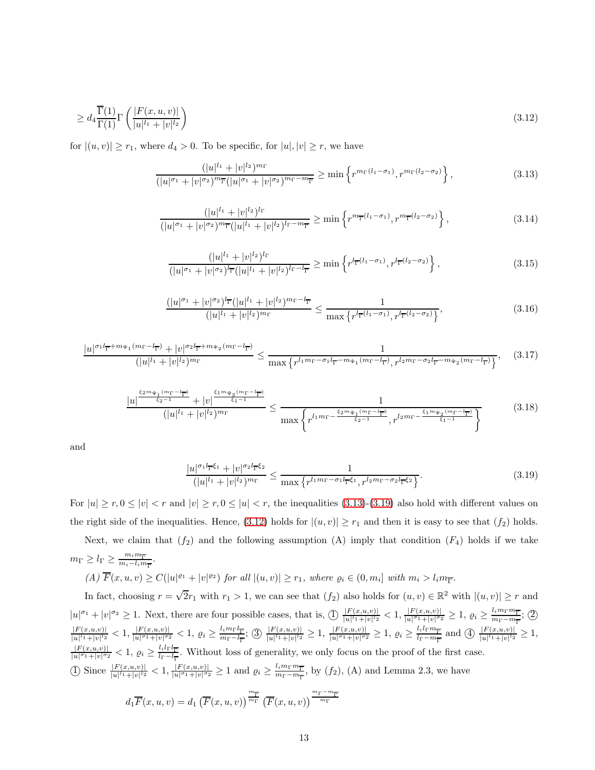$$
\geq d_4 \frac{\overline{\Gamma}(1)}{\Gamma(1)} \Gamma\left(\frac{|F(x, u, v)|}{|u|^{l_1} + |v|^{l_2}}\right) \tag{3.12}
$$

for  $|(u, v)| \ge r_1$ , where  $d_4 > 0$ . To be specific, for  $|u|, |v| \ge r$ , we have

<span id="page-12-2"></span>
$$
\frac{(|u|^{l_1}+|v|^{l_2})^{m_{\Gamma}}}{(|u|^{\sigma_1}+|v|^{\sigma_2})^{m_{\Gamma}}(|u|^{\sigma_1}+|v|^{\sigma_2})^{m_{\Gamma}-m_{\overline{\Gamma}}}} \geq \min\left\{r^{m_{\Gamma}(l_1-\sigma_1)}, r^{m_{\Gamma}(l_2-\sigma_2)}\right\},
$$
\n(3.13)

<span id="page-12-0"></span>
$$
\frac{(|u|^{l_1}+|v|^{l_2})^{l_\Gamma}}{(|u|^{\sigma_1}+|v|^{\sigma_2})^{m_\Gamma}(|u|^{l_1}+|v|^{l_2})^{l_\Gamma-m_\Gamma}} \geq \min\left\{r^{m_\Gamma(l_1-\sigma_1)}, r^{m_\Gamma(l_2-\sigma_2)}\right\},\tag{3.14}
$$

$$
\frac{(|u|^{l_1}+|v|^{l_2})^{l_\Gamma}}{(|u|^{\sigma_1}+|v|^{\sigma_2})^{l_\Gamma}(|u|^{l_1}+|v|^{l_2})^{l_\Gamma-l_\Gamma}} \ge \min\left\{r^{l_\Gamma^{-}(l_1-\sigma_1)}, r^{l_\Gamma^{-}(l_2-\sigma_2)}\right\},\tag{3.15}
$$

$$
\frac{(|u|^{\sigma_1} + |v|^{\sigma_2})^{l_{\overline{\Gamma}}} (|u|^{l_1} + |v|^{l_2})^{m_{\Gamma} - l_{\overline{\Gamma}}} }{(|u|^{l_1} + |v|^{l_2})^{m_{\Gamma}}} \le \frac{1}{\max\left\{r^{l_{\overline{\Gamma}}(l_1 - \sigma_1)}, r^{l_{\overline{\Gamma}}(l_2 - \sigma_2)}\right\}},
$$
\n(3.16)

$$
\frac{|u|^{\sigma_1 l_{\overline{\Gamma}}+m_{\Psi_1}(m_{\Gamma}-l_{\overline{\Gamma}})} + |v|^{\sigma_2 l_{\overline{\Gamma}}+m_{\Psi_2}(m_{\Gamma}-l_{\overline{\Gamma}})}}{(|u|^{l_1}+|v|^{l_2})^{m_{\Gamma}}} \leq \frac{1}{\max\left\{r^{l_1m_{\Gamma}-\sigma_1 l_{\overline{\Gamma}}-m_{\Psi_1}(m_{\Gamma}-l_{\overline{\Gamma}})}, r^{l_2m_{\Gamma}-\sigma_2 l_{\overline{\Gamma}}-m_{\Psi_2}(m_{\Gamma}-l_{\overline{\Gamma}})}\right\}},\tag{3.17}
$$

$$
\frac{|u|^{\frac{\xi_{2}m_{\Psi_{1}}(m_{\Gamma}-l_{\overline{\Gamma}})}{\xi_{2}-1}}(|u|^{l_{1}}+|v|^{l_{2}})^{m_{\Gamma}}}{(|u|^{l_{1}}+|v|^{l_{2}})^{m_{\Gamma}}}\leq \frac{1}{\max\left\{r^{l_{1}m_{\Gamma}-\frac{\xi_{2}m_{\Psi_{1}}(m_{\Gamma}-l_{\overline{\Gamma}})}{\xi_{2}-1}},r^{l_{2}m_{\Gamma}-\frac{\xi_{1}m_{\Psi_{2}}(m_{\Gamma}-l_{\overline{\Gamma}})}{\xi_{1}-1}}\right\}}
$$
(3.18)

and

<span id="page-12-1"></span>
$$
\frac{|u|^{\sigma_1 l_{\overline{\Gamma}}\xi_1} + |v|^{\sigma_2 l_{\overline{\Gamma}}\xi_2}}{(|u|^{l_1} + |v|^{l_2})^{m_{\Gamma}}} \le \frac{1}{\max\left\{r^{l_1 m_{\Gamma} - \sigma_1 l_{\overline{\Gamma}}\xi_1}, r^{l_2 m_{\Gamma} - \sigma_2 l_{\overline{\Gamma}}\xi_2}\right\}}.
$$
(3.19)

For  $|u| \ge r, 0 \le |v| < r$  and  $|v| \ge r, 0 \le |u| < r$ , the inequalities [\(3.13\)](#page-12-0)-[\(3.19\)](#page-12-1) also hold with different values on the right side of the inequalities. Hence, [\(3.12\)](#page-12-2) holds for  $|(u, v)| \ge r_1$  and then it is easy to see that  $(f_2)$  holds. Next, we claim that  $(f_2)$  and the following assumption (A) imply that condition  $(F_4)$  holds if we take

$$
m_{\Gamma} \ge l_{\Gamma} \ge \frac{m_i m_{\overline{\Gamma}}}{m_i - l_i m_{\overline{\Gamma}}}.
$$
  
(A)  $\overline{F}(x, u, v) \ge C(|u|^{\varrho_1} + |v|^{\varrho_2})$  for all  $|(u, v)| \ge r_1$ , where  $\varrho_i \in (0, m_i]$  with  $m_i > l_i m_{\overline{\Gamma}}$ .

In fact, choosing  $r = \sqrt{2}r_1$  with  $r_1 > 1$ , we can see that  $(f_2)$  also holds for  $(u, v) \in \mathbb{R}^2$  with  $|(u, v)| \ge r$  and  $|u|^{\sigma_1}+|v|^{\sigma_2}\geq 1$ . Next, there are four possible cases, that is,  $\textcircled{1}\frac{|F(x,u,v)|}{|u|^{l_1}+|v|^{l_2}}$  $\frac{|F(x,u,v)|}{|u|^{l_1}+|v|^{l_2}} < 1, \frac{|F(x,u,v)|}{|u|^{\sigma_1}+|v|^{\sigma_2}}$  $\frac{|F(x,u,v)|}{|u|^{\sigma_1}+|v|^{\sigma_2}} \geq 1, \varrho_i \geq \frac{l_i m_\Gamma m_{\overline{\Gamma}}}{m_\Gamma-m_{\overline{\Gamma}}}$  $\frac{u_i m_{\Gamma} m_{\overline{\Gamma}}}{m_{\Gamma} - m_{\overline{\Gamma}}};$  ②  $|F(x,u,v)|$  $\frac{|F(x,u,v)|}{|u|^{l_1}+|v|^{l_2}} < 1, \frac{|F(x,u,v)|}{|u|^{\sigma_1}+|v|^{\sigma_2}}$  $\frac{|F(x,u,v)|}{|u|^{\sigma_1}+|v|^{\sigma_2}} < 1, \ \varrho_i \geq \frac{l_i m_{\Gamma} l_{\overline{\Gamma}}}{m_{\Gamma}-l_{\overline{\Gamma}}}$  $\frac{l_i m_{\Gamma} l_{\Gamma}}{m_{\Gamma} - l_{\Gamma}}$ ;  $\textcircled{3}$   $\frac{|F(x, u, v)|}{|u|^{l_1} + |v|^{l_2}}$  $\frac{|F(x,u,v)|}{|u|^l+|v|^l{}^2} \geq 1, \frac{|F(x,u,v)|}{|u|^{\sigma_1}+|v|^{\sigma_2}} \geq 1, \varrho_i \geq \frac{l_i l_{\Gamma} m_{\overline{\Gamma}}}{l_{\Gamma} - m_{\overline{\Gamma}}}$  $\frac{l_i l_{\Gamma} m_{\overline{\Gamma}}}{l_{\Gamma} - m_{\overline{\Gamma}}}$  and  $\bigoplus \frac{|F(x, u, v)|}{|u|^{l_1} + |v|^{l_2}}$  $\frac{|F(x,u,v)|}{|u|^{l_1}+|v|^{l_2}} \geq 1,$  $|F(x,u,v)|$  $\frac{|F(x,u,v)|}{|u|^{\sigma_1}+|v|^{\sigma_2}} < 1, \ \varrho_i \geq \frac{l_i l_{\Gamma} l_{\overline{\Gamma}}}{l_{\Gamma}-l_{\overline{\Gamma}}}$  $\frac{l_i l_i l^c \cdot l_i^c}{l_{\Gamma} - l_{\Gamma}}$ . Without loss of generality, we only focus on the proof of the first case. ① Since  $\frac{|F(x,u,v)|}{|u|^l+|v|^l^2} < 1, \frac{|F(x,u,v)|}{|u|^{\sigma_1}+|v|^{\sigma_2}}$  $\frac{|F(x,u,v)|}{|u|^{\sigma_1}+|v|^{\sigma_2}} \geq 1$  and  $\varrho_i \geq \frac{l_i m_{\Gamma} m_{\overline{\Gamma}}}{m_{\Gamma}-m_{\overline{\Gamma}}}$  $\frac{t_i m_{\Gamma} m_{\overline{\Gamma}}}{m_{\Gamma} - m_{\overline{\Gamma}}}$ , by  $(f_2)$ , (A) and Lemma 2.3, we have

$$
d_1\overline{F}(x, u, v) = d_1\left(\overline{F}(x, u, v)\right)^{\frac{m_{\overline{\Gamma}}}{m_{\Gamma}}} \left(\overline{F}(x, u, v)\right)^{\frac{m_{\Gamma} - m_{\overline{\Gamma}}}{m_{\Gamma}}}
$$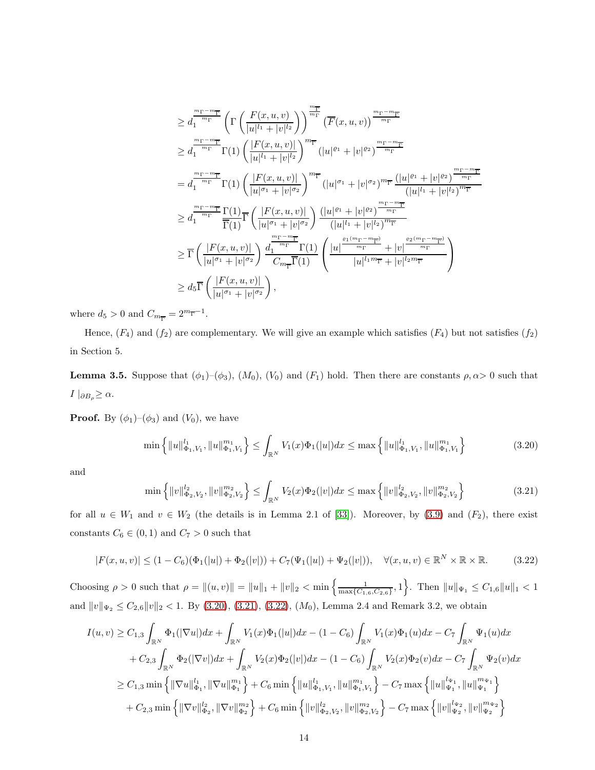$$
\geq d_1^{\frac{m_{\Gamma}-m_{\overline{\Gamma}}}{m_{\Gamma}}}\left(\Gamma\left(\frac{F(x,u,v)}{|u|^{l_1}+|v|^{l_2}}\right)\right)^{\frac{m_{\overline{\Gamma}}}{m_{\Gamma}}}\left(\overline{F}(x,u,v)\right)^{\frac{m_{\Gamma}-m_{\overline{\Gamma}}}{m_{\Gamma}}} \n\geq d_1^{\frac{m_{\Gamma}-m_{\overline{\Gamma}}}{m_{\Gamma}}}\Gamma(1)\left(\frac{|F(x,u,v)|}{|u|^{l_1}+|v|^{l_2}}\right)^{m_{\overline{\Gamma}}}\left(|u|^{e_1}+|v|^{e_2}\right)^{\frac{m_{\Gamma}-m_{\overline{\Gamma}}}{m_{\Gamma}}} \n= d_1^{\frac{m_{\Gamma}-m_{\overline{\Gamma}}}{m_{\Gamma}}}\Gamma(1)\left(\frac{|F(x,u,v)|}{|u|^{\sigma_1}+|v|^{\sigma_2}}\right)^{m_{\overline{\Gamma}}}\left(|u|^{\sigma_1}+|v|^{\sigma_2}\right)^{m_{\overline{\Gamma}}}\frac{\left(|u|^{e_1}+|v|^{e_2}\right)^{\frac{m_{\Gamma}-m_{\overline{\Gamma}}}{m_{\Gamma}}}}{\left(|u|^{l_1}+|v|^{l_2}\right)^{m_{\overline{\Gamma}}}} \n\geq d_1^{\frac{m_{\Gamma}-m_{\overline{\Gamma}}}{m_{\Gamma}}}\frac{\Gamma(1)}{\overline{\Gamma}(1)}\overline{\Gamma}\left(\frac{|F(x,u,v)|}{|u|^{\sigma_1}+|v|^{\sigma_2}}\right)\frac{\left(|u|^{e_1}+|v|^{e_2}\right)^{\frac{m_{\Gamma}-m_{\overline{\Gamma}}}{m_{\Gamma}}}}{\left(|u|^{l_1}+|v|^{l_2}\right)^{m_{\overline{\Gamma}}}} \n\geq \overline{\Gamma}\left(\frac{|F(x,u,v)|}{|u|^{\sigma_1}+|v|^{\sigma_2}}\right)\frac{d_1^{\frac{m_{\Gamma}-m_{\overline{\Gamma}}}{m_{\Gamma}}}\Gamma(1)}{C_{m_{\overline{\Gamma}}}\Gamma(1)}\left(\frac{|u|^{ \frac{e_1(m_{\Gamma}-m_{\overline{\Gamma}})}{m_{\Gamma}}+|v|^{ \frac{e_2(m_{\Gamma}-m_{\overline{\Gamma}})}{m_{\Gamma}}}}{ |u|^{l_1m_{\overline{\Gamma}}}+|v|^{l
$$

where  $d_5 > 0$  and  $C_{m_{\overline{\Gamma}}} = 2^{m_{\overline{\Gamma}}-1}$ .

Hence,  $(F_4)$  and  $(f_2)$  are complementary. We will give an example which satisfies  $(F_4)$  but not satisfies  $(f_2)$ in Section 5.

**Lemma 3.5.** Suppose that  $(\phi_1)$ – $(\phi_3)$ ,  $(M_0)$ ,  $(V_0)$  and  $(F_1)$  hold. Then there are constants  $\rho, \alpha > 0$  such that  $I\mid_{\partial B_{\rho}}\geq\alpha.$ 

**Proof.** By  $(\phi_1)$ – $(\phi_3)$  and  $(V_0)$ , we have

<span id="page-13-0"></span>
$$
\min\left\{\|u\|_{\Phi_1,V_1}^{l_1},\|u\|_{\Phi_1,V_1}^{m_1}\right\} \le \int_{\mathbb{R}^N} V_1(x)\Phi_1(|u|)dx \le \max\left\{\|u\|_{\Phi_1,V_1}^{l_1},\|u\|_{\Phi_1,V_1}^{m_1}\right\} \tag{3.20}
$$

and

<span id="page-13-1"></span>
$$
\min\left\{\|v\|_{\Phi_2,V_2}^{l_2},\|v\|_{\Phi_2,V_2}^{m_2}\right\} \le \int_{\mathbb{R}^N} V_2(x)\Phi_2(|v|)dx \le \max\left\{\|v\|_{\Phi_2,V_2}^{l_2},\|v\|_{\Phi_2,V_2}^{m_2}\right\} \tag{3.21}
$$

for all  $u \in W_1$  and  $v \in W_2$  (the details is in Lemma 2.1 of [\[33\]](#page-34-0)). Moreover, by [\(3.9\)](#page-10-1) and ( $F_2$ ), there exist constants  $C_6 \in (0,1)$  and  $C_7 > 0$  such that

<span id="page-13-2"></span>
$$
|F(x, u, v)| \le (1 - C_6)(\Phi_1(|u|) + \Phi_2(|v|)) + C_7(\Psi_1(|u|) + \Psi_2(|v|)), \quad \forall (x, u, v) \in \mathbb{R}^N \times \mathbb{R} \times \mathbb{R}.
$$
 (3.22)

Choosing  $\rho > 0$  such that  $\rho = ||(u, v)|| = ||u||_1 + ||v||_2 < \min \left\{ \frac{1}{\max\{C_{1,6}, C_{2,6}\}}, 1 \right\}$ . Then  $||u||_{\Psi_1} \le C_{1,6} ||u||_1 < 1$ and  $||v||_{\Psi_2} \leq C_{2,6}||v||_2 < 1$ . By [\(3.20\)](#page-13-0), [\(3.21\)](#page-13-1), [\(3.22\)](#page-13-2), ( $M_0$ ), Lemma 2.4 and Remark 3.2, we obtain

$$
I(u, v) \geq C_{1,3} \int_{\mathbb{R}^N} \Phi_1(|\nabla u|) dx + \int_{\mathbb{R}^N} V_1(x) \Phi_1(|u|) dx - (1 - C_6) \int_{\mathbb{R}^N} V_1(x) \Phi_1(u) dx - C_7 \int_{\mathbb{R}^N} \Psi_1(u) dx
$$
  
+  $C_{2,3} \int_{\mathbb{R}^N} \Phi_2(|\nabla v|) dx + \int_{\mathbb{R}^N} V_2(x) \Phi_2(v) dx - (1 - C_6) \int_{\mathbb{R}^N} V_2(x) \Phi_2(v) dx - C_7 \int_{\mathbb{R}^N} \Psi_2(v) dx$   
 $\geq C_{1,3} \min \left\{ ||\nabla u||_{\Phi_1}^{l_1}, ||\nabla u||_{\Phi_1}^{m_1} \right\} + C_6 \min \left\{ ||u||_{\Phi_1, V_1}^{l_1}, ||u||_{\Phi_1, V_1}^{m_1} \right\} - C_7 \max \left\{ ||u||_{\Psi_1}^{l_{\Psi_1}}, ||u||_{\Psi_1}^{m_{\Psi_1}} \right\}$   
+  $C_{2,3} \min \left\{ ||\nabla v||_{\Phi_2}^{l_2}, ||\nabla v||_{\Phi_2}^{m_2} \right\} + C_6 \min \left\{ ||v||_{\Phi_2, V_2}^{l_2}, ||v||_{\Phi_2, V_2}^{m_2} \right\} - C_7 \max \left\{ ||v||_{\Psi_2}^{l_{\Psi_2}}, ||v||_{\Psi_2}^{m_{\Psi_2}} \right\}$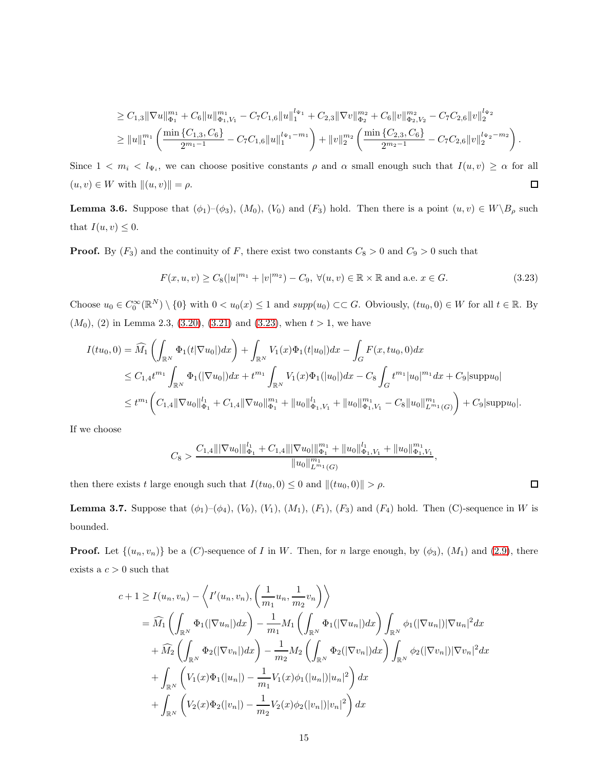$$
\geq C_{1,3} \|\nabla u\|_{\Phi_1}^{m_1} + C_6 \|u\|_{\Phi_1, V_1}^{m_1} - C_7 C_{1,6} \|u\|_1^{l_{\Psi_1}} + C_{2,3} \|\nabla v\|_{\Phi_2}^{m_2} + C_6 \|v\|_{\Phi_2, V_2}^{m_2} - C_7 C_{2,6} \|v\|_2^{l_{\Psi_2}} \geq \|u\|_1^{m_1} \left( \frac{\min\{C_{1,3}, C_6\}}{2^{m_1 - 1}} - C_7 C_{1,6} \|u\|_1^{l_{\Psi_1} - m_1} \right) + \|v\|_2^{m_2} \left( \frac{\min\{C_{2,3}, C_6\}}{2^{m_2 - 1}} - C_7 C_{2,6} \|v\|_2^{l_{\Psi_2} - m_2} \right).
$$

Since  $1 < m_i < l_{\Psi_i}$ , we can choose positive constants  $\rho$  and  $\alpha$  small enough such that  $I(u, v) \ge \alpha$  for all  $(u, v) \in W$  with  $||u, v|| = \rho$ .  $\Box$ 

**Lemma 3.6.** Suppose that  $(\phi_1)$ – $(\phi_3)$ ,  $(M_0)$ ,  $(V_0)$  and  $(F_3)$  hold. Then there is a point  $(u, v) \in W \backslash B_\rho$  such that  $I(u, v) \leq 0$ .

**Proof.** By  $(F_3)$  and the continuity of F, there exist two constants  $C_8 > 0$  and  $C_9 > 0$  such that

<span id="page-14-0"></span>
$$
F(x, u, v) \ge C_8(|u|^{m_1} + |v|^{m_2}) - C_9, \ \forall (u, v) \in \mathbb{R} \times \mathbb{R} \text{ and a.e. } x \in G.
$$
 (3.23)

 $\Box$ 

Choose  $u_0 \in C_0^{\infty}(\mathbb{R}^N) \setminus \{0\}$  with  $0 < u_0(x) \leq 1$  and  $supp(u_0) \subset \subset G$ . Obviously,  $(tu_0, 0) \in W$  for all  $t \in \mathbb{R}$ . By  $(M_0)$ , (2) in Lemma 2.3, [\(3.20\)](#page-13-0), [\(3.21\)](#page-13-1) and [\(3.23\)](#page-14-0), when  $t > 1$ , we have

$$
I(tu_0, 0) = \widehat{M}_1 \left( \int_{\mathbb{R}^N} \Phi_1(t|\nabla u_0|) dx \right) + \int_{\mathbb{R}^N} V_1(x) \Phi_1(t|u_0|) dx - \int_G F(x, tu_0, 0) dx
$$
  
\n
$$
\leq C_{1,4} t^{m_1} \int_{\mathbb{R}^N} \Phi_1(|\nabla u_0|) dx + t^{m_1} \int_{\mathbb{R}^N} V_1(x) \Phi_1(|u_0|) dx - C_8 \int_G t^{m_1} |u_0|^{m_1} dx + C_9 |\text{supp} u_0|
$$
  
\n
$$
\leq t^{m_1} \left( C_{1,4} ||\nabla u_0||_{\Phi_1}^1 + C_{1,4} ||\nabla u_0||_{\Phi_1}^{m_1} + ||u_0||_{\Phi_1, V_1}^1 + ||u_0||_{\Phi_1, V_1}^{m_1} - C_8 ||u_0||_{L^{m_1}(G)}^{m_1} \right) + C_9 |\text{supp} u_0|.
$$

If we choose

$$
C_8 > \frac{C_{1,4} \|\nabla u_0\|_{\Phi_1}^{l_1} + C_{1,4} \|\nabla u_0\|_{\Phi_1}^{m_1} + \|u_0\|_{\Phi_1, V_1}^{l_1} + \|u_0\|_{\Phi_1, V_1}^{n_1}}{\|u_0\|_{L^{m_1}(G)}^{m_1}},
$$

then there exists t large enough such that  $I(tu_0, 0) \leq 0$  and  $||(tu_0, 0)|| > \rho$ .

**Lemma 3.7.** Suppose that  $(\phi_1)$ – $(\phi_4)$ ,  $(V_0)$ ,  $(V_1)$ ,  $(M_1)$ ,  $(F_1)$ ,  $(F_3)$  and  $(F_4)$  hold. Then (C)-sequence in W is bounded.

**Proof.** Let  $\{(u_n, v_n)\}$  be a (C)-sequence of I in W. Then, for n large enough, by  $(\phi_3)$ ,  $(M_1)$  and [\(2.9\)](#page-7-1), there exists a  $c > 0$  such that

$$
c+1 \geq I(u_n, v_n) - \left\langle I'(u_n, v_n), \left(\frac{1}{m_1} u_n, \frac{1}{m_2} v_n\right) \right\rangle
$$
  
=  $\widehat{M}_1 \left( \int_{\mathbb{R}^N} \Phi_1(|\nabla u_n|) dx \right) - \frac{1}{m_1} M_1 \left( \int_{\mathbb{R}^N} \Phi_1(|\nabla u_n|) dx \right) \int_{\mathbb{R}^N} \phi_1(|\nabla u_n|) |\nabla u_n|^2 dx$   
+  $\widehat{M}_2 \left( \int_{\mathbb{R}^N} \Phi_2(|\nabla v_n|) dx \right) - \frac{1}{m_2} M_2 \left( \int_{\mathbb{R}^N} \Phi_2(|\nabla v_n|) dx \right) \int_{\mathbb{R}^N} \phi_2(|\nabla v_n|) |\nabla v_n|^2 dx$   
+  $\int_{\mathbb{R}^N} \left( V_1(x) \Phi_1(|u_n|) - \frac{1}{m_1} V_1(x) \phi_1(|u_n|) |u_n|^2 \right) dx$   
+  $\int_{\mathbb{R}^N} \left( V_2(x) \Phi_2(|v_n|) - \frac{1}{m_2} V_2(x) \phi_2(|v_n|) |v_n|^2 \right) dx$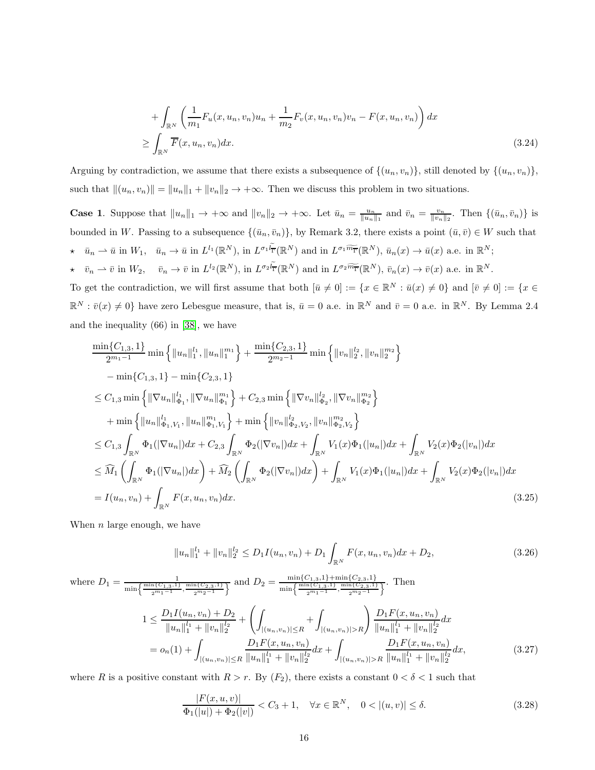<span id="page-15-1"></span>+ 
$$
\int_{\mathbb{R}^N} \left( \frac{1}{m_1} F_u(x, u_n, v_n) u_n + \frac{1}{m_2} F_v(x, u_n, v_n) v_n - F(x, u_n, v_n) \right) dx
$$
  
\n $\ge \int_{\mathbb{R}^N} \overline{F}(x, u_n, v_n) dx.$  (3.24)

Arguing by contradiction, we assume that there exists a subsequence of  $\{(u_n, v_n)\}\$ , still denoted by  $\{(u_n, v_n)\}\$ , such that  $\|(u_n, v_n)\| = \|u_n\|_1 + \|v_n\|_2 \to +\infty$ . Then we discuss this problem in two situations.

**Case 1.** Suppose that  $||u_n||_1 \to +\infty$  and  $||v_n||_2 \to +\infty$ . Let  $\bar{u}_n = \frac{u_n}{||u_n||_1}$  and  $\bar{v}_n = \frac{v_n}{||v_n||_2}$ . Then  $\{(\bar{u}_n, \bar{v}_n)\}$  is bounded in W. Passing to a subsequence  $\{(\bar{u}_n, \bar{v}_n)\}\$ , by Remark 3.2, there exists a point  $(\bar{u}, \bar{v}) \in W$  such that  $\star \quad \bar{u}_n \rightharpoonup \bar{u} \text{ in } W_1, \quad \bar{u}_n \to \bar{u} \text{ in } L^{l_1}(\mathbb{R}^N), \text{ in } L^{\sigma_1 l} \bar{r}(\mathbb{R}^N) \text{ and in } L^{\sigma_1 \widetilde{m} \bar{r}}(\mathbb{R}^N), \bar{u}_n(x) \to \bar{u}(x) \text{ a.e. in } \mathbb{R}^N;$ 

 $\star \quad \bar{v}_n \rightharpoonup \bar{v} \text{ in } W_2, \quad \bar{v}_n \to \bar{v} \text{ in } L^{l_2}(\mathbb{R}^N), \text{ in } L^{\sigma_2 l_{\overline{\Gamma}}}(\mathbb{R}^N) \text{ and in } L^{\sigma_2 \widetilde{m_{\overline{\Gamma}}}(\mathbb{R}^N)}, \bar{v}_n(x) \to \bar{v}(x) \text{ a.e. in } \mathbb{R}^N.$ 

To get the contradiction, we will first assume that both  $[\bar{u} \neq 0] := \{x \in \mathbb{R}^N : \bar{u}(x) \neq 0\}$  and  $[\bar{v} \neq 0] := \{x \in \mathbb{R}^N : \bar{u}(x) \neq 0\}$  $\mathbb{R}^N : \bar{v}(x) \neq 0$  have zero Lebesgue measure, that is,  $\bar{u} = 0$  a.e. in  $\mathbb{R}^N$  and  $\bar{v} = 0$  a.e. in  $\mathbb{R}^N$ . By Lemma 2.4 and the inequality (66) in [\[38\]](#page-35-0), we have

$$
\frac{\min\{C_{1,3},1\}}{2^{m_{1}-1}}\min\left\{\|u_{n}\|_{1}^{l_{1}},\|u_{n}\|_{1}^{m_{1}}\right\}+\frac{\min\{C_{2,3},1\}}{2^{m_{2}-1}}\min\left\{\|v_{n}\|_{2}^{l_{2}},\|v_{n}\|_{2}^{m_{2}}\right\}-\min\{C_{1,3},1\}-\min\{C_{2,3},1\}\le C_{1,3}\min\left\{\|\nabla u_{n}\|_{\Phi_{1}}^{l_{1}},\|\nabla u_{n}\|_{\Phi_{1}}^{m_{1}}\right\}+C_{2,3}\min\left\{\|\nabla v_{n}\|_{\Phi_{2}}^{l_{2}},\|\nabla v_{n}\|_{\Phi_{2}}^{m_{2}}\right\}+\min\left\{\|u_{n}\|_{\Phi_{1},V_{1}},\|u_{n}\|_{\Phi_{1},V_{1}}^{m_{1}}\right\}+\min\left\{\|v_{n}\|_{\Phi_{2},V_{2}}^{l_{2}},\|v_{n}\|_{\Phi_{2}}^{m_{2}}\right\}\le C_{1,3}\int_{\mathbb{R}^{N}}\Phi_{1}(|\nabla u_{n}|)dx+C_{2,3}\int_{\mathbb{R}^{N}}\Phi_{2}(|\nabla v_{n}|)dx+\int_{\mathbb{R}^{N}}V_{1}(x)\Phi_{1}(|u_{n}|)dx+\int_{\mathbb{R}^{N}}V_{2}(x)\Phi_{2}(|v_{n}|)dx\le\widehat{M}_{1}\left(\int_{\mathbb{R}^{N}}\Phi_{1}(|\nabla u_{n}|)dx\right)+\widehat{M}_{2}\left(\int_{\mathbb{R}^{N}}\Phi_{2}(|\nabla v_{n}|)dx\right)+\int_{\mathbb{R}^{N}}V_{1}(x)\Phi_{1}(|u_{n}|)dx+\int_{\mathbb{R}^{N}}V_{2}(x)\Phi_{2}(|v_{n}|)dx=I(u_{n},v_{n})+\int_{\mathbb{R}^{N}}F(x,u_{n},v_{n})dx.
$$
\n(3.25)

When  $n$  large enough, we have

<span id="page-15-3"></span>
$$
||u_n||_1^{l_1} + ||v_n||_2^{l_2} \le D_1 I(u_n, v_n) + D_1 \int_{\mathbb{R}^N} F(x, u_n, v_n) dx + D_2,
$$
\n(3.26)

where 
$$
D_1 = \frac{1}{\min\left\{\frac{\min\{C_{1,3,1}\}\min\{C_{2,3,1}\}}{2^{m_1-1}}, \frac{\min\{C_{2,3,1}\}}{2^{m_2-1}}\right\}}
$$
 and  $D_2 = \frac{\min\left\{\frac{C_{1,3,1}\}\min\{C_{2,3,1}\}}{\min\left\{\frac{C_{1,3,1}\}}{2^{m_1-1}}, \frac{\min\{C_{2,3,1}\}}{2^{m_2-1}}\right\}}$ . Then  
\n
$$
1 \le \frac{D_1 I(u_n, v_n) + D_2}{\|u_n\|_1^{\ell_1} + \|v_n\|_2^{\ell_2}} + \left(\int_{|(u_n, v_n)| \le R} + \int_{|(u_n, v_n)| > R}\right) \frac{D_1 F(x, u_n, v_n)}{\|u_n\|_1^{\ell_1} + \|v_n\|_2^{\ell_2}} dx
$$
\n
$$
= o_n(1) + \int_{|(u_n, v_n)| \le R} \frac{D_1 F(x, u_n, v_n)}{\|u_n\|_1^{\ell_1} + \|v_n\|_2^{\ell_2}} dx + \int_{|(u_n, v_n)| > R} \frac{D_1 F(x, u_n, v_n)}{\|u_n\|_1^{\ell_1} + \|v_n\|_2^{\ell_2}} dx,
$$
\n(3.27)

where R is a positive constant with  $R > r$ . By  $(F_2)$ , there exists a constant  $0 < \delta < 1$  such that

<span id="page-15-2"></span><span id="page-15-0"></span>
$$
\frac{|F(x, u, v)|}{\Phi_1(|u|) + \Phi_2(|v|)} < C_3 + 1, \quad \forall x \in \mathbb{R}^N, \quad 0 < |(u, v)| \le \delta. \tag{3.28}
$$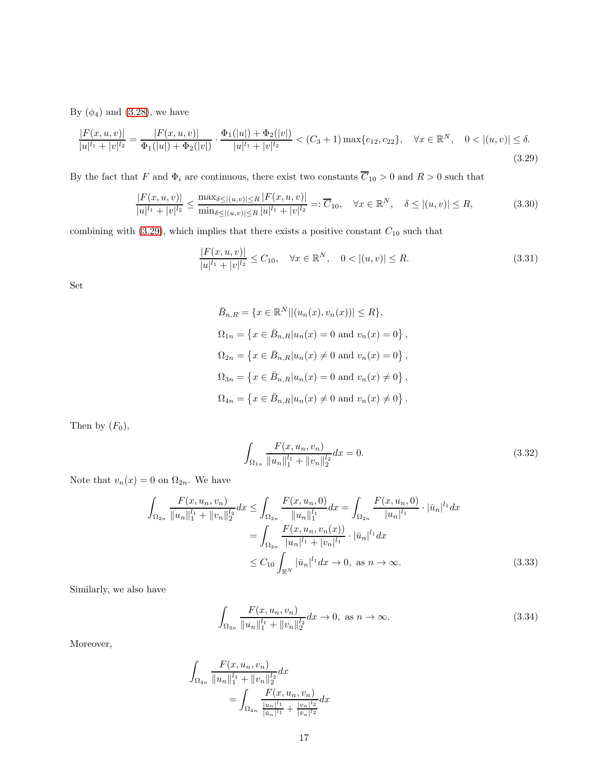By  $(\phi_4)$  and  $(3.28)$ , we have

<span id="page-16-0"></span>
$$
\frac{|F(x, u, v)|}{|u|^{l_1} + |v|^{l_2}} = \frac{|F(x, u, v)|}{\Phi_1(|u|) + \Phi_2(|v|)} \cdot \frac{\Phi_1(|u|) + \Phi_2(|v|)}{|u|^{l_1} + |v|^{l_2}} < (C_3 + 1) \max\{c_{12}, c_{22}\}, \quad \forall x \in \mathbb{R}^N, \quad 0 < |(u, v)| \le \delta. \tag{3.29}
$$

By the fact that F and  $\Phi_i$  are continuous, there exist two constants  $\overline{C}_{10} > 0$  and  $R > 0$  such that

$$
\frac{|F(x,u,v)|}{|u|^{l_1} + |v|^{l_2}} \le \frac{\max_{\delta \le |(u,v)| \le R} |F(x,u,v)|}{\min_{\delta \le |(u,v)| \le R} |u|^{l_1} + |v|^{l_2}} =: \overline{C}_{10}, \quad \forall x \in \mathbb{R}^N, \quad \delta \le |(u,v)| \le R,\tag{3.30}
$$

combining with [\(3.29\)](#page-16-0), which implies that there exists a positive constant  $C_{10}$  such that

$$
\frac{|F(x, u, v)|}{|u|^{l_1} + |v|^{l_2}} \le C_{10}, \quad \forall x \in \mathbb{R}^N, \quad 0 < |(u, v)| \le R.
$$
\n(3.31)

Set

$$
\bar{B}_{n,R} = \{x \in \mathbb{R}^N || (u_n(x), v_n(x))| \le R\},\
$$
  
\n
$$
\Omega_{1n} = \{x \in \bar{B}_{n,R} | u_n(x) = 0 \text{ and } v_n(x) = 0\},\
$$
  
\n
$$
\Omega_{2n} = \{x \in \bar{B}_{n,R} | u_n(x) \ne 0 \text{ and } v_n(x) = 0\},\
$$
  
\n
$$
\Omega_{3n} = \{x \in \bar{B}_{n,R} | u_n(x) = 0 \text{ and } v_n(x) \ne 0\},\
$$
  
\n
$$
\Omega_{4n} = \{x \in \bar{B}_{n,R} | u_n(x) \ne 0 \text{ and } v_n(x) \ne 0\}.
$$

Then by  $(F_0)$ ,

<span id="page-16-1"></span>
$$
\int_{\Omega_{1n}} \frac{F(x, u_n, v_n)}{\|u_n\|_1^{l_1} + \|v_n\|_2^{l_2}} dx = 0.
$$
\n(3.32)

Note that  $v_n(x) = 0$  on  $\Omega_{2n}$ . We have

$$
\int_{\Omega_{2n}} \frac{F(x, u_n, v_n)}{\|u_n\|_1^{l_1} + \|v_n\|_2^{l_2}} dx \le \int_{\Omega_{2n}} \frac{F(x, u_n, 0)}{\|u_n\|_1^{l_1}} dx = \int_{\Omega_{2n}} \frac{F(x, u_n, 0)}{|u_n|^{l_1}} \cdot |\bar{u}_n|^{l_1} dx
$$

$$
= \int_{\Omega_{2n}} \frac{F(x, u_n, v_n(x))}{|u_n|^{l_1} + |v_n|^{l_1}} \cdot |\bar{u}_n|^{l_1} dx
$$

$$
\le C_{10} \int_{\mathbb{R}^N} |\bar{u}_n|^{l_1} dx \to 0, \text{ as } n \to \infty. \tag{3.33}
$$

Similarly, we also have

<span id="page-16-2"></span>
$$
\int_{\Omega_{3n}} \frac{F(x, u_n, v_n)}{\|u_n\|_1^{l_1} + \|v_n\|_2^{l_2}} dx \to 0, \text{ as } n \to \infty.
$$
\n(3.34)

Moreover,

$$
\int_{\Omega_{4n}} \frac{F(x, u_n, v_n)}{\|u_n\|_1^l + \|v_n\|_2^l} dx
$$
  
= 
$$
\int_{\Omega_{4n}} \frac{F(x, u_n, v_n)}{\frac{|u_n|^{l_1}}{|u_n|^{l_1}} + \frac{|v_n|^{l_2}}{|v_n|^{l_2}}} dx
$$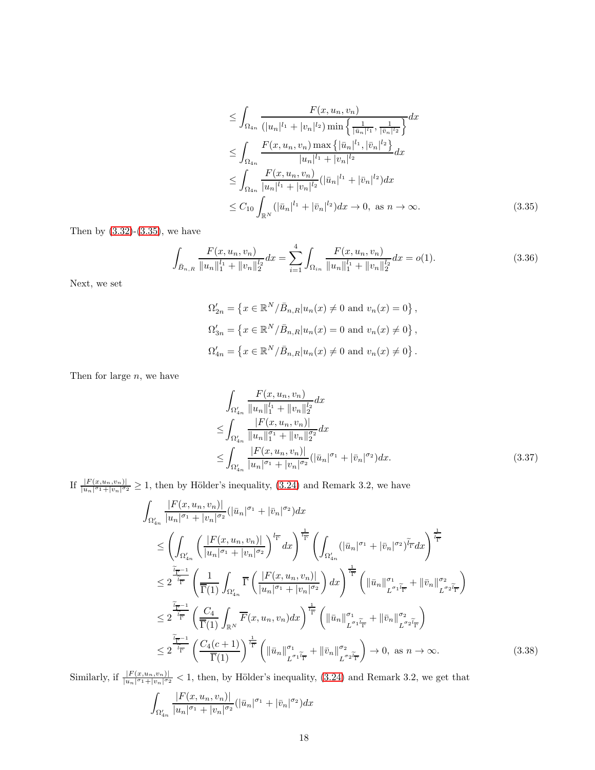<span id="page-17-0"></span>
$$
\leq \int_{\Omega_{4n}} \frac{F(x, u_n, v_n)}{(|u_n|^{l_1} + |v_n|^{l_2}) \min\left\{\frac{1}{|\bar{u}_n|^{l_1}}, \frac{1}{|\bar{v}_n|^{l_2}}\right\}} dx
$$
\n
$$
\leq \int_{\Omega_{4n}} \frac{F(x, u_n, v_n) \max\left\{|\bar{u}_n|^{l_1}, |\bar{v}_n|^{l_2}\right\}}{|u_n|^{l_1} + |v_n|^{l_2}} dx
$$
\n
$$
\leq \int_{\Omega_{4n}} \frac{F(x, u_n, v_n)}{|u_n|^{l_1} + |v_n|^{l_2}} (|\bar{u}_n|^{l_1} + |\bar{v}_n|^{l_2}) dx
$$
\n
$$
\leq C_{10} \int_{\mathbb{R}^N} (|\bar{u}_n|^{l_1} + |\bar{v}_n|^{l_2}) dx \to 0, \text{ as } n \to \infty. \tag{3.35}
$$

Then by  $(3.32)-(3.35)$  $(3.32)-(3.35)$ , we have

$$
\int_{\bar{B}_{n,R}} \frac{F(x, u_n, v_n)}{\|u_n\|_1^{l_1} + \|v_n\|_2^{l_2}} dx = \sum_{i=1}^4 \int_{\Omega_{in}} \frac{F(x, u_n, v_n)}{\|u_n\|_1^{l_1} + \|v_n\|_2^{l_2}} dx = o(1).
$$
\n(3.36)

Next, we set

<span id="page-17-3"></span>
$$
\Omega'_{2n} = \left\{ x \in \mathbb{R}^N / \overline{B}_{n,R} | u_n(x) \neq 0 \text{ and } v_n(x) = 0 \right\},\,
$$
  

$$
\Omega'_{3n} = \left\{ x \in \mathbb{R}^N / \overline{B}_{n,R} | u_n(x) = 0 \text{ and } v_n(x) \neq 0 \right\},\,
$$
  

$$
\Omega'_{4n} = \left\{ x \in \mathbb{R}^N / \overline{B}_{n,R} | u_n(x) \neq 0 \text{ and } v_n(x) \neq 0 \right\}.
$$

Then for large  $n$ , we have

<span id="page-17-1"></span>
$$
\int_{\Omega'_{4n}} \frac{F(x, u_n, v_n)}{\|u_n\|_1^l + \|v_n\|_2^{l_2}} dx
$$
\n
$$
\leq \int_{\Omega'_{4n}} \frac{|F(x, u_n, v_n)|}{\|u_n\|_1^{\sigma_1} + \|v_n\|_2^{\sigma_2}} dx
$$
\n
$$
\leq \int_{\Omega'_{4n}} \frac{|F(x, u_n, v_n)|}{|u_n|^{\sigma_1} + |v_n|^{\sigma_2}} (|\bar{u}_n|^{\sigma_1} + |\bar{v}_n|^{\sigma_2}) dx. \tag{3.37}
$$

If  $\frac{|F(x,u_n,v_n)|}{|u_n|^{\sigma_1}+|v_n|^{\sigma_2}} \geq 1$ , then by Hölder's inequality, [\(3.24\)](#page-15-1) and Remark 3.2, we have

$$
\int_{\Omega'_{4n}} \frac{|F(x, u_n, v_n)|}{|u_n|^{\sigma_1} + |v_n|^{\sigma_2}} (|\bar{u}_n|^{\sigma_1} + |\bar{v}_n|^{\sigma_2}) dx
$$
\n
$$
\leq \left( \int_{\Omega'_{4n}} \left( \frac{|F(x, u_n, v_n)|}{|u_n|^{\sigma_1} + |v_n|^{\sigma_2}} \right)^{\frac{1}{l_{\overline{1}}}} dx \right)^{\frac{1}{l_{\overline{1}}}} \left( \int_{\Omega'_{4n}} (|\bar{u}_n|^{\sigma_1} + |\bar{v}_n|^{\sigma_2})^{\tilde{l}_{\overline{1}}} dx \right)^{\frac{1}{l_{\overline{1}}}}
$$
\n
$$
\leq 2^{\frac{\tilde{l}_{\overline{1}}}{l_{\overline{1}}}} \left( \frac{1}{\overline{1}(1)} \int_{\Omega'_{4n}} \overline{\Gamma} \left( \frac{|F(x, u_n, v_n)|}{|u_n|^{\sigma_1} + |v_n|^{\sigma_2}} \right) dx \right)^{\frac{1}{l_{\overline{1}}}} \left( ||\bar{u}_n||_{L^{\sigma_1} \tilde{l}_{\overline{1}}}^{\sigma_1} + ||\bar{v}_n||_{L^{\sigma_2} \tilde{l}_{\overline{1}}}^{\sigma_2} \right)
$$
\n
$$
\leq 2^{\frac{\tilde{l}_{\overline{1}}}{l_{\overline{1}}}} \left( \frac{C_4}{\overline{1}(1)} \int_{\mathbb{R}^N} \overline{F}(x, u_n, v_n) dx \right)^{\frac{1}{l_{\overline{1}}}} \left( ||\bar{u}_n||_{L^{\sigma_1} \tilde{l}_{\overline{1}}}^{\sigma_1} + ||\bar{v}_n||_{L^{\sigma_2} \tilde{l}_{\overline{1}}}^{\sigma_2} \right)
$$
\n
$$
\leq 2^{\frac{\tilde{l}_{\overline{1}}}{l_{\overline{1}}}} \left( \frac{C_4(c+1)}{\overline{1}(1)} \right)^{\frac{1}{l_{\overline{1}}}} \left( ||\bar{u}_n||_{L^{\sigma_1} \tilde{l}_{\overline{1}}}^{\sigma_1} + ||\bar{v}_n||_{L^{\sigma_2} \tilde{l}_{\overline{1}}}^{\sigma_2} \right) \to 0, \text{ as
$$

Similarly, if  $\frac{|F(x,u_n,v_n)|}{|u_n|^{\sigma_1}+|v_n|^{\sigma_2}} < 1$ , then, by Hölder's inequality, [\(3.24\)](#page-15-1) and Remark 3.2, we get that

<span id="page-17-2"></span>
$$
\int_{\Omega_{4n}'}\frac{|F(x,u_n,v_n)|}{|u_n|^{\sigma_1}+|v_n|^{\sigma_2}}\big(|\bar{u}_n|^{\sigma_1}+|\bar{v}_n|^{\sigma_2}\big)dx
$$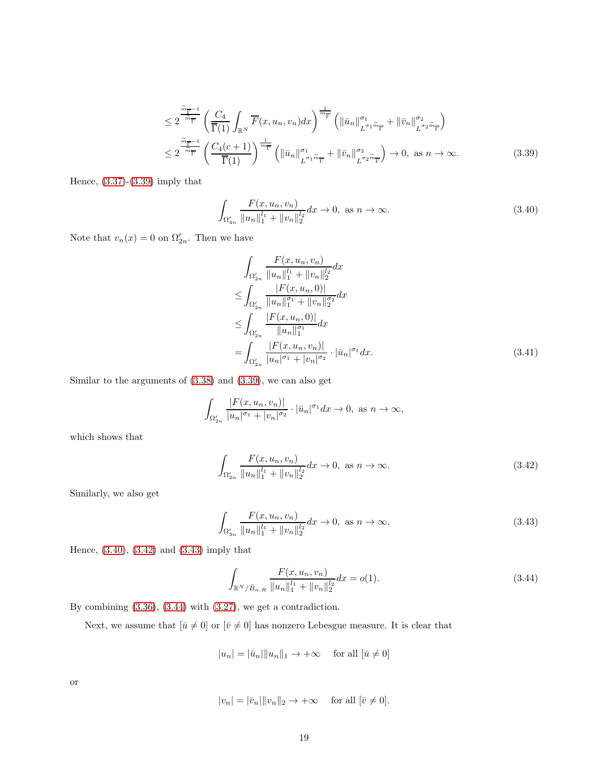$$
\leq 2^{\frac{\widetilde{m}_{\overline{\Gamma}}-1}{m_{\overline{\Gamma}}}} \left(\frac{C_4}{\overline{\Gamma}(1)} \int_{\mathbb{R}^N} \overline{F}(x, u_n, v_n) dx\right)^{\frac{1}{m_{\overline{\Gamma}}}} \left(\|\bar{u}_n\|_{L^{\sigma_1 \widetilde{m}_{\overline{\Gamma}}}}^{\sigma_1} + \|\bar{v}_n\|_{L^{\sigma_2 \widetilde{m}_{\overline{\Gamma}}}}^{\sigma_2}\right)
$$
  

$$
\leq 2^{\frac{\widetilde{m}_{\overline{\Gamma}}-1}{m_{\overline{\Gamma}}}} \left(\frac{C_4(c+1)}{\overline{\Gamma}(1)}\right)^{\frac{1}{m_{\overline{\Gamma}}}} \left(\|\bar{u}_n\|_{L^{\sigma_1 \widetilde{m}_{\overline{\Gamma}}}}^{\sigma_1} + \|\bar{v}_n\|_{L^{\sigma_2 \widetilde{m}_{\overline{\Gamma}}}}^{\sigma_2}\right) \to 0, \text{ as } n \to \infty.
$$
 (3.39)

Hence, [\(3.37\)](#page-17-1)-[\(3.39\)](#page-18-0) imply that

$$
\int_{\Omega'_{4n}} \frac{F(x, u_n, v_n)}{\|u_n\|_1^{l_1} + \|v_n\|_2^{l_2}} dx \to 0, \text{ as } n \to \infty.
$$
\n(3.40)

Note that  $v_n(x) = 0$  on  $\Omega'_{2n}$ . Then we have

<span id="page-18-1"></span><span id="page-18-0"></span>
$$
\int_{\Omega'_{2n}} \frac{F(x, u_n, v_n)}{\|u_n\|_1^{l_1} + \|v_n\|_2^{l_2}} dx
$$
\n
$$
\leq \int_{\Omega'_{2n}} \frac{|F(x, u_n, 0)|}{\|u_n\|_1^{\sigma_1} + \|v_n\|_2^{\sigma_2}} dx
$$
\n
$$
\leq \int_{\Omega'_{2n}} \frac{|F(x, u_n, 0)|}{\|u_n\|_1^{\sigma_1}} dx
$$
\n
$$
= \int_{\Omega'_{2n}} \frac{|F(x, u_n, v_n)|}{|u_n|^{\sigma_1} + |v_n|^{\sigma_2}} \cdot |\bar{u}_n|^{\sigma_1} dx. \tag{3.41}
$$

Similar to the arguments of [\(3.38\)](#page-17-2) and [\(3.39\)](#page-18-0), we can also get

$$
\int_{\Omega'_{2n}}\frac{|F(x,u_n,v_n)|}{|u_n|^{\sigma_1}+|v_n|^{\sigma_2}}\cdot|\bar{u}_n|^{\sigma_1}dx\to 0, \text{ as } n\to\infty,
$$

which shows that

<span id="page-18-2"></span>
$$
\int_{\Omega'_{2n}} \frac{F(x, u_n, v_n)}{\|u_n\|_1^{l_1} + \|v_n\|_2^{l_2}} dx \to 0, \text{ as } n \to \infty.
$$
\n(3.42)

Similarly, we also get

$$
\int_{\Omega'_{3n}} \frac{F(x, u_n, v_n)}{\|u_n\|_1^{l_1} + \|v_n\|_2^{l_2}} dx \to 0, \text{ as } n \to \infty.
$$
\n(3.43)

Hence, [\(3.40\)](#page-18-1), [\(3.42\)](#page-18-2) and [\(3.43\)](#page-18-3) imply that

<span id="page-18-4"></span><span id="page-18-3"></span>
$$
\int_{\mathbb{R}^N/\bar{B}_{n,R}} \frac{F(x, u_n, v_n)}{\|u_n\|_1^l + \|v_n\|_2^{l_2}} dx = o(1).
$$
\n(3.44)

By combining [\(3.36\)](#page-17-3), [\(3.44\)](#page-18-4) with [\(3.27\)](#page-15-2), we get a contradiction.

Next, we assume that  $[\bar{u}\neq 0]$  or  $[\bar{v}\neq 0]$  has nonzero Lebesgue measure. It is clear that

$$
|u_n| = |\bar{u}_n| \|u_n\|_1 \to +\infty \quad \text{ for all } [\bar{u} \neq 0]
$$

or

$$
|v_n| = |\bar{v}_n| \|v_n\|_2 \to +\infty \quad \text{ for all } [\bar{v} \neq 0].
$$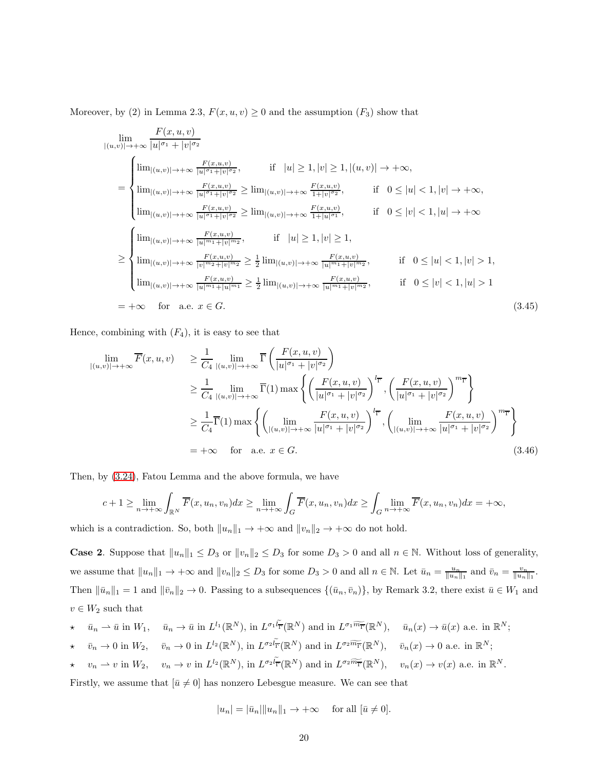Moreover, by (2) in Lemma 2.3,  $F(x, u, v) \ge 0$  and the assumption  $(F_3)$  show that

$$
\lim_{\|u,v\|\to +\infty} \frac{F(x,u,v)}{|u|^{\sigma_1}+|v|^{\sigma_2}} \n= \begin{cases}\n\lim_{\|(u,v)\|\to +\infty} \frac{F(x,u,v)}{|u|^{\sigma_1}+|v|^{\sigma_2}}, & \text{if } |u| \ge 1, |v| \ge 1, |(u,v)| \to +\infty, \\
\lim_{\|(u,v)\|\to +\infty} \frac{F(x,u,v)}{|u|^{\sigma_1}+|v|^{\sigma_2}} \ge \lim_{\|(u,v)\|\to +\infty} \frac{F(x,u,v)}{1+|v|^{\sigma_2}}, & \text{if } 0 \le |u| < 1, |v| \to +\infty, \\
\lim_{\|(u,v)\|\to +\infty} \frac{F(x,u,v)}{|u|^{\sigma_1}+|v|^{\sigma_2}} \ge \lim_{\|(u,v)\|\to +\infty} \frac{F(x,u,v)}{1+|u|^{\sigma_1}}, & \text{if } 0 \le |v| < 1, |u| \to +\infty\n\end{cases}
$$
\n
$$
\ge \begin{cases}\n\lim_{\|(u,v)\|\to +\infty} \frac{F(x,u,v)}{|u|^{\sigma_1}+|v|^{\sigma_2}} & \text{if } |u| \ge 1, |v| \ge 1, \\
\lim_{\|(u,v)\|\to +\infty} \frac{F(x,u,v)}{|v|^{\sigma_2}+|v|^{\sigma_2}} \ge \frac{1}{2} \lim_{\|(u,v)\|\to +\infty} \frac{F(x,u,v)}{|u|^{\sigma_1}+|v|^{\sigma_2}}, & \text{if } 0 \le |u| < 1, |v| > 1, \\
\lim_{\|(u,v)\|\to +\infty} \frac{F(x,u,v)}{|u|^{\sigma_1}+|u|^{\sigma_1}} \ge \frac{1}{2} \lim_{\|(u,v)\|\to +\infty} \frac{F(x,u,v)}{|u|^{\sigma_1}+|v|^{\sigma_2}}, & \text{if } 0 \le |v| < 1, |u| > 1\n\end{cases}
$$
\n
$$
= +\infty \quad \text{for } u, v, x \in G.
$$
\n
$$
(3.45)
$$

Hence, combining with  $(F_4)$ , it is easy to see that

$$
\lim_{|(u,v)|\to+\infty} \overline{F}(x,u,v) \geq \frac{1}{C_4} \lim_{|(u,v)|\to+\infty} \overline{\Gamma}\left(\frac{F(x,u,v)}{|u|^{\sigma_1}+|v|^{\sigma_2}}\right)
$$
\n
$$
\geq \frac{1}{C_4} \lim_{|(u,v)|\to+\infty} \overline{\Gamma}(1) \max\left\{\left(\frac{F(x,u,v)}{|u|^{\sigma_1}+|v|^{\sigma_2}}\right)^{l_{\overline{\Gamma}}}, \left(\frac{F(x,u,v)}{|u|^{\sigma_1}+|v|^{\sigma_2}}\right)^{m_{\overline{\Gamma}}}\right\}
$$
\n
$$
\geq \frac{1}{C_4} \overline{\Gamma}(1) \max\left\{\left(\lim_{|(u,v)|\to+\infty} \frac{F(x,u,v)}{|u|^{\sigma_1}+|v|^{\sigma_2}}\right)^{l_{\overline{\Gamma}}}, \left(\lim_{|(u,v)|\to+\infty} \frac{F(x,u,v)}{|u|^{\sigma_1}+|v|^{\sigma_2}}\right)^{m_{\overline{\Gamma}}}\right\}
$$
\n
$$
= +\infty \quad \text{for} \quad \text{a.e.} \quad x \in G. \tag{3.46}
$$

Then, by [\(3.24\)](#page-15-1), Fatou Lemma and the above formula, we have

$$
c+1 \geq \lim_{n \to +\infty} \int_{\mathbb{R}^N} \overline{F}(x, u_n, v_n) dx \geq \lim_{n \to +\infty} \int_G \overline{F}(x, u_n, v_n) dx \geq \int_G \lim_{n \to +\infty} \overline{F}(x, u_n, v_n) dx = +\infty,
$$

which is a contradiction. So, both  $||u_n||_1 \to +\infty$  and  $||v_n||_2 \to +\infty$  do not hold.

**Case 2.** Suppose that  $||u_n||_1 \leq D_3$  or  $||v_n||_2 \leq D_3$  for some  $D_3 > 0$  and all  $n \in \mathbb{N}$ . Without loss of generality, we assume that  $||u_n||_1 \to +\infty$  and  $||v_n||_2 \leq D_3$  for some  $D_3 > 0$  and all  $n \in \mathbb{N}$ . Let  $\bar{u}_n = \frac{u_n}{||u_n||_1}$  and  $\bar{v}_n = \frac{v_n}{||u_n||_1}$ . Then  $\|\bar{u}_n\|_1 = 1$  and  $\|\bar{v}_n\|_2 \to 0$ . Passing to a subsequences  $\{(\bar{u}_n, \bar{v}_n)\}\$ , by Remark 3.2, there exist  $\bar{u} \in W_1$  and  $v \in W_2$  such that

$$
\star \quad \bar{u}_n \rightharpoonup \bar{u} \text{ in } W_1, \quad \bar{u}_n \to \bar{u} \text{ in } L^{l_1}(\mathbb{R}^N), \text{ in } L^{\sigma_1 \widetilde{l_{\Gamma}}}(\mathbb{R}^N) \text{ and in } L^{\sigma_1 \widetilde{m_{\Gamma}}}(\mathbb{R}^N), \quad \bar{u}_n(x) \to \bar{u}(x) \text{ a.e. in } \mathbb{R}^N;
$$

- $\star \quad \bar{v}_n \to 0 \text{ in } W_2, \quad \bar{v}_n \to 0 \text{ in } L^{l_2}(\mathbb{R}^N), \text{ in } L^{\sigma_2 l} \bar{\mathbf{r}}(\mathbb{R}^N) \text{ and in } L^{\sigma_2 \widetilde{m} \bar{\mathbf{r}}}(\mathbb{R}^N), \quad \bar{v}_n(x) \to 0 \text{ a.e. in } \mathbb{R}^N;$
- $\star \quad v_n \rightharpoonup v$  in  $W_2$ ,  $v_n \to v$  in  $L^{l_2}(\mathbb{R}^N)$ , in  $L^{\sigma_2 l} \overline{\mathbb{F}}(\mathbb{R}^N)$  and in  $L^{\sigma_2 \widetilde{m}} \overline{\mathbb{F}}(\mathbb{R}^N)$ ,  $v_n(x) \to v(x)$  a.e. in  $\mathbb{R}^N$ .

Firstly, we assume that  $[\bar{u} \neq 0]$  has nonzero Lebesgue measure. We can see that

$$
|u_n| = |\bar{u}_n| \|u_n\|_1 \to +\infty \quad \text{ for all } [\bar{u} \neq 0].
$$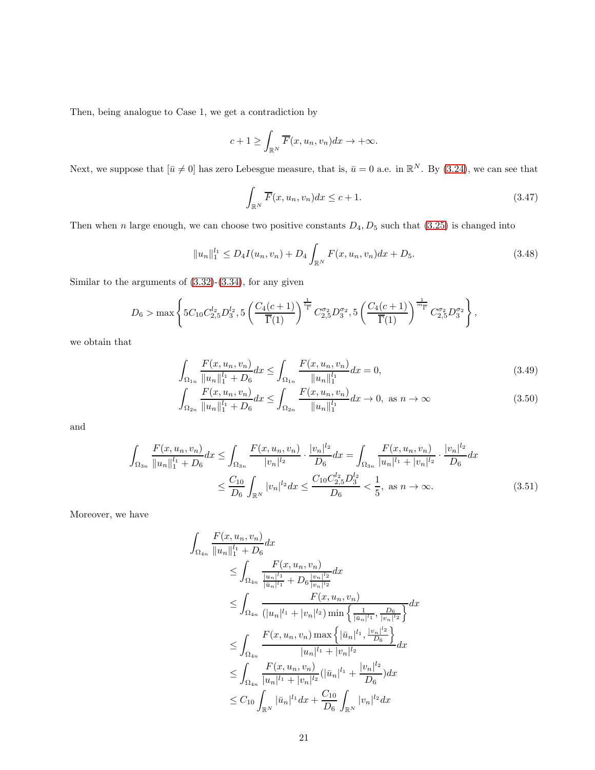Then, being analogue to Case 1, we get a contradiction by

$$
c+1 \geq \int_{\mathbb{R}^N} \overline{F}(x, u_n, v_n) dx \to +\infty.
$$

Next, we suppose that  $[\bar{u} \neq 0]$  has zero Lebesgue measure, that is,  $\bar{u} = 0$  a.e. in  $\mathbb{R}^N$ . By [\(3.24\)](#page-15-1), we can see that

<span id="page-20-1"></span><span id="page-20-0"></span>
$$
\int_{\mathbb{R}^N} \overline{F}(x, u_n, v_n) dx \le c + 1.
$$
\n(3.47)

Then when n large enough, we can choose two positive constants  $D_4$ ,  $D_5$  such that [\(3.25\)](#page-15-3) is changed into

$$
||u_n||_1^{l_1} \le D_4 I(u_n, v_n) + D_4 \int_{\mathbb{R}^N} F(x, u_n, v_n) dx + D_5.
$$
 (3.48)

Similar to the arguments of  $(3.32)-(3.34)$  $(3.32)-(3.34)$ , for any given

$$
D_6 > \max\left\{5C_{10}C_{2,5}^{l_2}D_3^{l_2}, 5\left(\frac{C_4(c+1)}{\overline{\Gamma}(1)}\right)^{\frac{1}{l_{\overline{\Gamma}}}}C_{2,5}^{\sigma_2}D_3^{\sigma_2}, 5\left(\frac{C_4(c+1)}{\overline{\Gamma}(1)}\right)^{\frac{1}{m_{\overline{\Gamma}}}}C_{2,5}^{\sigma_2}D_3^{\sigma_2}\right\},\,
$$

we obtain that

$$
\int_{\Omega_{1n}} \frac{F(x, u_n, v_n)}{\|u_n\|_1^1 + D_6} dx \le \int_{\Omega_{1n}} \frac{F(x, u_n, v_n)}{\|u_n\|_1^1} dx = 0,
$$
\n(3.49)\n
$$
\int_{\Omega_{1n}} F(x, u_n, v_n) \Big|_{\Omega_{1n}} \le \int_{\Omega_{1n}} F(x, u_n, v_n) \Big|_{\Omega_{1n}} \le 0.
$$

$$
\int_{\Omega_{2n}} \frac{F(x, u_n, v_n)}{\|u_n\|_1^{l_1} + D_6} dx \le \int_{\Omega_{2n}} \frac{F(x, u_n, v_n)}{\|u_n\|_1^{l_1}} dx \to 0, \text{ as } n \to \infty
$$
\n(3.50)

and

$$
\int_{\Omega_{3n}} \frac{F(x, u_n, v_n)}{\|u_n\|_1^{l_1} + D_6} dx \le \int_{\Omega_{3n}} \frac{F(x, u_n, v_n)}{|v_n|^{l_2}} \cdot \frac{|v_n|^{l_2}}{D_6} dx = \int_{\Omega_{3n}} \frac{F(x, u_n, v_n)}{|u_n|^{l_1} + |v_n|^{l_2}} \cdot \frac{|v_n|^{l_2}}{D_6} dx
$$
\n
$$
\le \frac{C_{10}}{D_6} \int_{\mathbb{R}^N} |v_n|^{l_2} dx \le \frac{C_{10} C_{2,5}^{l_2} D_3^{l_2}}{D_6} < \frac{1}{5}, \text{ as } n \to \infty. \tag{3.51}
$$

Moreover, we have

$$
\int_{\Omega_{4n}} \frac{F(x, u_n, v_n)}{\|u_n\|_1^{l_1} + D_6} dx
$$
\n
$$
\leq \int_{\Omega_{4n}} \frac{F(x, u_n, v_n)}{\frac{|u_n|^{l_1}}{|\bar{u}_n|^{l_1}} + D_6 \frac{|v_n|^{l_2}}{|v_n|^{l_2}}} dx
$$
\n
$$
\leq \int_{\Omega_{4n}} \frac{F(x, u_n, v_n)}{(|u_n|^{l_1} + |v_n|^{l_2}) \min \left\{ \frac{1}{|\bar{u}_n|^{l_1}}, \frac{D_6}{|v_n|^{l_2}} \right\}} dx
$$
\n
$$
\leq \int_{\Omega_{4n}} \frac{F(x, u_n, v_n) \max \left\{ |\bar{u}_n|^{l_1}, \frac{|v_n|^{l_2}}{D_6} \right\}}{|u_n|^{l_1} + |v_n|^{l_2}} dx
$$
\n
$$
\leq \int_{\Omega_{4n}} \frac{F(x, u_n, v_n)}{|u_n|^{l_1} + |v_n|^{l_2}} (|\bar{u}_n|^{l_1} + \frac{|v_n|^{l_2}}{D_6}) dx
$$
\n
$$
\leq C_{10} \int_{\mathbb{R}^N} |\bar{u}_n|^{l_1} dx + \frac{C_{10}}{D_6} \int_{\mathbb{R}^N} |v_n|^{l_2} dx
$$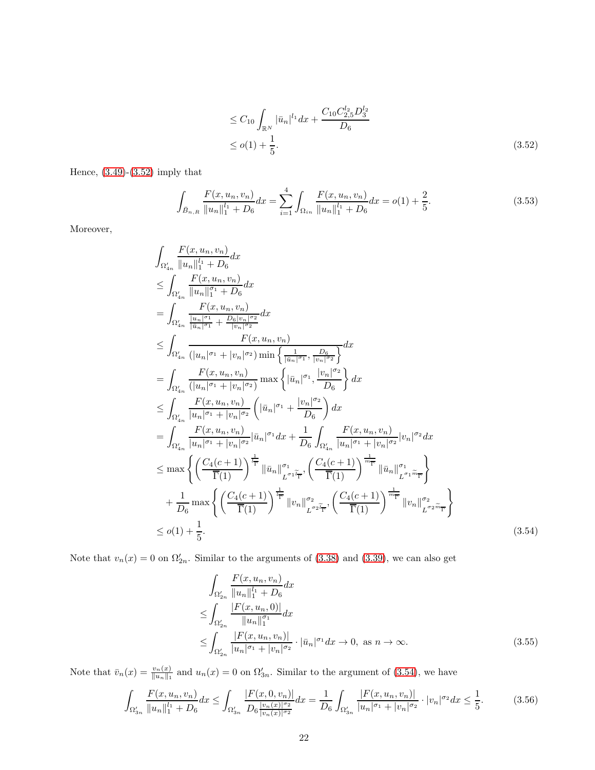<span id="page-21-4"></span><span id="page-21-0"></span>
$$
\leq C_{10} \int_{\mathbb{R}^N} |\bar{u}_n|^{l_1} dx + \frac{C_{10} C_{2,5}^{l_2} D_3^{l_2}}{D_6}
$$
  
 
$$
\leq o(1) + \frac{1}{5}.
$$
 (3.52)

Hence,  $(3.49)-(3.52)$  $(3.49)-(3.52)$  imply that

$$
\int_{\bar{B}_{n,R}} \frac{F(x, u_n, v_n)}{\|u_n\|_1^{l_1} + D_6} dx = \sum_{i=1}^4 \int_{\Omega_{in}} \frac{F(x, u_n, v_n)}{\|u_n\|_1^{l_1} + D_6} dx = o(1) + \frac{2}{5}.
$$
\n(3.53)

Moreover,

$$
\int_{\Omega'_{4n}} \frac{F(x, u_n, v_n)}{\|u_n\|_1^{l_1} + D_6} dx
$$
\n
$$
\leq \int_{\Omega'_{4n}} \frac{F(x, u_n, v_n)}{\|u_n\|_1^{\sigma_1} + D_6} dx
$$
\n
$$
= \int_{\Omega'_{4n}} \frac{F(x, u_n, v_n)}{\|u_n\|_1^{\sigma_1} + \frac{D_6|v_n\|_1^{\sigma_2}}{|v_n\|_1^{\sigma_2}}} dx
$$
\n
$$
\leq \int_{\Omega'_{4n}} \frac{F(x, u_n, v_n)}{(|u_n|^{\sigma_1} + |v_n|^{\sigma_2})} \min \left\{ \frac{1}{|u_n|^{\sigma_1} + \frac{D_6}{|v_n|^{\sigma_2}}} \right\} dx
$$
\n
$$
= \int_{\Omega'_{4n}} \frac{F(x, u_n, v_n)}{(|u_n|^{\sigma_1} + |v_n|^{\sigma_2})} \max \left\{ |\bar{u}_n|^{\sigma_1}, \frac{|\bar{v}_n|^{\sigma_2}}{|D_6|} \right\} dx
$$
\n
$$
\leq \int_{\Omega'_{4n}} \frac{F(x, u_n, v_n)}{|u_n|^{\sigma_1} + |v_n|^{\sigma_2}} \left( |\bar{u}_n|^{\sigma_1} + \frac{|v_n|^{\sigma_2}}{D_6} \right) dx
$$
\n
$$
= \int_{\Omega'_{4n}} \frac{F(x, u_n, v_n)}{|u_n|^{\sigma_1} + |v_n|^{\sigma_2}} |\bar{u}_n|^{\sigma_1} dx + \frac{1}{D_6} \int_{\Omega'_{4n}} \frac{F(x, u_n, v_n)}{|u_n|^{\sigma_1} + |v_n|^{\sigma_2}} |v_n|^{\sigma_2} dx
$$
\n
$$
\leq \max \left\{ \left( \frac{C_4(c+1)}{\overline{\Gamma}(1)} \right)^{\frac{1}{r}} \|\bar{u}_n\|_{L^{\sigma_1} \widetilde{\Gamma}^r}^{\sigma_1} \left( \frac{C_4(c+1)}{\overline{\Gamma}(1)} \right)^{\frac{1}{m}} \|\bar{u}_n\|_{L^{\sigma_2} \widetilde{\Gamma}^r}^{\sigma_2} \right\}
$$
\n
$$
+ \frac{1}{D_6} \max \
$$

Note that  $v_n(x) = 0$  on  $\Omega'_{2n}$ . Similar to the arguments of [\(3.38\)](#page-17-2) and [\(3.39\)](#page-18-0), we can also get

<span id="page-21-3"></span><span id="page-21-2"></span><span id="page-21-1"></span>
$$
\int_{\Omega'_{2n}} \frac{F(x, u_n, v_n)}{\|u_n\|_1^1 + D_6} dx
$$
\n
$$
\leq \int_{\Omega'_{2n}} \frac{|F(x, u_n, 0)|}{\|u_n\|_1^{\sigma_1}} dx
$$
\n
$$
\leq \int_{\Omega'_{2n}} \frac{|F(x, u_n, v_n)|}{\|u_n\|_1^{\sigma_1} + |v_n\|_{\sigma_2}^{\sigma_2}} \cdot |\bar{u}_n|^{\sigma_1} dx \to 0, \text{ as } n \to \infty. \tag{3.55}
$$

Note that  $\bar{v}_n(x) = \frac{v_n(x)}{||u_n||_1}$  and  $u_n(x) = 0$  on  $\Omega'_{3n}$ . Similar to the argument of [\(3.54\)](#page-21-1), we have

$$
\int_{\Omega'_{3n}} \frac{F(x, u_n, v_n)}{\|u_n\|_1^{l_1} + D_6} dx \le \int_{\Omega'_{3n}} \frac{|F(x, 0, v_n)|}{D_6 \frac{|v_n(x)|^{\sigma_2}}{|v_n(x)|^{\sigma_2}}} dx = \frac{1}{D_6} \int_{\Omega'_{3n}} \frac{|F(x, u_n, v_n)|}{|u_n|^{\sigma_1} + |v_n|^{\sigma_2}} \cdot |v_n|^{\sigma_2} dx \le \frac{1}{5}.
$$
 (3.56)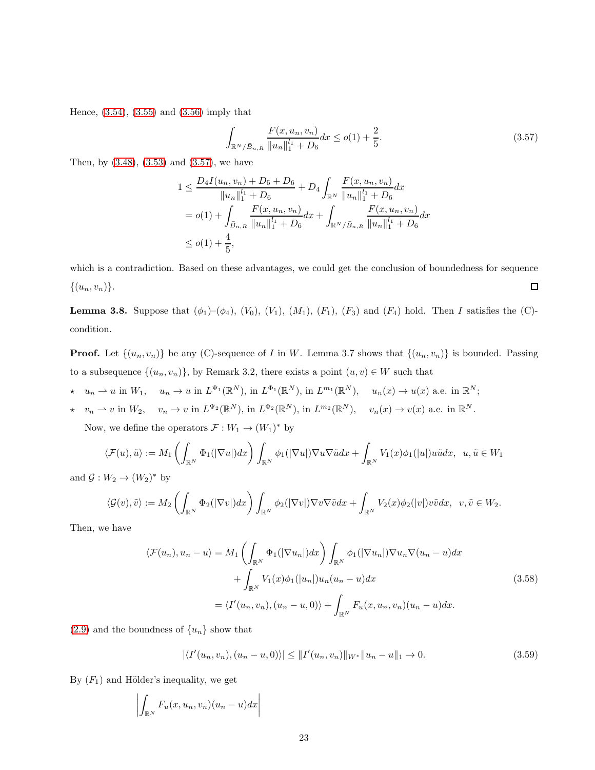Hence, [\(3.54\)](#page-21-1), [\(3.55\)](#page-21-2) and [\(3.56\)](#page-21-3) imply that

<span id="page-22-0"></span>
$$
\int_{\mathbb{R}^N/\bar{B}_{n,R}} \frac{F(x, u_n, v_n)}{\|u_n\|_1^{l_1} + D_6} dx \le o(1) + \frac{2}{5}.
$$
\n(3.57)

Then, by [\(3.48\)](#page-20-1), [\(3.53\)](#page-21-4) and [\(3.57\)](#page-22-0), we have

$$
1 \leq \frac{D_4 I(u_n, v_n) + D_5 + D_6}{\|u_n\|_1^{l_1} + D_6} + D_4 \int_{\mathbb{R}^N} \frac{F(x, u_n, v_n)}{\|u_n\|_1^{l_1} + D_6} dx
$$
  
=  $o(1) + \int_{\bar{B}_{n,R}} \frac{F(x, u_n, v_n)}{\|u_n\|_1^{l_1} + D_6} dx + \int_{\mathbb{R}^N / \bar{B}_{n,R}} \frac{F(x, u_n, v_n)}{\|u_n\|_1^{l_1} + D_6} dx$   
 $\leq o(1) + \frac{4}{5},$ 

which is a contradiction. Based on these advantages, we could get the conclusion of boundedness for sequence  $\{(u_n,v_n)\}.$  $\Box$ 

**Lemma 3.8.** Suppose that  $(\phi_1)$ – $(\phi_4)$ ,  $(V_0)$ ,  $(V_1)$ ,  $(M_1)$ ,  $(F_1)$ ,  $(F_3)$  and  $(F_4)$  hold. Then I satisfies the (C)condition.

**Proof.** Let  $\{(u_n, v_n)\}\)$  be any (C)-sequence of I in W. Lemma 3.7 shows that  $\{(u_n, v_n)\}\)$  is bounded. Passing to a subsequence  $\{(u_n, v_n)\}\$ , by Remark 3.2, there exists a point  $(u, v) \in W$  such that

$$
\star u_n \rightharpoonup u \text{ in } W_1, \quad u_n \to u \text{ in } L^{\Psi_1}(\mathbb{R}^N), \text{ in } L^{\Phi_1}(\mathbb{R}^N), \text{ in } L^{m_1}(\mathbb{R}^N), \quad u_n(x) \to u(x) \text{ a.e. in } \mathbb{R}^N;
$$

 $\star \quad v_n \rightharpoonup v$  in  $W_2$ ,  $v_n \to v$  in  $L^{\Psi_2}(\mathbb{R}^N)$ , in  $L^{\Phi_2}(\mathbb{R}^N)$ , in  $L^{m_2}(\mathbb{R}^N)$ ,  $v_n(x) \to v(x)$  a.e. in  $\mathbb{R}^N$ .

Now, we define the operators  $\mathcal{F}: W_1 \to (W_1)^*$  by

$$
\langle \mathcal{F}(u), \tilde{u} \rangle := M_1 \left( \int_{\mathbb{R}^N} \Phi_1(|\nabla u|) dx \right) \int_{\mathbb{R}^N} \phi_1(|\nabla u|) \nabla u \nabla \tilde{u} dx + \int_{\mathbb{R}^N} V_1(x) \phi_1(|u|) u \tilde{u} dx, \ u, \tilde{u} \in W_1
$$

and  $\mathcal{G}: W_2 \to (W_2)^*$  by

$$
\langle \mathcal{G}(v),\tilde{v}\rangle := M_2\left(\int_{\mathbb{R}^N}\Phi_2(|\nabla v|)dx\right)\int_{\mathbb{R}^N}\phi_2(|\nabla v|)\nabla v\nabla \tilde{v}dx + \int_{\mathbb{R}^N}V_2(x)\phi_2(|v|)v\tilde{v}dx, v,\tilde{v} \in W_2.
$$

Then, we have

$$
\langle \mathcal{F}(u_n), u_n - u \rangle = M_1 \left( \int_{\mathbb{R}^N} \Phi_1(|\nabla u_n|) dx \right) \int_{\mathbb{R}^N} \phi_1(|\nabla u_n|) \nabla u_n \nabla (u_n - u) dx + \int_{\mathbb{R}^N} V_1(x) \phi_1(|u_n|) u_n (u_n - u) dx = \langle I'(u_n, v_n), (u_n - u, 0) \rangle + \int_{\mathbb{R}^N} F_u(x, u_n, v_n) (u_n - u) dx.
$$
 (3.58)

 $(2.9)$  and the boundness of  $\{u_n\}$  show that

<span id="page-22-2"></span><span id="page-22-1"></span>
$$
|\langle I'(u_n, v_n), (u_n - u, 0) \rangle| \le ||I'(u_n, v_n)||_{W^*} ||u_n - u||_1 \to 0.
$$
\n(3.59)

By  $(F_1)$  and Hölder's inequality, we get

$$
\left| \int_{\mathbb{R}^N} F_u(x, u_n, v_n)(u_n - u) dx \right|
$$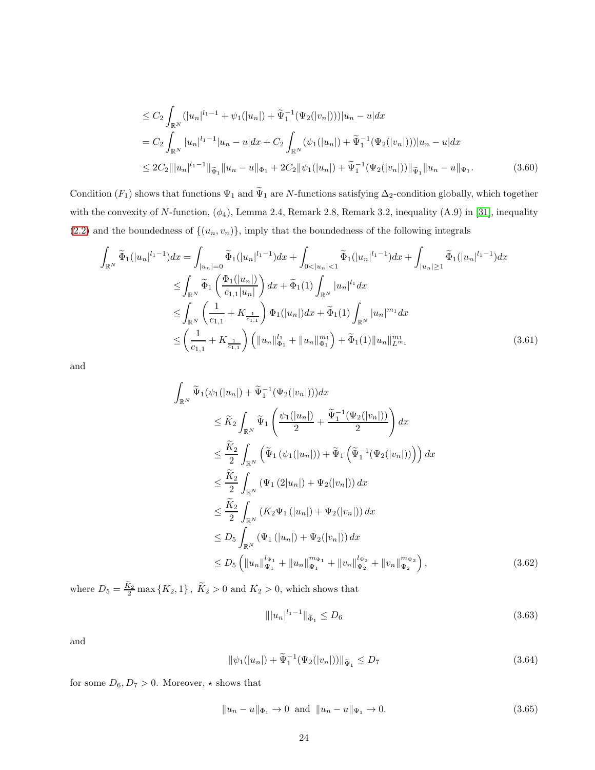<span id="page-23-0"></span>
$$
\leq C_2 \int_{\mathbb{R}^N} (|u_n|^{l_1-1} + \psi_1(|u_n|) + \widetilde{\Psi}_1^{-1}(\Psi_2(|v_n|))) |u_n - u| dx
$$
  
=  $C_2 \int_{\mathbb{R}^N} |u_n|^{l_1-1} |u_n - u| dx + C_2 \int_{\mathbb{R}^N} (\psi_1(|u_n|) + \widetilde{\Psi}_1^{-1}(\Psi_2(|v_n|))) |u_n - u| dx$   

$$
\leq 2C_2 |||u_n|^{l_1-1} ||_{\widetilde{\Phi}_1} ||u_n - u||_{\Phi_1} + 2C_2 ||\psi_1(|u_n|) + \widetilde{\Psi}_1^{-1}(\Psi_2(|v_n|)) ||_{\widetilde{\Psi}_1} ||u_n - u||_{\Psi_1}.
$$
 (3.60)

Condition  $(F_1)$  shows that functions  $\Psi_1$  and  $\widetilde{\Psi}_1$  are N-functions satisfying  $\Delta_2$ -condition globally, which together with the convexity of N-function,  $(\phi_4)$ , Lemma 2.4, Remark 2.8, Remark 3.2, inequality (A.9) in [\[31\]](#page-34-5), inequality  $(2.2)$  and the boundedness of  $\{(u_n, v_n)\}\$ , imply that the boundedness of the following integrals

$$
\int_{\mathbb{R}^N} \widetilde{\Phi}_1(|u_n|^{l_1-1}) dx = \int_{|u_n| = 0} \widetilde{\Phi}_1(|u_n|^{l_1-1}) dx + \int_{0 < |u_n| < 1} \widetilde{\Phi}_1(|u_n|^{l_1-1}) dx + \int_{|u_n| \ge 1} \widetilde{\Phi}_1(|u_n|^{l_1-1}) dx
$$
\n
$$
\le \int_{\mathbb{R}^N} \widetilde{\Phi}_1\left(\frac{\Phi_1(|u_n|)}{c_{1,1}|u_n|}\right) dx + \widetilde{\Phi}_1(1) \int_{\mathbb{R}^N} |u_n|^{l_1} dx
$$
\n
$$
\le \int_{\mathbb{R}^N} \left(\frac{1}{c_{1,1}} + K_{\frac{1}{c_{1,1}}}\right) \Phi_1(|u_n|) dx + \widetilde{\Phi}_1(1) \int_{\mathbb{R}^N} |u_n|^{m_1} dx
$$
\n
$$
\le \left(\frac{1}{c_{1,1}} + K_{\frac{1}{c_{1,1}}}\right) \left(\|u_n\|_{\Phi_1}^{l_1} + \|u_n\|_{\Phi_1}^{m_1}\right) + \widetilde{\Phi}_1(1) \|u_n\|_{L^{m_1}}^{m_1}
$$
\n(3.61)

and

$$
\int_{\mathbb{R}^N} \widetilde{\Psi}_1(\psi_1(|u_n|) + \widetilde{\Psi}_1^{-1}(\Psi_2(|v_n|)))dx
$$
\n
$$
\leq \widetilde{K}_2 \int_{\mathbb{R}^N} \widetilde{\Psi}_1\left(\frac{\psi_1(|u_n|)}{2} + \frac{\widetilde{\Psi}_1^{-1}(\Psi_2(|v_n|))}{2}\right) dx
$$
\n
$$
\leq \frac{\widetilde{K}_2}{2} \int_{\mathbb{R}^N} \left(\widetilde{\Psi}_1(\psi_1(|u_n|)) + \widetilde{\Psi}_1(\widetilde{\Psi}_1^{-1}(\Psi_2(|v_n|)))\right) dx
$$
\n
$$
\leq \frac{\widetilde{K}_2}{2} \int_{\mathbb{R}^N} (\Psi_1(2|u_n|) + \Psi_2(|v_n|)) dx
$$
\n
$$
\leq \frac{\widetilde{K}_2}{2} \int_{\mathbb{R}^N} (K_2 \Psi_1(|u_n|) + \Psi_2(|v_n|)) dx
$$
\n
$$
\leq D_5 \int_{\mathbb{R}^N} (\Psi_1(|u_n|) + \Psi_2(|v_n|)) dx
$$
\n
$$
\leq D_5 \left( \|u_n\|_{\Psi_1}^{l_{\Psi_1}} + \|u_n\|_{\Psi_1}^{m_{\Psi_1}} + \|v_n\|_{\Psi_2}^{l_{\Psi_2}} + \|v_n\|_{\Psi_2}^{m_{\Psi_2}} \right), \tag{3.62}
$$

where  $D_5 = \frac{K_2}{2} \max \{K_2, 1\}$ ,  $\tilde{K}_2 > 0$  and  $K_2 > 0$ , which shows that

<span id="page-23-1"></span>
$$
\| |u_n|^{l_1 - 1} \|_{\widetilde{\Phi}_1} \le D_6 \tag{3.63}
$$

and

$$
\|\psi_1(|u_n|) + \widetilde{\Psi}_1^{-1}(\Psi_2(|v_n|))\|_{\widetilde{\Psi}_1} \le D_7 \tag{3.64}
$$

for some  $D_6, D_7 > 0.$  Moreover,  $\star$  shows that

<span id="page-23-2"></span>
$$
||u_n - u||_{\Phi_1} \to 0 \text{ and } ||u_n - u||_{\Psi_1} \to 0. \tag{3.65}
$$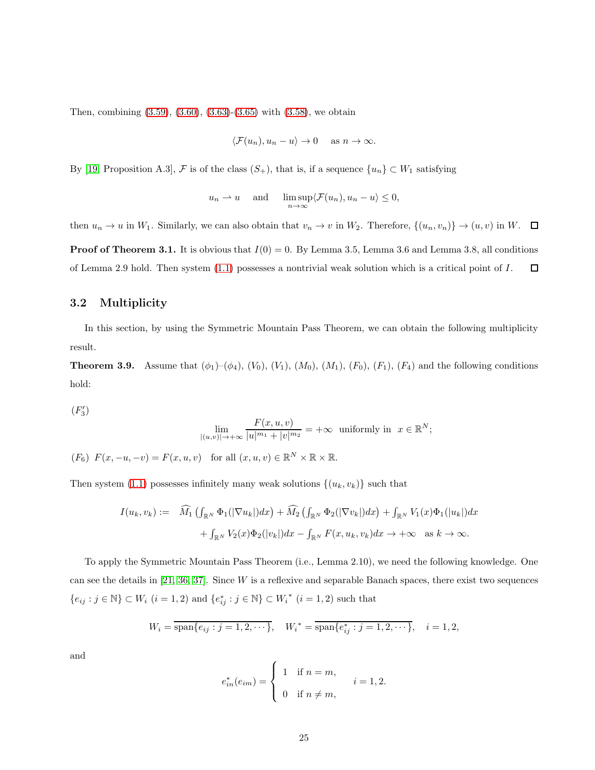Then, combining [\(3.59\)](#page-22-1), [\(3.60\)](#page-23-0), [\(3.63\)](#page-23-1)-[\(3.65\)](#page-23-2) with [\(3.58\)](#page-22-2), we obtain

$$
\langle \mathcal{F}(u_n), u_n - u \rangle \to 0
$$
 as  $n \to \infty$ .

By [\[19,](#page-33-8) Proposition A.3],  $\mathcal F$  is of the class  $(S_+)$ , that is, if a sequence  $\{u_n\} \subset W_1$  satisfying

$$
u_n \rightharpoonup u
$$
 and  $\limsup_{n \to \infty} \langle \mathcal{F}(u_n), u_n - u \rangle \leq 0$ ,

then  $u_n \to u$  in  $W_1$ . Similarly, we can also obtain that  $v_n \to v$  in  $W_2$ . Therefore,  $\{(u_n, v_n)\} \to (u, v)$  in W.  $\Box$ 

**Proof of Theorem 3.1.** It is obvious that  $I(0) = 0$ . By Lemma 3.5, Lemma 3.6 and Lemma 3.8, all conditions of Lemma 2.9 hold. Then system  $(1.1)$  possesses a nontrivial weak solution which is a critical point of  $I$ .  $\Box$ 

#### 3.2 Multiplicity

In this section, by using the Symmetric Mountain Pass Theorem, we can obtain the following multiplicity result.

**Theorem 3.9.** Assume that  $(\phi_1)$ – $(\phi_4)$ ,  $(V_0)$ ,  $(V_1)$ ,  $(M_0)$ ,  $(M_1)$ ,  $(F_0)$ ,  $(F_1)$ ,  $(F_4)$  and the following conditions hold:

 $(F_3')$ 

$$
\lim_{|(u,v)| \to +\infty} \frac{F(x,u,v)}{|u|^{m_1} + |v|^{m_2}} = +\infty \text{ uniformly in } x \in \mathbb{R}^N;
$$

 $(F_6)$   $F(x, -u, -v) = F(x, u, v)$  for all  $(x, u, v) \in \mathbb{R}^N \times \mathbb{R} \times \mathbb{R}$ .

Then system [\(1.1\)](#page-0-0) possesses infinitely many weak solutions  $\{(u_k, v_k)\}\$  such that

$$
I(u_k, v_k) := \widehat{M}_1\left(\int_{\mathbb{R}^N} \Phi_1(|\nabla u_k|)dx\right) + \widehat{M}_2\left(\int_{\mathbb{R}^N} \Phi_2(|\nabla v_k|)dx\right) + \int_{\mathbb{R}^N} V_1(x)\Phi_1(|u_k|)dx
$$

$$
+ \int_{\mathbb{R}^N} V_2(x)\Phi_2(|v_k|)dx - \int_{\mathbb{R}^N} F(x, u_k, v_k)dx \to +\infty \quad \text{as } k \to \infty.
$$

To apply the Symmetric Mountain Pass Theorem (i.e., Lemma 2.10), we need the following knowledge. One can see the details in  $[21, 36, 37]$ . Since W is a reflexive and separable Banach spaces, there exist two sequences  ${e_{ij} : j \in \mathbb{N}} \subset W_i$   $(i = 1, 2)$  and  ${e_{ij}^* : j \in \mathbb{N}} \subset W_i^*$   $(i = 1, 2)$  such that

$$
W_i = \overline{\text{span}\{e_{ij} : j = 1, 2, \cdots\}}, \quad W_i^* = \overline{\text{span}\{e_{ij}^* : j = 1, 2, \cdots\}}, \quad i = 1, 2,
$$

and

$$
e_{in}^*(e_{im}) = \begin{cases} 1 & \text{if } n = m, \\ 0 & \text{if } n \neq m, \end{cases}
$$
  $i = 1, 2.$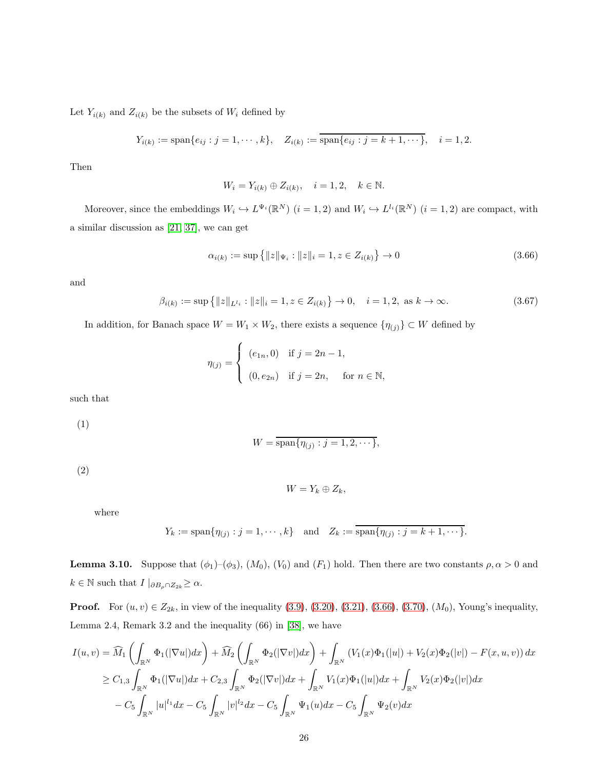Let  $Y_{i(k)}$  and  $Z_{i(k)}$  be the subsets of  $W_i$  defined by

$$
Y_{i(k)} := \text{span}\{e_{ij} : j = 1, \cdots, k\}, \quad Z_{i(k)} := \overline{\text{span}\{e_{ij} : j = k + 1, \cdots\}}, \quad i = 1, 2.
$$

Then

$$
W_i = Y_{i(k)} \oplus Z_{i(k)}, \quad i = 1, 2, \quad k \in \mathbb{N}.
$$

Moreover, since the embeddings  $W_i \hookrightarrow L^{\Psi_i}(\mathbb{R}^N)$   $(i = 1, 2)$  and  $W_i \hookrightarrow L^{l_i}(\mathbb{R}^N)$   $(i = 1, 2)$  are compact, with a similar discussion as [\[21,](#page-33-10) 37], we can get

<span id="page-25-0"></span>
$$
\alpha_{i(k)} := \sup \{|z\|_{\Psi_i} : \|z\|_i = 1, z \in Z_{i(k)}\} \to 0 \tag{3.66}
$$

and

$$
\beta_{i(k)} := \sup \{ ||z||_{L^{l_i}} : ||z||_i = 1, z \in Z_{i(k)} \} \to 0, \quad i = 1, 2, \text{ as } k \to \infty.
$$
\n(3.67)

In addition, for Banach space  $W = W_1 \times W_2$ , there exists a sequence  $\{\eta_{(j)}\} \subset W$  defined by

$$
\eta_{(j)} = \begin{cases} (e_{1n}, 0) & \text{if } j = 2n - 1, \\ (0, e_{2n}) & \text{if } j = 2n, \quad \text{for } n \in \mathbb{N}, \end{cases}
$$

such that

(1)

$$
W = \overline{\operatorname{span}\{\eta_{(j)} : j = 1, 2, \cdots\}},
$$

(2)

$$
W=Y_k\oplus Z_k,
$$

where

$$
Y_k := \text{span}\{\eta_{(j)} : j = 1, \cdots, k\}
$$
 and  $Z_k := \overline{\text{span}\{\eta_{(j)} : j = k+1, \cdots\}}$ .

**Lemma 3.10.** Suppose that  $(\phi_1)$ – $(\phi_3)$ ,  $(M_0)$ ,  $(V_0)$  and  $(F_1)$  hold. Then there are two constants  $\rho, \alpha > 0$  and  $k \in \mathbb{N}$  such that  $I \mid_{\partial B_{\rho} \cap Z_{2k}} \geq \alpha$ .

**Proof.** For  $(u, v) \in Z_{2k}$ , in view of the inequality  $(3.9)$ ,  $(3.20)$ ,  $(3.21)$ ,  $(3.66)$ ,  $(3.70)$ ,  $(M_0)$ , Young's inequality, Lemma 2.4, Remark 3.2 and the inequality (66) in [\[38\]](#page-35-0), we have

$$
I(u, v) = \widehat{M}_{1} \left( \int_{\mathbb{R}^{N}} \Phi_{1}(|\nabla u|) dx \right) + \widehat{M}_{2} \left( \int_{\mathbb{R}^{N}} \Phi_{2}(|\nabla v|) dx \right) + \int_{\mathbb{R}^{N}} \left( V_{1}(x) \Phi_{1}(|u|) + V_{2}(x) \Phi_{2}(|v|) - F(x, u, v) \right) dx
$$
  
\n
$$
\geq C_{1,3} \int_{\mathbb{R}^{N}} \Phi_{1}(|\nabla u|) dx + C_{2,3} \int_{\mathbb{R}^{N}} \Phi_{2}(|\nabla v|) dx + \int_{\mathbb{R}^{N}} V_{1}(x) \Phi_{1}(|u|) dx + \int_{\mathbb{R}^{N}} V_{2}(x) \Phi_{2}(|v|) dx
$$
  
\n
$$
- C_{5} \int_{\mathbb{R}^{N}} |u|^{l_{1}} dx - C_{5} \int_{\mathbb{R}^{N}} |v|^{l_{2}} dx - C_{5} \int_{\mathbb{R}^{N}} \Psi_{1}(u) dx - C_{5} \int_{\mathbb{R}^{N}} \Psi_{2}(v) dx
$$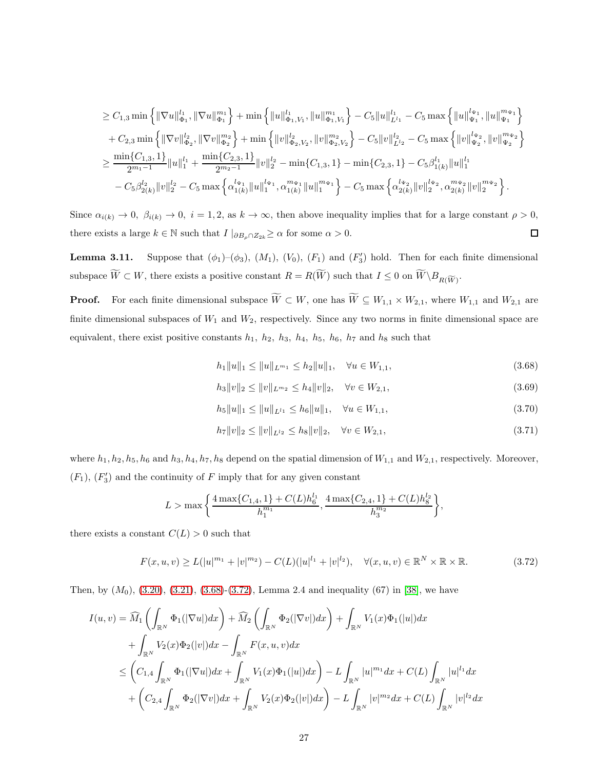$$
\begin{aligned} &\geq C_{1,3}\min\left\{\|\nabla u\|_{\Phi_1}^{l_1}, \|\nabla u\|_{\Phi_1}^{m_1}\right\}+\min\left\{\|u\|_{\Phi_1,V_1}^{l_1}, \|u\|_{\Phi_1,V_1}^{m_1}\right\}-C_{5}\|u\|_{L^l_1}^{l_1}-C_{5}\max\left\{\|u\|_{\Psi_1}^{l_{\Psi_1}}, \|u\|_{\Psi_1}^{m_{\Psi_1}}\right\}\\&+C_{2,3}\min\left\{\|\nabla v\|_{\Phi_2}^{l_2}, \|\nabla v\|_{\Phi_2}^{m_2}\right\}+\min\left\{\|v\|_{\Phi_2,V_2}^{l_2}, \|v\|_{\Phi_2,V_2}^{m_2}\right\}-C_{5}\|v\|_{L^l_2}^{l_2}-C_{5}\max\left\{\|v\|_{\Psi_2}^{l_{\Psi_2}}, \|v\|_{\Psi_2}^{m_{\Psi_2}}\right\}\\&\geq\frac{\min\{C_{1,3},1\}}{2^{m_1-1}}\|u\|_1^l+\frac{\min\{C_{2,3},1\}}{2^{m_2-1}}\|v\|_2^{l_2}-\min\{C_{1,3},1\}-\min\{C_{2,3},1\}-C_{5}\beta_{1(k)}^l\|u\|_1^{l_1}\\&-C_{5}\beta_{2(k)}^{l_2}\|v\|_2^{l_2}-C_{5}\max\left\{\alpha_{1(k)}^{l_{\Psi_1}},\alpha_{1(k)}^{m_{\Psi_1}}\|u\|_1^{m_{\Psi_1}}\right\}-C_{5}\max\left\{\alpha_{2(k)}^{l_{\Psi_2}}\|v\|_2^{l_{\Psi_2}},\alpha_{2(k)}^{m_{\Psi_2}}\|v\|_2^{m_{\Psi_2}}\right\}.\end{aligned}
$$

Since  $\alpha_{i(k)} \to 0$ ,  $\beta_{i(k)} \to 0$ ,  $i = 1, 2$ , as  $k \to \infty$ , then above inequality implies that for a large constant  $\rho > 0$ , there exists a large  $k \in \mathbb{N}$  such that  $I |_{\partial B_{\rho} \cap Z_{2k}} \geq \alpha$  for some  $\alpha > 0$ .  $\Box$ 

**Lemma 3.11.** Suppose that  $(\phi_1)$ – $(\phi_3)$ ,  $(M_1)$ ,  $(V_0)$ ,  $(F_1)$  and  $(F'_3)$  hold. Then for each finite dimensional subspace  $W \subset W$ , there exists a positive constant  $R = R(W)$  such that  $I \leq 0$  on  $W \backslash B_{R(\widetilde{W})}$ .

**Proof.** For each finite dimensional subspace  $\widetilde{W} \subset W$ , one has  $\widetilde{W} \subseteq W_{1,1} \times W_{2,1}$ , where  $W_{1,1}$  and  $W_{2,1}$  are finite dimensional subspaces of  $W_1$  and  $W_2$ , respectively. Since any two norms in finite dimensional space are equivalent, there exist positive constants  $h_1$ ,  $h_2$ ,  $h_3$ ,  $h_4$ ,  $h_5$ ,  $h_6$ ,  $h_7$  and  $h_8$  such that

<span id="page-26-1"></span>
$$
h_1 \|u\|_1 \le \|u\|_{L^{m_1}} \le h_2 \|u\|_1, \quad \forall u \in W_{1,1},\tag{3.68}
$$

$$
h_3 \|v\|_2 \le \|v\|_{L^{m_2}} \le h_4 \|v\|_2, \quad \forall v \in W_{2,1},\tag{3.69}
$$

<span id="page-26-0"></span>
$$
h_5\|u\|_1 \le \|u\|_{L^{l_1}} \le h_6\|u\|_1, \quad \forall u \in W_{1,1},\tag{3.70}
$$

$$
h_7\|v\|_2 \le \|v\|_{L^{l_2}} \le h_8\|v\|_2, \quad \forall v \in W_{2,1},\tag{3.71}
$$

where  $h_1, h_2, h_5, h_6$  and  $h_3, h_4, h_7, h_8$  depend on the spatial dimension of  $W_{1,1}$  and  $W_{2,1}$ , respectively. Moreover,  $(F_1)$ ,  $(F'_3)$  and the continuity of F imply that for any given constant

$$
L > \max\bigg\{\frac{4\max\{C_{1,4}, 1\} + C(L)h_6^{l_1}}{h_1^{m_1}}, \frac{4\max\{C_{2,4}, 1\} + C(L)h_8^{l_2}}{h_3^{m_2}}\bigg\},\
$$

there exists a constant  $C(L) > 0$  such that

<span id="page-26-2"></span>
$$
F(x, u, v) \ge L(|u|^{m_1} + |v|^{m_2}) - C(L)(|u|^{l_1} + |v|^{l_2}), \quad \forall (x, u, v) \in \mathbb{R}^N \times \mathbb{R} \times \mathbb{R}.
$$
 (3.72)

Then, by  $(M_0)$ ,  $(3.20)$ ,  $(3.21)$ ,  $(3.68)$ - $(3.72)$ , Lemma 2.4 and inequality  $(67)$  in [\[38\]](#page-35-0), we have

$$
I(u, v) = \widehat{M}_{1} \left( \int_{\mathbb{R}^{N}} \Phi_{1}(|\nabla u|) dx \right) + \widehat{M}_{2} \left( \int_{\mathbb{R}^{N}} \Phi_{2}(|\nabla v|) dx \right) + \int_{\mathbb{R}^{N}} V_{1}(x) \Phi_{1}(|u|) dx
$$
  
+ 
$$
\int_{\mathbb{R}^{N}} V_{2}(x) \Phi_{2}(|v|) dx - \int_{\mathbb{R}^{N}} F(x, u, v) dx
$$
  

$$
\leq \left( C_{1,4} \int_{\mathbb{R}^{N}} \Phi_{1}(|\nabla u|) dx + \int_{\mathbb{R}^{N}} V_{1}(x) \Phi_{1}(|u|) dx \right) - L \int_{\mathbb{R}^{N}} |u|^{m_{1}} dx + C(L) \int_{\mathbb{R}^{N}} |u|^{l_{1}} dx
$$
  
+ 
$$
\left( C_{2,4} \int_{\mathbb{R}^{N}} \Phi_{2}(|\nabla v|) dx + \int_{\mathbb{R}^{N}} V_{2}(x) \Phi_{2}(|v|) dx \right) - L \int_{\mathbb{R}^{N}} |v|^{m_{2}} dx + C(L) \int_{\mathbb{R}^{N}} |v|^{l_{2}} dx
$$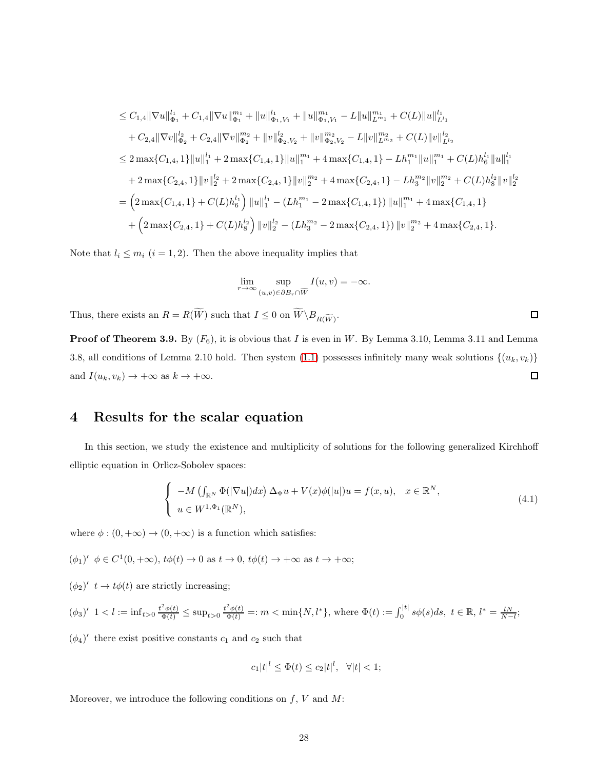$$
\leq C_{1,4} \|\nabla u\|_{\Phi_1}^{l_1} + C_{1,4} \|\nabla u\|_{\Phi_1}^{m_1} + \|u\|_{\Phi_1,V_1}^{l_1} + \|u\|_{\Phi_1,V_1}^{m_1} - L \|u\|_{L^{m_1}}^{m_1} + C(L) \|u\|_{L^{l_1}}^{l_1} \n+ C_{2,4} \|\nabla v\|_{\Phi_2}^{l_2} + C_{2,4} \|\nabla v\|_{\Phi_2}^{m_2} + \|v\|_{\Phi_2,V_2}^{l_2} + \|v\|_{\Phi_2,V_2}^{m_2} - L \|v\|_{L^{m_2}}^{m_2} + C(L) \|v\|_{L^{l_2}}^{l_2} \n\leq 2 \max\{C_{1,4}, 1\} \|u\|_{1}^{l_1} + 2 \max\{C_{1,4}, 1\} \|u\|_{1}^{m_1} + 4 \max\{C_{1,4}, 1\} - L h_1^{m_1} \|u\|_{1}^{m_1} + C(L) h_6^{l_1} \|u\|_{1}^{l_1} \n+ 2 \max\{C_{2,4}, 1\} \|v\|_{2}^{l_2} + 2 \max\{C_{2,4}, 1\} \|v\|_{2}^{m_2} + 4 \max\{C_{2,4}, 1\} - L h_3^{m_2} \|v\|_{2}^{m_2} + C(L) h_8^{l_2} \|v\|_{2}^{l_2} \n= \left(2 \max\{C_{1,4}, 1\} + C(L) h_6^{l_1}\right) \|u\|_{1}^{l_1} - (L h_1^{m_1} - 2 \max\{C_{1,4}, 1\}) \|u\|_{1}^{m_1} + 4 \max\{C_{1,4}, 1\} \n+ \left(2 \max\{C_{2,4}, 1\} + C(L) h_8^{l_2}\right) \|v\|_{2}^{l_2} - (L h_3^{m_2} - 2 \max\{C_{2,4}, 1\}) \|v\|_{2}^{m_2} + 4 \max\{C_{2,4}, 1\}.
$$

Note that  $l_i \leq m_i$   $(i = 1, 2)$ . Then the above inequality implies that

$$
\lim_{r \to \infty} \sup_{(u,v) \in \partial B_r \cap \widetilde{W}} I(u,v) = -\infty.
$$

Thus, there exists an  $R = R(W)$  such that  $I \leq 0$  on  $W \backslash B_{R(\widetilde{W})}$ .

**Proof of Theorem 3.9.** By  $(F_6)$ , it is obvious that I is even in W. By Lemma 3.10, Lemma 3.11 and Lemma 3.8, all conditions of Lemma 2.10 hold. Then system [\(1.1\)](#page-0-0) possesses infinitely many weak solutions  $\{(u_k, v_k)\}$ and  $I(u_k, v_k) \to +\infty$  as  $k \to +\infty$ .  $\Box$ 

## 4 Results for the scalar equation

In this section, we study the existence and multiplicity of solutions for the following generalized Kirchhoff elliptic equation in Orlicz-Sobolev spaces:

<span id="page-27-0"></span>
$$
\begin{cases}\n-M\left(\int_{\mathbb{R}^N}\Phi(|\nabla u|)dx\right)\Delta_{\Phi}u + V(x)\phi(|u|)u = f(x,u), & x \in \mathbb{R}^N, \\
u \in W^{1,\Phi_1}(\mathbb{R}^N),\n\end{cases} \tag{4.1}
$$

 $\Box$ 

where  $\phi : (0, +\infty) \to (0, +\infty)$  is a function which satisfies:

$$
(\phi_1)'\ \ \phi \in C^1(0, +\infty), \ t\phi(t) \to 0 \ \text{as} \ t \to 0, \ t\phi(t) \to +\infty \ \text{as} \ t \to +\infty;
$$

 $(\phi_2)'$   $t \to t\phi(t)$  are strictly increasing;

$$
(\phi_3)' \ 1 < l := \inf_{t > 0} \frac{t^2 \phi(t)}{\Phi(t)} \le \sup_{t > 0} \frac{t^2 \phi(t)}{\Phi(t)} =: m < \min\{N, l^*\}, \text{ where } \Phi(t) := \int_0^{|t|} s\phi(s)ds, \ t \in \mathbb{R}, \ l^* = \frac{lN}{N-l};
$$

 $(\phi_4)'$  there exist positive constants  $c_1$  and  $c_2$  such that

$$
c_1|t|^l \le \Phi(t) \le c_2|t|^l, \quad \forall |t| < 1;
$$

Moreover, we introduce the following conditions on  $f$ ,  $V$  and  $M$ :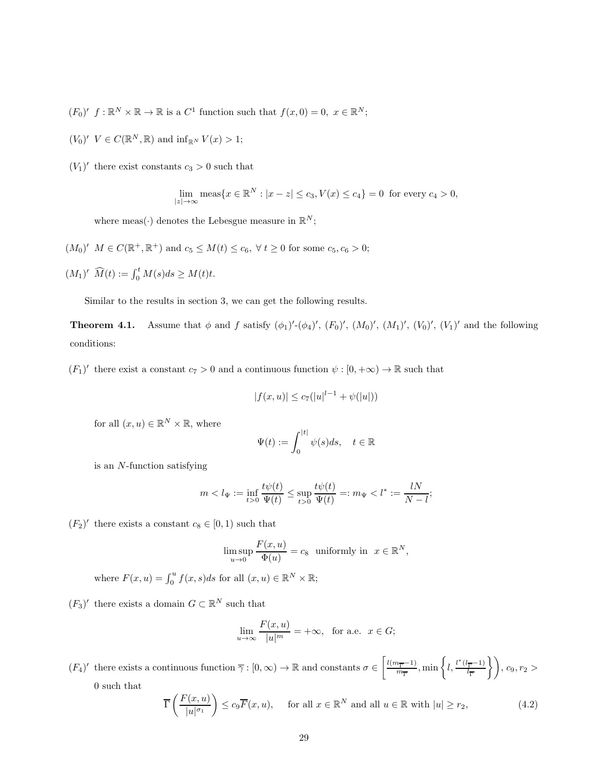- $(F_0)'$   $f: \mathbb{R}^N \times \mathbb{R} \to \mathbb{R}$  is a  $C^1$  function such that  $f(x, 0) = 0, x \in \mathbb{R}^N$ ;
- $(V_0)'$   $V \in C(\mathbb{R}^N, \mathbb{R})$  and  $\inf_{\mathbb{R}^N} V(x) > 1$ ;
- $(V_1)'$  there exist constants  $c_3 > 0$  such that

$$
\lim_{|z| \to \infty} \text{meas}\{x \in \mathbb{R}^N : |x - z| \le c_3, V(x) \le c_4\} = 0 \text{ for every } c_4 > 0,
$$

where meas( $\cdot$ ) denotes the Lebesgue measure in  $\mathbb{R}^N$ ;

- $(M_0)'$   $M \in C(\mathbb{R}^+, \mathbb{R}^+)$  and  $c_5 \leq M(t) \leq c_6$ ,  $\forall t \geq 0$  for some  $c_5, c_6 > 0$ ;
- $(M_1)'$   $\widehat{M}(t) := \int_0^t M(s)ds \geq M(t)t.$

Similar to the results in section 3, we can get the following results.

**Theorem 4.1.** Assume that  $\phi$  and f satisfy  $(\phi_1)'$ - $(\phi_4)'$ ,  $(F_0)'$ ,  $(M_0)'$ ,  $(M_1)'$ ,  $(V_0)'$ ,  $(V_1)'$  and the following conditions:

 $(F_1)'$  there exist a constant  $c_7 > 0$  and a continuous function  $\psi : [0, +\infty) \to \mathbb{R}$  such that

$$
|f(x, u)| \le c_7(|u|^{l-1} + \psi(|u|))
$$

for all  $(x, u) \in \mathbb{R}^N \times \mathbb{R}$ , where

$$
\Psi(t) := \int_0^{|t|} \psi(s)ds, \quad t \in \mathbb{R}
$$

is an N-function satisfying

$$
m < l_{\Psi} := \inf_{t>0} \frac{t\psi(t)}{\Psi(t)} \le \sup_{t>0} \frac{t\psi(t)}{\Psi(t)} =: m_{\Psi} < l^* := \frac{lN}{N-l};
$$

 $(F_2)'$  there exists a constant  $c_8 \in [0,1)$  such that

$$
\limsup_{u \to 0} \frac{F(x, u)}{\Phi(u)} = c_8 \text{ uniformly in } x \in \mathbb{R}^N,
$$

where  $F(x, u) = \int_0^u f(x, s)ds$  for all  $(x, u) \in \mathbb{R}^N \times \mathbb{R}$ ;

 $(F_3)'$  there exists a domain  $G \subset \mathbb{R}^N$  such that

$$
\lim_{u \to \infty} \frac{F(x, u)}{|u|^m} = +\infty, \text{ for a.e. } x \in G;
$$

 $(F_4)'$  there exists a continuous function  $\overline{\gamma}: [0, \infty) \to \mathbb{R}$  and constants  $\sigma \in \left[\frac{l(m_{\overline{\Gamma}}-1)}{m_{\overline{\Gamma}}} \right]$  $\frac{n_{\overline{\Gamma}}-1)}{m_{\overline{\Gamma}}}, \min\left\{l, \frac{l^*(l_{\overline{\Gamma}}-1)}{l_{\overline{\Gamma}}}\right\}$  $\left\langle \frac{\overline{r}-1}{l_{\overline{\Gamma}}} \right\rangle$ ,  $c_9, r_2 >$ 0 such that

$$
\overline{\Gamma}\left(\frac{F(x,u)}{|u|^{\sigma_1}}\right) \le c_9 \overline{F}(x,u), \quad \text{ for all } x \in \mathbb{R}^N \text{ and all } u \in \mathbb{R} \text{ with } |u| \ge r_2,
$$
\n
$$
(4.2)
$$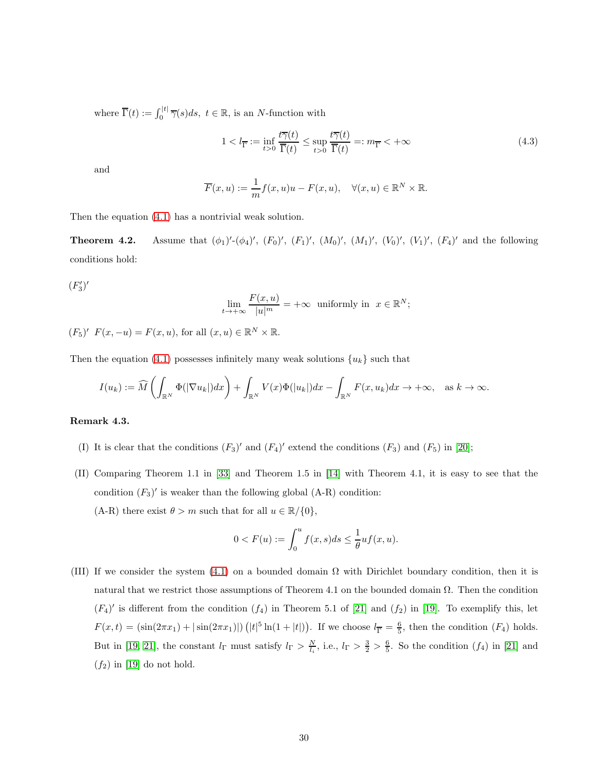where  $\overline{\Gamma}(t) := \int_0^{|t|} \overline{\gamma}(s) ds, t \in \mathbb{R}$ , is an *N*-function with

$$
1 < l_{\overline{\Gamma}} := \inf_{t>0} \frac{t\overline{\gamma}(t)}{\overline{\Gamma}(t)} \le \sup_{t>0} \frac{t\overline{\gamma}(t)}{\overline{\Gamma}(t)} =: m_{\overline{\Gamma}} < +\infty
$$
\n(4.3)

and

$$
\overline{F}(x, u) := \frac{1}{m} f(x, u)u - F(x, u), \quad \forall (x, u) \in \mathbb{R}^N \times \mathbb{R}.
$$

Then the equation [\(4.1\)](#page-27-0) has a nontrivial weak solution.

**Theorem 4.2.** Assume that  $(\phi_1)'(\phi_4)'$ ,  $(F_0)'$ ,  $(F_1)'$ ,  $(M_0)'$ ,  $(M_1)'$ ,  $(V_0)'$ ,  $(V_1)'$ ,  $(F_4)'$  and the following conditions hold:

 $(F_3')'$ 

$$
\lim_{t \to +\infty} \frac{F(x, u)}{|u|^m} = +\infty \text{ uniformly in } x \in \mathbb{R}^N;
$$

 $(F_5)'$   $F(x, -u) = F(x, u)$ , for all  $(x, u) \in \mathbb{R}^N \times \mathbb{R}$ .

Then the equation [\(4.1\)](#page-27-0) possesses infinitely many weak solutions  ${u<sub>k</sub>}$  such that

$$
I(u_k) := \widehat{M}\left(\int_{\mathbb{R}^N} \Phi(|\nabla u_k|) dx\right) + \int_{\mathbb{R}^N} V(x) \Phi(|u_k|) dx - \int_{\mathbb{R}^N} F(x, u_k) dx \to +\infty, \text{ as } k \to \infty.
$$

#### Remark 4.3.

- (I) It is clear that the conditions  $(F_3)'$  and  $(F_4)'$  extend the conditions  $(F_3)$  and  $(F_5)$  in [\[20\]](#page-33-9);
- (II) Comparing Theorem 1.1 in [\[33\]](#page-34-0) and Theorem 1.5 in [\[14\]](#page-33-3) with Theorem 4.1, it is easy to see that the condition  $(F_3)'$  is weaker than the following global  $(A-R)$  condition: (A-R) there exist  $\theta > m$  such that for all  $u \in \mathbb{R}/\{0\}$ ,

$$
0 < F(u) := \int_0^u f(x, s) \, ds \le \frac{1}{\theta} u f(x, u).
$$

(III) If we consider the system [\(4.1\)](#page-27-0) on a bounded domain  $\Omega$  with Dirichlet boundary condition, then it is natural that we restrict those assumptions of Theorem 4.1 on the bounded domain Ω. Then the condition  $(F_4)'$  is different from the condition  $(f_4)$  in Theorem 5.1 of [\[21\]](#page-33-10) and  $(f_2)$  in [\[19\]](#page-33-8). To exemplify this, let  $F(x,t) = (\sin(2\pi x_1) + |\sin(2\pi x_1)|) (|t|^5 \ln(1+|t|)).$  If we choose  $l_{\overline{\Gamma}} = \frac{6}{5}$ , then the condition  $(F_4)$  holds. But in [\[19,](#page-33-8) [21\]](#page-33-10), the constant  $l_{\Gamma}$  must satisfy  $l_{\Gamma} > \frac{N}{l_i}$ , i.e.,  $l_{\Gamma} > \frac{3}{2} > \frac{6}{5}$ . So the condition  $(f_4)$  in [\[21\]](#page-33-10) and  $(f_2)$  in [\[19\]](#page-33-8) do not hold.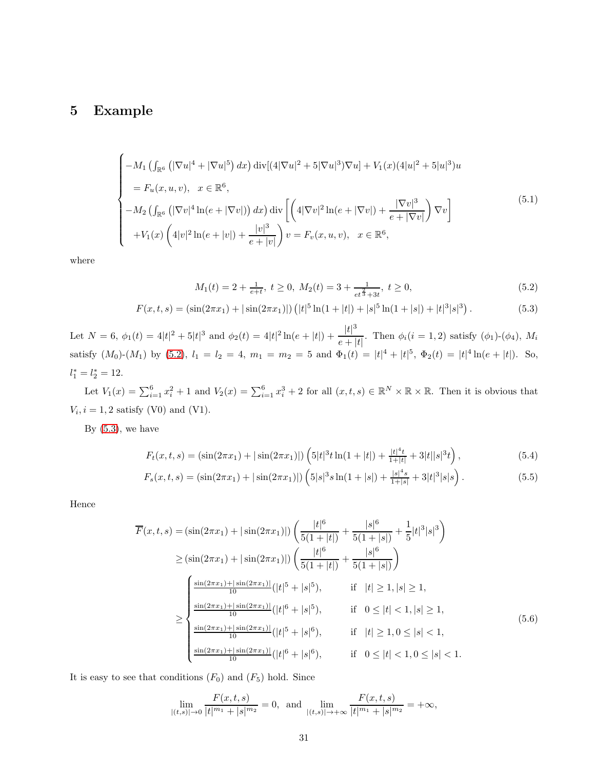### 5 Example

<span id="page-30-1"></span>
$$
\begin{cases}\n-M_1 \left(\int_{\mathbb{R}^6} \left(|\nabla u|^4 + |\nabla u|^5\right) dx\right) \operatorname{div}[(4|\nabla u|^2 + 5|\nabla u|^3)\nabla u] + V_1(x)(4|u|^2 + 5|u|^3)u \\
= F_u(x, u, v), \quad x \in \mathbb{R}^6, \\
-M_2 \left(\int_{\mathbb{R}^6} \left(|\nabla v|^4 \ln(e + |\nabla v|)\right) dx\right) \operatorname{div}\left[\left(4|\nabla v|^2 \ln(e + |\nabla v|) + \frac{|\nabla v|^3}{e + |\nabla v|}\right) \nabla v\right] \\
+ V_1(x) \left(4|v|^2 \ln(e + |v|) + \frac{|v|^3}{e + |v|}\right) v = F_v(x, u, v), \quad x \in \mathbb{R}^6,\n\end{cases} (5.1)
$$

where

$$
M_1(t) = 2 + \frac{1}{e+t}, \ t \ge 0, \ M_2(t) = 3 + \frac{1}{et^{\frac{2}{3}} + 3t}, \ t \ge 0,
$$
\n
$$
(5.2)
$$

<span id="page-30-0"></span>
$$
F(x,t,s) = \left(\sin(2\pi x_1) + |\sin(2\pi x_1)|\right) \left(|t|^5 \ln(1+|t|) + |s|^5 \ln(1+|s|) + |t|^3 |s|^3\right). \tag{5.3}
$$

Let  $N = 6$ ,  $\phi_1(t) = 4|t|^2 + 5|t|^3$  and  $\phi_2(t) = 4|t|^2 \ln(e+|t|) + \frac{|t|^3}{e+1}$  $\frac{e^{\vert x\vert}}{e^{\vert x\vert}}$ . Then  $\phi_i(i = 1, 2)$  satisfy  $(\phi_1)$ - $(\phi_4)$ ,  $M_i$ satisfy  $(M_0)-(M_1)$  by  $(5.2)$ ,  $l_1 = l_2 = 4$ ,  $m_1 = m_2 = 5$  and  $\Phi_1(t) = |t|^4 + |t|^5$ ,  $\Phi_2(t) = |t|^4 \ln(e + |t|)$ . So,  $l_1^* = l_2^* = 12.$ 

Let  $V_1(x) = \sum_{i=1}^6 x_i^2 + 1$  and  $V_2(x) = \sum_{i=1}^6 x_i^3 + 2$  for all  $(x, t, s) \in \mathbb{R}^N \times \mathbb{R} \times \mathbb{R}$ . Then it is obvious that  $V_i, i = 1, 2$  satisfy (V0) and (V1).

By  $(5.3)$ , we have

$$
F_t(x,t,s) = \left(\sin(2\pi x_1) + |\sin(2\pi x_1)|\right) \left(5|t|^3 t \ln(1+|t|) + \frac{|t|^4 t}{1+|t|} + 3|t||s|^3 t\right),\tag{5.4}
$$

$$
F_s(x,t,s) = \left(\sin(2\pi x_1) + |\sin(2\pi x_1)|\right) \left(5|s|^3 s \ln(1+|s|) + \frac{|s|^4 s}{1+|s|} + 3|t|^3 |s|s\right). \tag{5.5}
$$

Hence

$$
\overline{F}(x,t,s) = (\sin(2\pi x_1) + |\sin(2\pi x_1)|) \left( \frac{|t|^6}{5(1+|t|)} + \frac{|s|^6}{5(1+|s|)} + \frac{1}{5}|t|^3|s|^3 \right)
$$
\n
$$
\geq (\sin(2\pi x_1) + |\sin(2\pi x_1)|) \left( \frac{|t|^6}{5(1+|t|)} + \frac{|s|^6}{5(1+|s|)} \right)
$$
\n
$$
\leq \begin{cases}\n\frac{\sin(2\pi x_1) + |\sin(2\pi x_1)|}{10} (|t|^5 + |s|^5), & \text{if } |t| \geq 1, |s| \geq 1, \\
\frac{\sin(2\pi x_1) + |\sin(2\pi x_1)|}{10} (|t|^6 + |s|^5), & \text{if } 0 \leq |t| < 1, |s| \geq 1, \\
\frac{\sin(2\pi x_1) + |\sin(2\pi x_1)|}{10} (|t|^5 + |s|^6), & \text{if } |t| \geq 1, 0 \leq |s| < 1, \\
\frac{\sin(2\pi x_1) + |\sin(2\pi x_1)|}{10} (|t|^6 + |s|^6), & \text{if } 0 \leq |t| < 1, 0 \leq |s| < 1.\n\end{cases} (5.6)
$$

It is easy to see that conditions  $(F_0)$  and  $(F_5)$  hold. Since

$$
\lim_{|(t,s)| \to 0} \frac{F(x,t,s)}{|t|^{m_1} + |s|^{m_2}} = 0, \text{ and } \lim_{|(t,s)| \to +\infty} \frac{F(x,t,s)}{|t|^{m_1} + |s|^{m_2}} = +\infty,
$$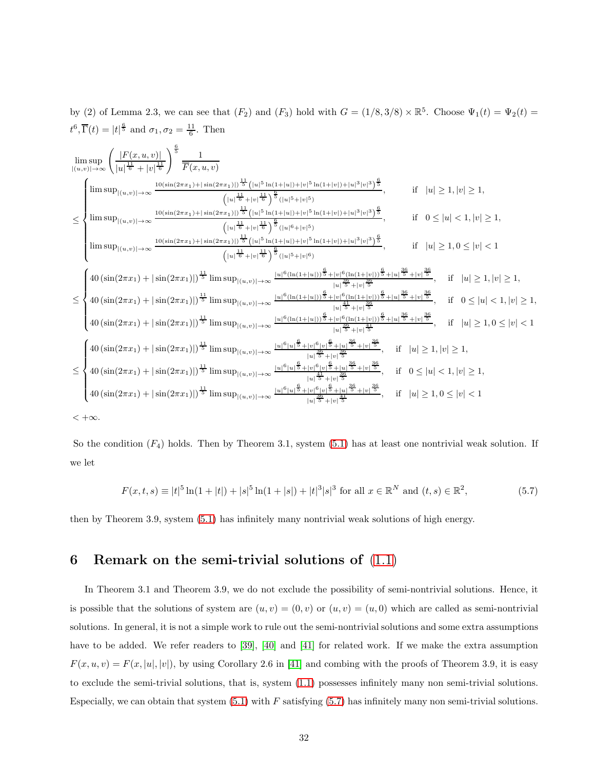by (2) of Lemma 2.3, we can see that  $(F_2)$  and  $(F_3)$  hold with  $G = (1/8, 3/8) \times \mathbb{R}^5$ . Choose  $\Psi_1(t) = \Psi_2(t)$  $t^6$ ,  $\overline{\Gamma}(t) = |t|^{\frac{6}{5}}$  and  $\sigma_1, \sigma_2 = \frac{11}{6}$ . Then

$$
\begin{array}{l} \limsup_{|(u,v)|\rightarrow \infty} \left( \frac{|F(x,u,v)|}{|u|^{\frac{11}{6}}} \right)^{\frac{6}{5}} \frac{1}{\overline{F}(x,u,v)} \\ \\ \leq \left\{ \begin{array}{ll} \limsup_{|u,v)|\rightarrow \infty} \frac{\log(\sin(2\pi x_1) + |\sin(2\pi x_1)|)^{\frac{11}{6}} \left( |u|^5 \ln(1+|u|) + |v|^5 \ln(1+|v|) + |u|^3 |v|^3 \right)^{\frac{6}{5}}}{\left( |u|^5 + |v|^{\frac{11}{6}} \right)^{\frac{6}{5}} (|u|^5 + |v|^5 \right)^{\frac{6}{5}} } \right. & \text{ if } \quad |u| \geq 1, |v| \geq 1, \\ \\ \limsup_{|u,v)|\rightarrow \infty} \frac{\log(\sin(2\pi x_1) + |\sin(2\pi x_1)|)^{\frac{11}{6}} \left( |u|^{\frac{11}{6}} + |v|^{\frac{11}{6}} \right)^{\frac{6}{5}} (|u|^5 + |v|^5)}{\left( |u|^5 + |v|^{\frac{11}{6}} \right)^{\frac{6}{5}} (|u|^6 + |v|^5 \right)^{\frac{6}{5}} } \right. & \text{ if } \quad 0 \leq |u| < 1, |v| \geq 1, \\ \\ \limsup_{|u,v)|\rightarrow \infty} \frac{\log(\sin(2\pi x_1) + |\sin(2\pi x_1)|)^{\frac{11}{6}} \left( |u|^{\frac{11}{6}} + |v|^{\frac{11}{6}} \right)^{\frac{6}{5}} (|u|^5 + |v|^6)}{\left( |u|^{\frac{11}{6}} + |v|^{\frac{11}{6}} \right)^{\frac{6}{5}} + |v|^{\frac{6}{6}} (|u|^4 + |v|^2 \right)^{\frac{6}{5}} + |v|^{\frac{60}{6}} \right. & \text{ if } \quad |u| \geq 1, 0 \leq |v| < 1 \\ \\ \leq \left\{ \begin{array}{ll} 40 \left( \sin(2\pi x_1) + |\sin(2\pi x_1)| \right)^{\frac{11}{6}} \limsup_{|u,v|)\rightarrow \infty} \frac{\log(\ln(1+|u|))^{\frac{6}{5}} + |v|^{\frac{60}{6}} \ln(1+|u|) \right
$$

So the condition  $(F_4)$  holds. Then by Theorem 3.1, system [\(5.1\)](#page-30-1) has at least one nontrivial weak solution. If we let

<span id="page-31-0"></span>
$$
F(x,t,s) \equiv |t|^5 \ln(1+|t|) + |s|^5 \ln(1+|s|) + |t|^3 |s|^3 \text{ for all } x \in \mathbb{R}^N \text{ and } (t,s) \in \mathbb{R}^2,
$$
 (5.7)

then by Theorem 3.9, system [\(5.1\)](#page-30-1) has infinitely many nontrivial weak solutions of high energy.

# 6 Remark on the semi-trivial solutions of  $(1.1)$

In Theorem 3.1 and Theorem 3.9, we do not exclude the possibility of semi-nontrivial solutions. Hence, it is possible that the solutions of system are  $(u, v) = (0, v)$  or  $(u, v) = (u, 0)$  which are called as semi-nontrivial solutions. In general, it is not a simple work to rule out the semi-nontrivial solutions and some extra assumptions have to be added. We refer readers to [\[39\]](#page-35-1), [\[40\]](#page-35-2) and [\[41\]](#page-35-3) for related work. If we make the extra assumption  $F(x, u, v) = F(x, |u|, |v|)$ , by using Corollary 2.6 in [\[41\]](#page-35-3) and combing with the proofs of Theorem 3.9, it is easy to exclude the semi-trivial solutions, that is, system [\(1.1\)](#page-0-0) possesses infinitely many non semi-trivial solutions. Especially, we can obtain that system  $(5.1)$  with F satisfying  $(5.7)$  has infinitely many non semi-trivial solutions.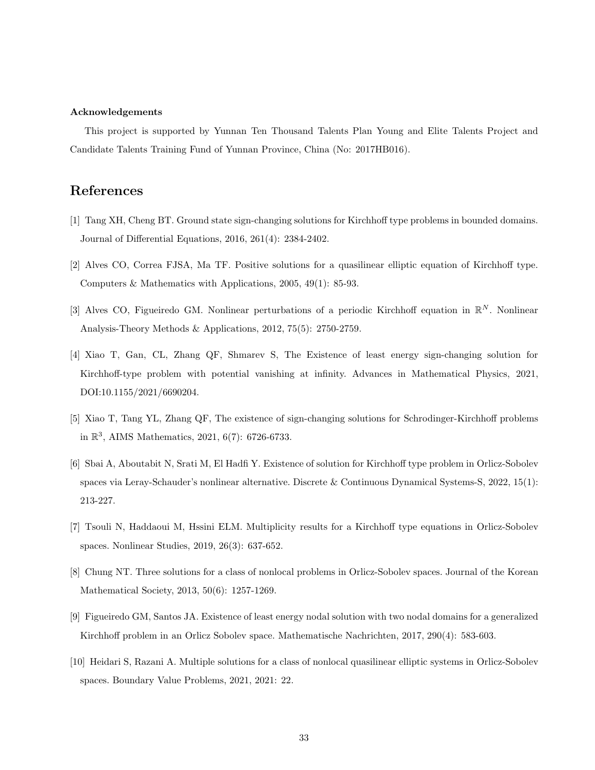#### Acknowledgements

This project is supported by Yunnan Ten Thousand Talents Plan Young and Elite Talents Project and Candidate Talents Training Fund of Yunnan Province, China (No: 2017HB016).

### <span id="page-32-0"></span>References

- <span id="page-32-1"></span>[1] Tang XH, Cheng BT. Ground state sign-changing solutions for Kirchhoff type problems in bounded domains. Journal of Differential Equations, 2016, 261(4): 2384-2402.
- <span id="page-32-2"></span>[2] Alves CO, Correa FJSA, Ma TF. Positive solutions for a quasilinear elliptic equation of Kirchhoff type. Computers & Mathematics with Applications, 2005, 49(1): 85-93.
- <span id="page-32-3"></span>[3] Alves CO, Figueiredo GM. Nonlinear perturbations of a periodic Kirchhoff equation in  $\mathbb{R}^N$ . Nonlinear Analysis-Theory Methods & Applications, 2012, 75(5): 2750-2759.
- [4] Xiao T, Gan, CL, Zhang QF, Shmarev S, The Existence of least energy sign-changing solution for Kirchhoff-type problem with potential vanishing at infinity. Advances in Mathematical Physics, 2021, DOI:10.1155/2021/6690204.
- <span id="page-32-5"></span><span id="page-32-4"></span>[5] Xiao T, Tang YL, Zhang QF, The existence of sign-changing solutions for Schrodinger-Kirchhoff problems in  $\mathbb{R}^3$ , AIMS Mathematics, 2021, 6(7): 6726-6733.
- [6] Sbai A, Aboutabit N, Srati M, El Hadfi Y. Existence of solution for Kirchhoff type problem in Orlicz-Sobolev spaces via Leray-Schauder's nonlinear alternative. Discrete & Continuous Dynamical Systems-S, 2022, 15(1): 213-227.
- <span id="page-32-7"></span><span id="page-32-6"></span>[7] Tsouli N, Haddaoui M, Hssini ELM. Multiplicity results for a Kirchhoff type equations in Orlicz-Sobolev spaces. Nonlinear Studies, 2019, 26(3): 637-652.
- <span id="page-32-8"></span>[8] Chung NT. Three solutions for a class of nonlocal problems in Orlicz-Sobolev spaces. Journal of the Korean Mathematical Society, 2013, 50(6): 1257-1269.
- <span id="page-32-9"></span>[9] Figueiredo GM, Santos JA. Existence of least energy nodal solution with two nodal domains for a generalized Kirchhoff problem in an Orlicz Sobolev space. Mathematische Nachrichten, 2017, 290(4): 583-603.
- [10] Heidari S, Razani A. Multiple solutions for a class of nonlocal quasilinear elliptic systems in Orlicz-Sobolev spaces. Boundary Value Problems, 2021, 2021: 22.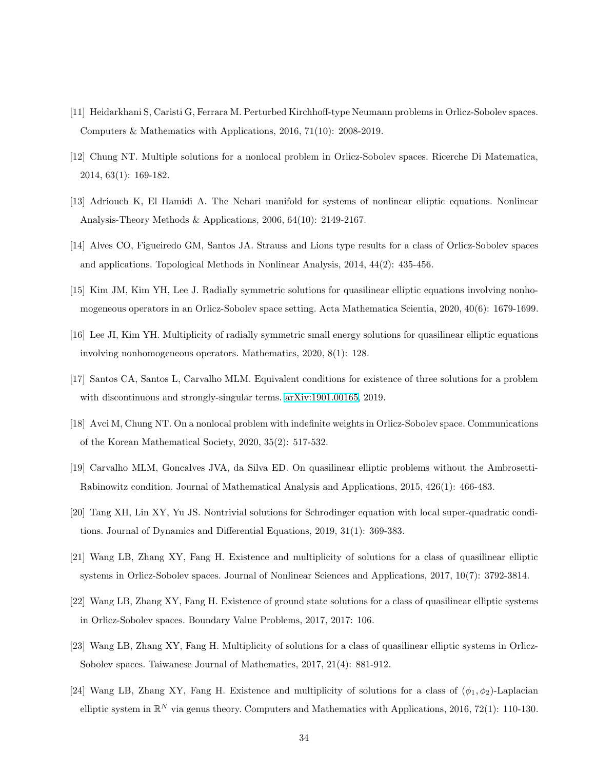- <span id="page-33-1"></span><span id="page-33-0"></span>[11] Heidarkhani S, Caristi G, Ferrara M. Perturbed Kirchhoff-type Neumann problems in Orlicz-Sobolev spaces. Computers & Mathematics with Applications, 2016, 71(10): 2008-2019.
- <span id="page-33-2"></span>[12] Chung NT. Multiple solutions for a nonlocal problem in Orlicz-Sobolev spaces. Ricerche Di Matematica, 2014, 63(1): 169-182.
- <span id="page-33-3"></span>[13] Adriouch K, El Hamidi A. The Nehari manifold for systems of nonlinear elliptic equations. Nonlinear Analysis-Theory Methods & Applications, 2006, 64(10): 2149-2167.
- <span id="page-33-4"></span>[14] Alves CO, Figueiredo GM, Santos JA. Strauss and Lions type results for a class of Orlicz-Sobolev spaces and applications. Topological Methods in Nonlinear Analysis, 2014, 44(2): 435-456.
- <span id="page-33-5"></span>[15] Kim JM, Kim YH, Lee J. Radially symmetric solutions for quasilinear elliptic equations involving nonhomogeneous operators in an Orlicz-Sobolev space setting. Acta Mathematica Scientia, 2020, 40(6): 1679-1699.
- <span id="page-33-6"></span>[16] Lee JI, Kim YH. Multiplicity of radially symmetric small energy solutions for quasilinear elliptic equations involving nonhomogeneous operators. Mathematics, 2020, 8(1): 128.
- <span id="page-33-7"></span>[17] Santos CA, Santos L, Carvalho MLM. Equivalent conditions for existence of three solutions for a problem with discontinuous and strongly-singular terms. [arXiv:1901.00165,](http://arxiv.org/abs/1901.00165) 2019.
- <span id="page-33-8"></span>[18] Avci M, Chung NT. On a nonlocal problem with indefinite weights in Orlicz-Sobolev space. Communications of the Korean Mathematical Society, 2020, 35(2): 517-532.
- <span id="page-33-9"></span>[19] Carvalho MLM, Goncalves JVA, da Silva ED. On quasilinear elliptic problems without the Ambrosetti-Rabinowitz condition. Journal of Mathematical Analysis and Applications, 2015, 426(1): 466-483.
- <span id="page-33-10"></span>[20] Tang XH, Lin XY, Yu JS. Nontrivial solutions for Schrodinger equation with local super-quadratic conditions. Journal of Dynamics and Differential Equations, 2019, 31(1): 369-383.
- <span id="page-33-11"></span>[21] Wang LB, Zhang XY, Fang H. Existence and multiplicity of solutions for a class of quasilinear elliptic systems in Orlicz-Sobolev spaces. Journal of Nonlinear Sciences and Applications, 2017, 10(7): 3792-3814.
- [22] Wang LB, Zhang XY, Fang H. Existence of ground state solutions for a class of quasilinear elliptic systems in Orlicz-Sobolev spaces. Boundary Value Problems, 2017, 2017: 106.
- <span id="page-33-12"></span>[23] Wang LB, Zhang XY, Fang H. Multiplicity of solutions for a class of quasilinear elliptic systems in Orlicz-Sobolev spaces. Taiwanese Journal of Mathematics, 2017, 21(4): 881-912.
- [24] Wang LB, Zhang XY, Fang H. Existence and multiplicity of solutions for a class of  $(\phi_1, \phi_2)$ -Laplacian elliptic system in  $\mathbb{R}^N$  via genus theory. Computers and Mathematics with Applications, 2016, 72(1): 110-130.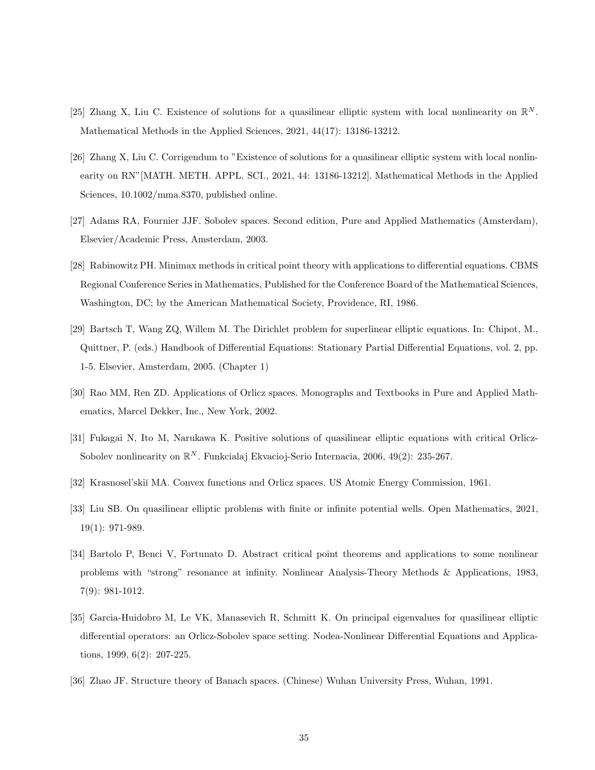- <span id="page-34-2"></span><span id="page-34-1"></span>[25] Zhang X, Liu C. Existence of solutions for a quasilinear elliptic system with local nonlinearity on  $\mathbb{R}^N$ . Mathematical Methods in the Applied Sciences, 2021, 44(17): 13186-13212.
- [26] Zhang X, Liu C. Corrigendum to "Existence of solutions for a quasilinear elliptic system with local nonlinearity on RN"[MATH. METH. APPL. SCI., 2021, 44: 13186-13212]. Mathematical Methods in the Applied Sciences, 10.1002/mma.8370, published online.
- <span id="page-34-4"></span><span id="page-34-3"></span>[27] Adams RA, Fournier JJF. Sobolev spaces. Second edition, Pure and Applied Mathematics (Amsterdam), Elsevier/Academic Press, Amsterdam, 2003.
- [28] Rabinowitz PH. Minimax methods in critical point theory with applications to differential equations. CBMS Regional Conference Series in Mathematics, Published for the Conference Board of the Mathematical Sciences, Washington, DC; by the American Mathematical Society, Providence, RI, 1986.
- <span id="page-34-8"></span>[29] Bartsch T, Wang ZQ, Willem M. The Dirichlet problem for superlinear elliptic equations. In: Chipot, M., Quittner, P. (eds.) Handbook of Differential Equations: Stationary Partial Differential Equations, vol. 2, pp. 1-5. Elsevier, Amsterdam, 2005. (Chapter 1)
- <span id="page-34-5"></span>[30] Rao MM, Ren ZD. Applications of Orlicz spaces. Monographs and Textbooks in Pure and Applied Mathematics, Marcel Dekker, Inc., New York, 2002.
- [31] Fukagai N, Ito M, Narukawa K. Positive solutions of quasilinear elliptic equations with critical Orlicz-Sobolev nonlinearity on  $\mathbb{R}^N$ . Funkcialaj Ekvacioj-Serio Internacia, 2006, 49(2): 235-267.
- <span id="page-34-0"></span>[32] Krasnosel'ski˘ı MA. Convex functions and Orlicz spaces. US Atomic Energy Commission, 1961.
- <span id="page-34-6"></span>[33] Liu SB. On quasilinear elliptic problems with finite or infinite potential wells. Open Mathematics, 2021, 19(1): 971-989.
- [34] Bartolo P, Benci V, Fortunato D. Abstract critical point theorems and applications to some nonlinear problems with "strong" resonance at infinity. Nonlinear Analysis-Theory Methods & Applications, 1983, 7(9): 981-1012.
- <span id="page-34-7"></span>[35] Garcia-Huidobro M, Le VK, Manasevich R, Schmitt K. On principal eigenvalues for quasilinear elliptic differential operators: an Orlicz-Sobolev space setting. Nodea-Nonlinear Differential Equations and Applications, 1999, 6(2): 207-225.
- [36] Zhao JF. Structure theory of Banach spaces. (Chinese) Wuhan University Press, Wuhan, 1991.